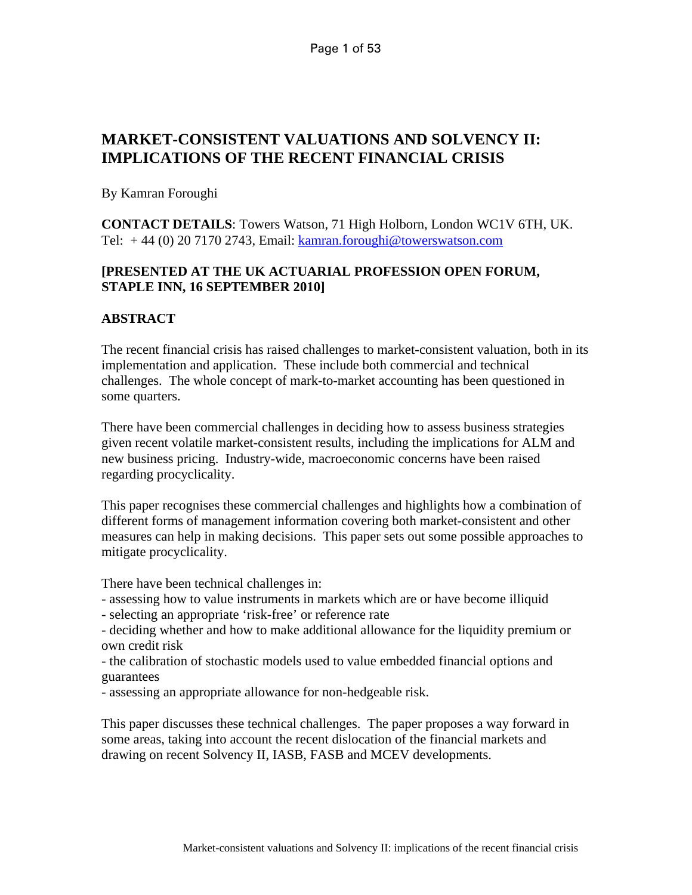# **MARKET-CONSISTENT VALUATIONS AND SOLVENCY II: IMPLICATIONS OF THE RECENT FINANCIAL CRISIS**

By Kamran Foroughi

**CONTACT DETAILS**: Towers Watson, 71 High Holborn, London WC1V 6TH, UK. Tel:  $+44(0)$  20 7170 2743, Email: [kamran.foroughi@towerswatson.com](mailto:kamran.foroughi@towerswatson.com)

### **[PRESENTED AT THE UK ACTUARIAL PROFESSION OPEN FORUM, STAPLE INN, 16 SEPTEMBER 2010]**

### **ABSTRACT**

The recent financial crisis has raised challenges to market-consistent valuation, both in its implementation and application. These include both commercial and technical challenges. The whole concept of mark-to-market accounting has been questioned in some quarters.

There have been commercial challenges in deciding how to assess business strategies given recent volatile market-consistent results, including the implications for ALM and new business pricing. Industry-wide, macroeconomic concerns have been raised regarding procyclicality.

This paper recognises these commercial challenges and highlights how a combination of different forms of management information covering both market-consistent and other measures can help in making decisions. This paper sets out some possible approaches to mitigate procyclicality.

There have been technical challenges in:

- assessing how to value instruments in markets which are or have become illiquid
- selecting an appropriate 'risk-free' or reference rate

- deciding whether and how to make additional allowance for the liquidity premium or own credit risk

- the calibration of stochastic models used to value embedded financial options and guarantees

- assessing an appropriate allowance for non-hedgeable risk.

This paper discusses these technical challenges. The paper proposes a way forward in some areas, taking into account the recent dislocation of the financial markets and drawing on recent Solvency II, IASB, FASB and MCEV developments.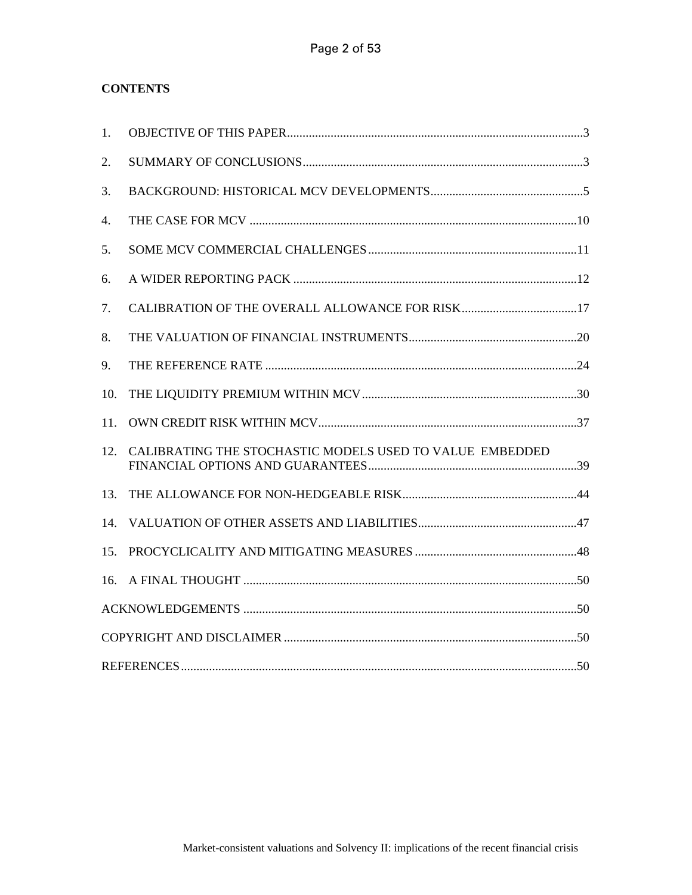## **CONTENTS**

| 1.  |                                                          |  |
|-----|----------------------------------------------------------|--|
| 2.  |                                                          |  |
| 3.  |                                                          |  |
| 4.  |                                                          |  |
| 5.  |                                                          |  |
| 6.  |                                                          |  |
| 7.  | CALIBRATION OF THE OVERALL ALLOWANCE FOR RISK17          |  |
| 8.  |                                                          |  |
| 9.  |                                                          |  |
| 10. |                                                          |  |
| 11. |                                                          |  |
| 12. | CALIBRATING THE STOCHASTIC MODELS USED TO VALUE EMBEDDED |  |
| 13. |                                                          |  |
| 14. |                                                          |  |
| 15. |                                                          |  |
| 16. |                                                          |  |
|     |                                                          |  |
|     |                                                          |  |
|     |                                                          |  |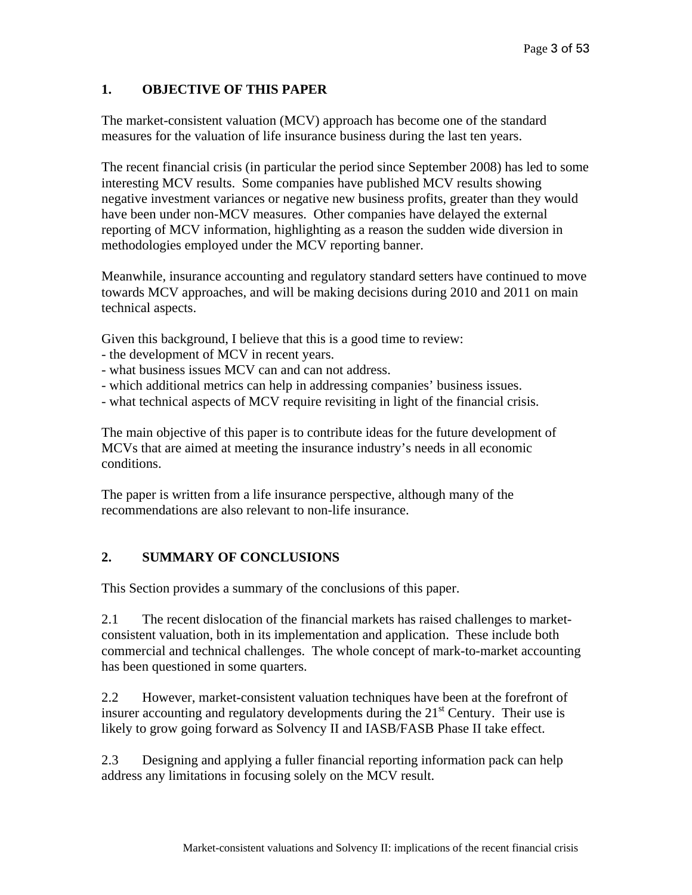## <span id="page-2-2"></span><span id="page-2-0"></span>**1. OBJECTIVE OF THIS PAPER**

The market-consistent valuation (MCV) approach has become one of the standard measures for the valuation of life insurance business during the last ten years.

The recent financial crisis (in particular the period since September 2008) has led to some interesting MCV results. Some companies have published MCV results showing negative investment variances or negative new business profits, greater than they would have been under non-MCV measures. Other companies have delayed the external reporting of MCV information, highlighting as a reason the sudden wide diversion in methodologies employed under the MCV reporting banner.

<span id="page-2-1"></span>Meanwhile, insurance accounting and regulatory standard setters have continued to move towards MCV approaches, and will be making decisions during 2010 and 2011 on main technical aspects.

Given this background, I believe that this is a good time to review:

- the development of MCV in recent years.
- what business issues MCV can and can not address.
- which additional metrics can help in addressing companies' business issues.
- what technical aspects of MCV require revisiting in light of the financial crisis.

The main objective of this paper is to contribute ideas for the future development of MCVs that are aimed at meeting the insurance industry's needs in all economic conditions.

The paper is written from a life insurance perspective, although many of the recommendations are also relevant to non-life insurance.

## **2. SUMMARY OF CONCLUSIONS**

This Section provides a summary of the conclusions of this paper.

2.1 The recent dislocation of the financial markets has raised challenges to marketconsistent valuation, both in its implementation and application. These include both commercial and technical challenges. The whole concept of mark-to-market accounting has been questioned in some quarters.

2.2 However, market-consistent valuation techniques have been at the forefront of insurer accounting and regulatory developments during the  $21<sup>st</sup>$  Century. Their use is likely to grow going forward as Solvency II and IASB/FASB Phase II take effect.

2.3 Designing and applying a fuller financial reporting information pack can help address any limitations in focusing solely on the MCV result.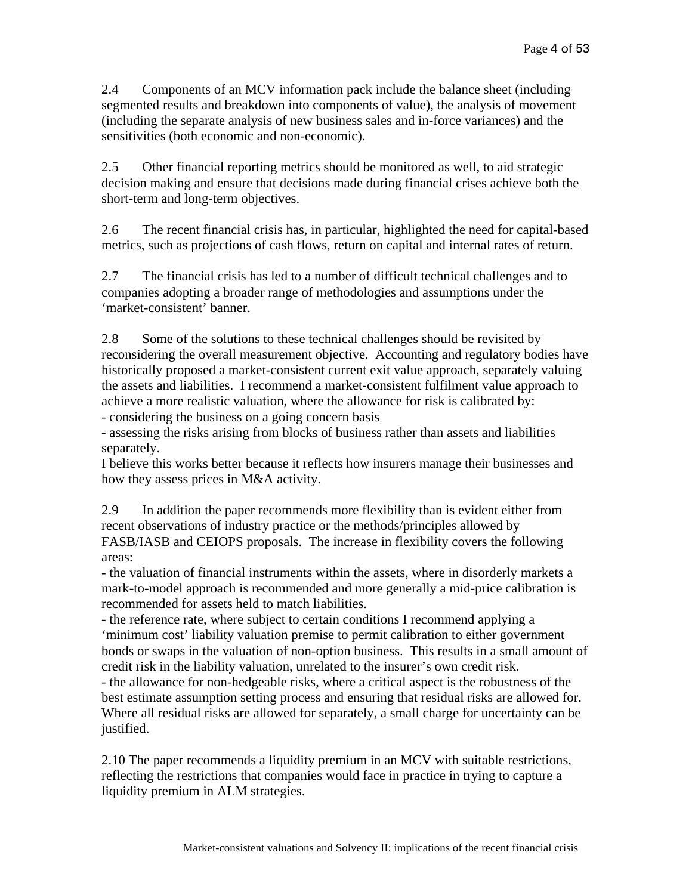2.4 Components of an MCV information pack include the balance sheet (including segmented results and breakdown into components of value), the analysis of movement (including the separate analysis of new business sales and in-force variances) and the sensitivities (both economic and non-economic).

2.5 Other financial reporting metrics should be monitored as well, to aid strategic decision making and ensure that decisions made during financial crises achieve both the short-term and long-term objectives.

2.6 The recent financial crisis has, in particular, highlighted the need for capital-based metrics, such as projections of cash flows, return on capital and internal rates of return.

2.7 The financial crisis has led to a number of difficult technical challenges and to companies adopting a broader range of methodologies and assumptions under the 'market-consistent' banner.

2.8 Some of the solutions to these technical challenges should be revisited by reconsidering the overall measurement objective. Accounting and regulatory bodies have historically proposed a market-consistent current exit value approach, separately valuing the assets and liabilities. I recommend a market-consistent fulfilment value approach to achieve a more realistic valuation, where the allowance for risk is calibrated by:

- considering the business on a going concern basis

- assessing the risks arising from blocks of business rather than assets and liabilities separately.

I believe this works better because it reflects how insurers manage their businesses and how they assess prices in M&A activity.

2.9 In addition the paper recommends more flexibility than is evident either from recent observations of industry practice or the methods/principles allowed by FASB/IASB and CEIOPS proposals. The increase in flexibility covers the following areas:

- the valuation of financial instruments within the assets, where in disorderly markets a mark-to-model approach is recommended and more generally a mid-price calibration is recommended for assets held to match liabilities.

- the reference rate, where subject to certain conditions I recommend applying a 'minimum cost' liability valuation premise to permit calibration to either government bonds or swaps in the valuation of non-option business. This results in a small amount of credit risk in the liability valuation, unrelated to the insurer's own credit risk.

- the allowance for non-hedgeable risks, where a critical aspect is the robustness of the best estimate assumption setting process and ensuring that residual risks are allowed for. Where all residual risks are allowed for separately, a small charge for uncertainty can be justified.

2.10 The paper recommends a liquidity premium in an MCV with suitable restrictions, reflecting the restrictions that companies would face in practice in trying to capture a liquidity premium in ALM strategies.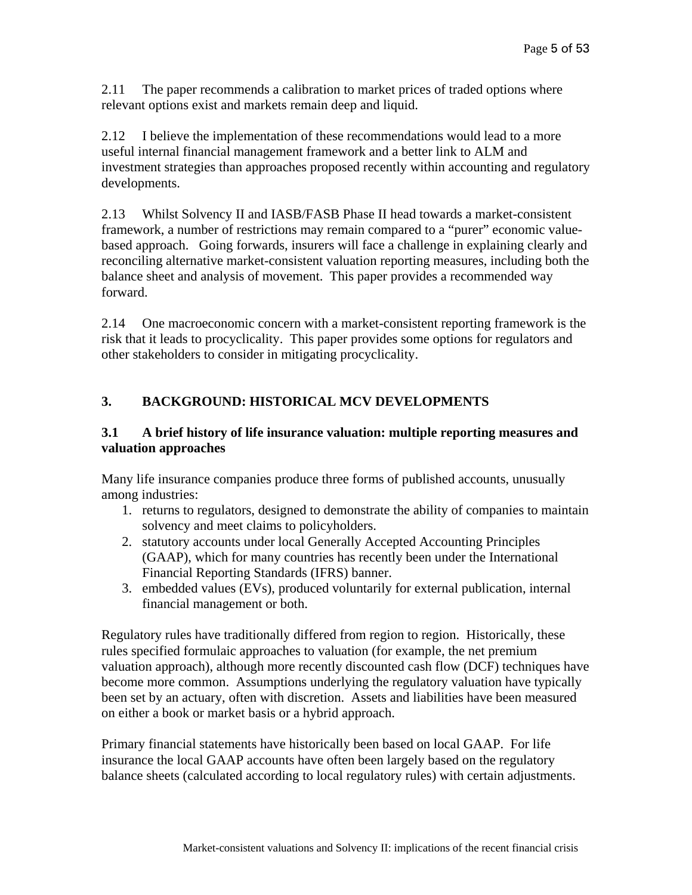<span id="page-4-0"></span>2.11 The paper recommends a calibration to market prices of traded options where relevant options exist and markets remain deep and liquid.

2.12 I believe the implementation of these recommendations would lead to a more useful internal financial management framework and a better link to ALM and investment strategies than approaches proposed recently within accounting and regulatory developments.

2.13 Whilst Solvency II and IASB/FASB Phase II head towards a market-consistent framework, a number of restrictions may remain compared to a "purer" economic valuebased approach. Going forwards, insurers will face a challenge in explaining clearly and reconciling alternative market-consistent valuation reporting measures, including both the balance sheet and analysis of movement. This paper provides a recommended way forward.

2.14 One macroeconomic concern with a market-consistent reporting framework is the risk that it leads to procyclicality. This paper provides some options for regulators and other stakeholders to consider in mitigating procyclicality.

## **3. BACKGROUND: HISTORICAL MCV DEVELOPMENTS**

### **3.1 A brief history of life insurance valuation: multiple reporting measures and valuation approaches**

Many life insurance companies produce three forms of published accounts, unusually among industries:

- 1. returns to regulators, designed to demonstrate the ability of companies to maintain solvency and meet claims to policyholders.
- 2. statutory accounts under local Generally Accepted Accounting Principles (GAAP), which for many countries has recently been under the International Financial Reporting Standards (IFRS) banner.
- 3. embedded values (EVs), produced voluntarily for external publication, internal financial management or both.

Regulatory rules have traditionally differed from region to region. Historically, these rules specified formulaic approaches to valuation (for example, the net premium valuation approach), although more recently discounted cash flow (DCF) techniques have become more common. Assumptions underlying the regulatory valuation have typically been set by an actuary, often with discretion. Assets and liabilities have been measured on either a book or market basis or a hybrid approach.

Primary financial statements have historically been based on local GAAP. For life insurance the local GAAP accounts have often been largely based on the regulatory balance sheets (calculated according to local regulatory rules) with certain adjustments.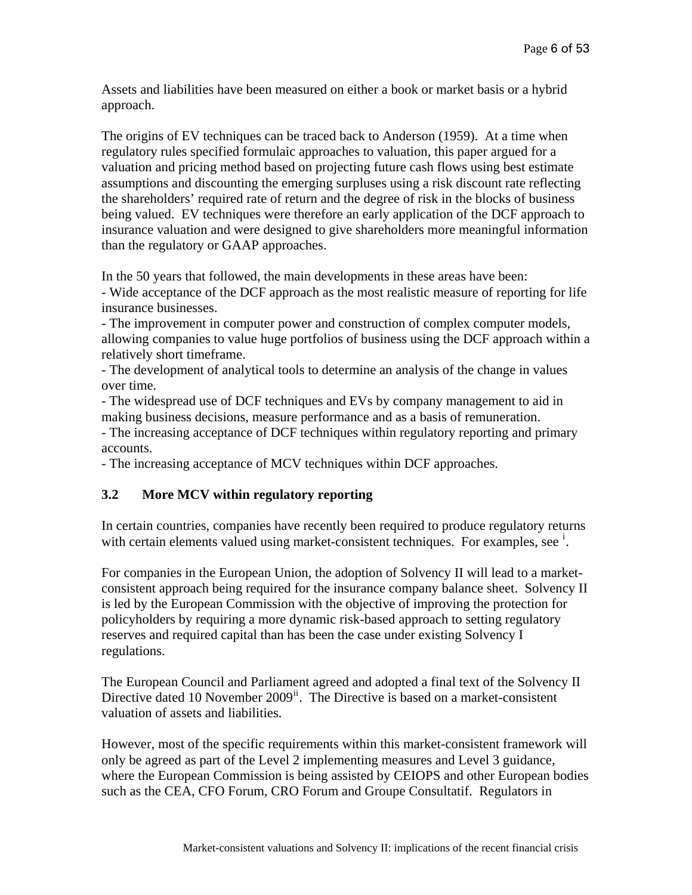Assets and liabilities have been measured on either a book or market basis or a hybrid approach.

The origins of EV techniques can be traced back to Anderson (1959). At a time when regulatory rules specified formulaic approaches to valuation, this paper argued for a valuation and pricing method based on projecting future cash flows using best estimate assumptions and discounting the emerging surpluses using a risk discount rate reflecting the shareholders' required rate of return and the degree of risk in the blocks of business being valued. EV techniques were therefore an early application of the DCF approach to insurance valuation and were designed to give shareholders more meaningful information than the regulatory or GAAP approaches.

In the 50 years that followed, the main developments in these areas have been:

- Wide acceptance of the DCF approach as the most realistic measure of reporting for life insurance businesses.

- The improvement in computer power and construction of complex computer models, allowing companies to value huge portfolios of business using the DCF approach within a relatively short timeframe.

- The development of analytical tools to determine an analysis of the change in values over time.

- The widespread use of DCF techniques and EVs by company management to aid in making business decisions, measure performance and as a basis of remuneration.

- The increasing acceptance of DCF techniques within regulatory reporting and primary accounts.

- The increasing acceptance of MCV techniques within DCF approaches.

## **3.2 More MCV within regulatory reporting**

In certain countries, companies have recently been required to produce regulatory returns w[i](#page-2-1)th certain elements valued using market-consistent techniques. For examples, see <sup>i</sup>.

For companies in the European Union, the adoption of Solvency II will lead to a marketconsistent approach being required for the insurance company balance sheet. Solvency II is led by the European Commission with the objective of improving the protection for policyholders by requiring a more dynamic risk-based approach to setting regulatory reserves and required capital than has been the case under existing Solvency I regulations.

The European Council and Parliament agreed and adopted a final text of the Solvency II Directive dated 10 November  $2009$ <sup>[ii](#page-2-2)</sup>. The Directive is based on a market-consistent valuation of assets and liabilities.

However, most of the specific requirements within this market-consistent framework will only be agreed as part of the Level 2 implementing measures and Level 3 guidance, where the European Commission is being assisted by CEIOPS and other European bodies such as the CEA, CFO Forum, CRO Forum and Groupe Consultatif. Regulators in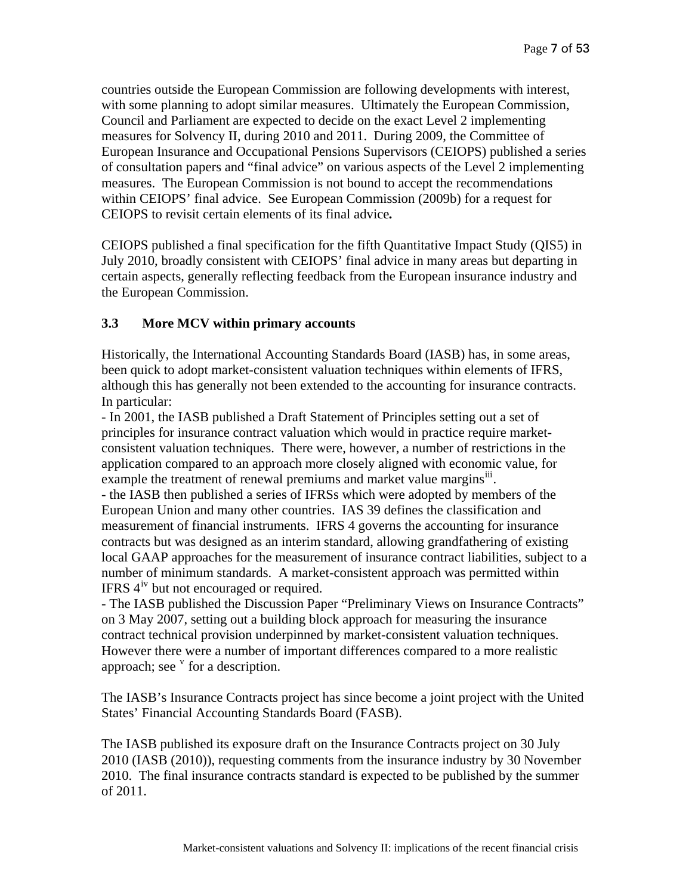countries outside the European Commission are following developments with interest, with some planning to adopt similar measures. Ultimately the European Commission, Council and Parliament are expected to decide on the exact Level 2 implementing measures for Solvency II, during 2010 and 2011. During 2009, the Committee of European Insurance and Occupational Pensions Supervisors (CEIOPS) published a series of consultation papers and "final advice" on various aspects of the Level 2 implementing measures. The European Commission is not bound to accept the recommendations within CEIOPS' final advice. See European Commission (2009b) for a request for CEIOPS to revisit certain elements of its final advice*.*

CEIOPS published a final specification for the fifth Quantitative Impact Study (QIS5) in July 2010, broadly consistent with CEIOPS' final advice in many areas but departing in certain aspects, generally reflecting feedback from the European insurance industry and the European Commission.

## **3.3 More MCV within primary accounts**

Historically, the International Accounting Standards Board (IASB) has, in some areas, been quick to adopt market-consistent valuation techniques within elements of IFRS, although this has generally not been extended to the accounting for insurance contracts. In particular:

- In 2001, the IASB published a Draft Statement of Principles setting out a set of principles for insurance contract valuation which would in practice require marketconsistent valuation techniques. There were, however, a number of restrictions in the application compared to an approach more closely aligned with economic value, for example the treatment of renewal premiums and market value margins<sup>[iii](#page-2-2)</sup>.

- the IASB then published a series of IFRSs which were adopted by members of the European Union and many other countries. IAS 39 defines the classification and measurement of financial instruments. IFRS 4 governs the accounting for insurance contracts but was designed as an interim standard, allowing grandfathering of existing local GAAP approaches for the measurement of insurance contract liabilities, subject to a number of minimum standards. A market-consistent approach was permitted within IFRS  $4^{\rm iv}$  $4^{\rm iv}$  $4^{\rm iv}$  but not encouraged or required.

- The IASB published the Discussion Paper "Preliminary Views on Insurance Contracts" on 3 May 2007, setting out a building block approach for measuring the insurance contract technical provision underpinned by market-consistent valuation techniques. However there were a number of important differences compared to a more realistic approach; see  $\overline{v}$  $\overline{v}$  $\overline{v}$  for a description.

The IASB's Insurance Contracts project has since become a joint project with the United States' Financial Accounting Standards Board (FASB).

The IASB published its exposure draft on the Insurance Contracts project on 30 July 2010 (IASB (2010)), requesting comments from the insurance industry by 30 November 2010. The final insurance contracts standard is expected to be published by the summer of 2011.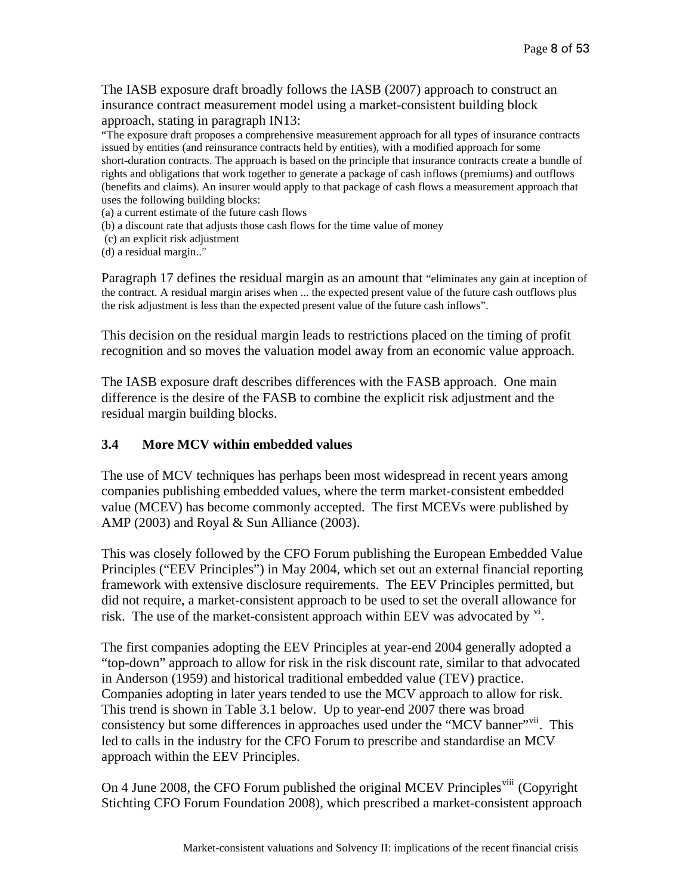The IASB exposure draft broadly follows the IASB (2007) approach to construct an insurance contract measurement model using a market-consistent building block approach, stating in paragraph IN13:

"The exposure draft proposes a comprehensive measurement approach for all types of insurance contracts issued by entities (and reinsurance contracts held by entities), with a modified approach for some short-duration contracts. The approach is based on the principle that insurance contracts create a bundle of rights and obligations that work together to generate a package of cash inflows (premiums) and outflows (benefits and claims). An insurer would apply to that package of cash flows a measurement approach that uses the following building blocks:

(a) a current estimate of the future cash flows

- (b) a discount rate that adjusts those cash flows for the time value of money
- (c) an explicit risk adjustment
- (d) a residual margin.."

Paragraph 17 defines the residual margin as an amount that "eliminates any gain at inception of the contract. A residual margin arises when ... the expected present value of the future cash outflows plus the risk adjustment is less than the expected present value of the future cash inflows".

This decision on the residual margin leads to restrictions placed on the timing of profit recognition and so moves the valuation model away from an economic value approach.

The IASB exposure draft describes differences with the FASB approach. One main difference is the desire of the FASB to combine the explicit risk adjustment and the residual margin building blocks.

### **3.4 More MCV within embedded values**

The use of MCV techniques has perhaps been most widespread in recent years among companies publishing embedded values, where the term market-consistent embedded value (MCEV) has become commonly accepted. The first MCEVs were published by AMP (2003) and Royal & Sun Alliance (2003).

This was closely followed by the CFO Forum publishing the European Embedded Value Principles ("EEV Principles") in May 2004, which set out an external financial reporting framework with extensive disclosure requirements. The EEV Principles permitted, but did not require, a market-consistent approach to be used to set the overall allowance for risk. The use of the market-consistent approach within EEV was advocated by  $\overline{v}$ .

The first companies adopting the EEV Principles at year-end 2004 generally adopted a "top-down" approach to allow for risk in the risk discount rate, similar to that advocated in Anderson (1959) and historical traditional embedded value (TEV) practice. Companies adopting in later years tended to use the MCV approach to allow for risk. This trend is shown in Table 3.1 below. Up to year-end 2007 there was broad consistency but some differences in approaches used under the "MCV banner"<sup>[vii](#page-2-2)</sup>. This led to calls in the industry for the CFO Forum to prescribe and standardise an MCV approach within the EEV Principles.

On 4 June 2008, the CFO Forum published the original MCEV Principles<sup>[viii](#page-2-2)</sup> (Copyright) Stichting CFO Forum Foundation 2008), which prescribed a market-consistent approach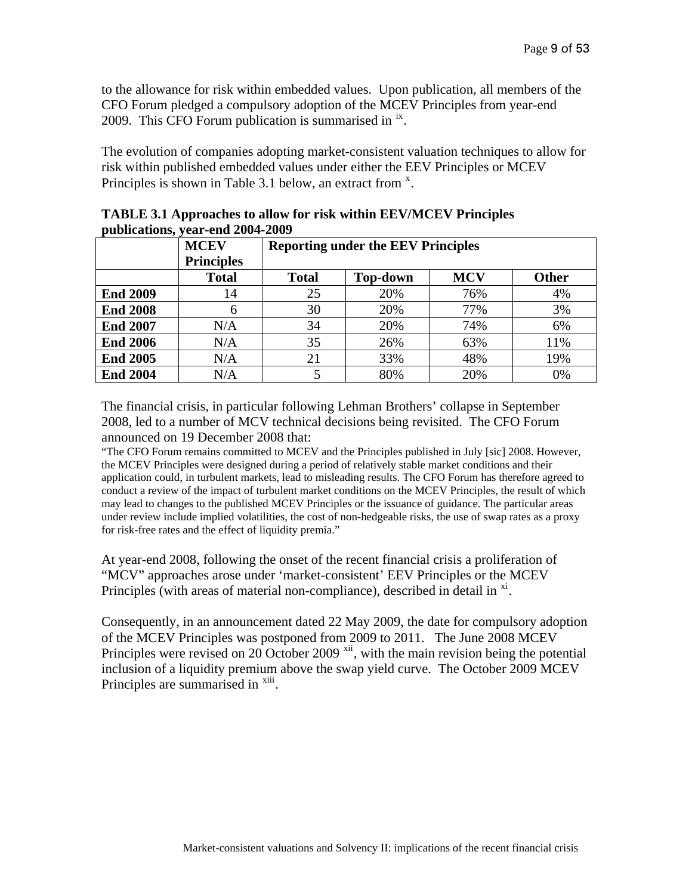to the allowance for risk within embedded values. Upon publication, all members of the CFO Forum pledged a compulsory adoption of the MCEV Principles from year-end 2009. This CFO Forum publication is summarised in <sup>[ix](#page-2-2)</sup>.

The evolution of companies adopting market-consistent valuation techniques to allow for risk within published embedded values under either the EEV Principles or MCEV Principles is shown in Table 3.1 below, an e[x](#page-2-2)tract from  $x$ .

|                 | <b>MCEV</b>       | <b>Reporting under the EEV Principles</b> |                 |            |              |  |  |
|-----------------|-------------------|-------------------------------------------|-----------------|------------|--------------|--|--|
|                 | <b>Principles</b> |                                           |                 |            |              |  |  |
|                 | <b>Total</b>      | <b>Total</b>                              | <b>Top-down</b> | <b>MCV</b> | <b>Other</b> |  |  |
| <b>End 2009</b> | 14                | 25                                        | 20%             | 76%        | 4%           |  |  |
| <b>End 2008</b> | 6                 | 30                                        | 20%             | 77%        | 3%           |  |  |
| <b>End 2007</b> | N/A               | 34                                        | 20%             | 74%        | 6%           |  |  |
| <b>End 2006</b> | N/A               | 35                                        | 26%             | 63%        | 11%          |  |  |
| <b>End 2005</b> | N/A               | 21                                        | 33%             | 48%        | 19%          |  |  |
| <b>End 2004</b> | N/A               |                                           | 80%             | 20%        | 0%           |  |  |

**TABLE 3.1 Approaches to allow for risk within EEV/MCEV Principles publications, year-end 2004-2009** 

The financial crisis, in particular following Lehman Brothers' collapse in September 2008, led to a number of MCV technical decisions being revisited. The CFO Forum announced on 19 December 2008 that:

"The CFO Forum remains committed to MCEV and the Principles published in July [sic] 2008. However, the MCEV Principles were designed during a period of relatively stable market conditions and their application could, in turbulent markets, lead to misleading results. The CFO Forum has therefore agreed to conduct a review of the impact of turbulent market conditions on the MCEV Principles, the result of which may lead to changes to the published MCEV Principles or the issuance of guidance. The particular areas under review include implied volatilities, the cost of non-hedgeable risks, the use of swap rates as a proxy for risk-free rates and the effect of liquidity premia."

At year-end 2008, following the onset of the recent financial crisis a proliferation of "MCV" approaches arose under 'market-consistent' EEV Principles or the MCEV Principles (with areas of material non-compliance), described in detail in  $\frac{xi}{n}$  $\frac{xi}{n}$  $\frac{xi}{n}$ .

Consequently, in an announcement dated 22 May 2009, the date for compulsory adoption of the MCEV Principles was postponed from 2009 to 2011. The June 2008 MCEV Principles were revised on 20 October 2009<sup>[xii](#page-2-2)</sup>, with the main revision being the potential inclusion of a liquidity premium above the swap yield curve. The October 2009 MCEV Principles are summarised in <sup>[xiii](#page-2-2)</sup>.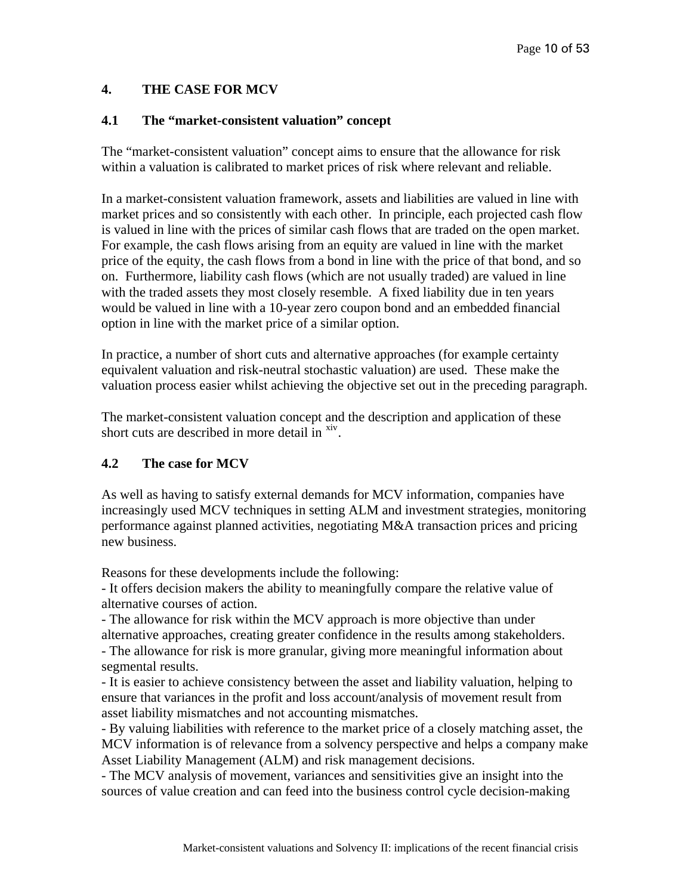### <span id="page-9-0"></span>**4. THE CASE FOR MCV**

### **4.1 The "market-consistent valuation" concept**

The "market-consistent valuation" concept aims to ensure that the allowance for risk within a valuation is calibrated to market prices of risk where relevant and reliable.

In a market-consistent valuation framework, assets and liabilities are valued in line with market prices and so consistently with each other. In principle, each projected cash flow is valued in line with the prices of similar cash flows that are traded on the open market. For example, the cash flows arising from an equity are valued in line with the market price of the equity, the cash flows from a bond in line with the price of that bond, and so on. Furthermore, liability cash flows (which are not usually traded) are valued in line with the traded assets they most closely resemble. A fixed liability due in ten years would be valued in line with a 10-year zero coupon bond and an embedded financial option in line with the market price of a similar option.

In practice, a number of short cuts and alternative approaches (for example certainty equivalent valuation and risk-neutral stochastic valuation) are used. These make the valuation process easier whilst achieving the objective set out in the preceding paragraph.

The market-consistent valuation concept and the description and application of these short cuts are described in more detail in  $\frac{x^2}{x^3}$ .

#### **4.2 The case for MCV**

As well as having to satisfy external demands for MCV information, companies have increasingly used MCV techniques in setting ALM and investment strategies, monitoring performance against planned activities, negotiating M&A transaction prices and pricing new business.

Reasons for these developments include the following:

- It offers decision makers the ability to meaningfully compare the relative value of alternative courses of action.

- The allowance for risk within the MCV approach is more objective than under alternative approaches, creating greater confidence in the results among stakeholders.

- The allowance for risk is more granular, giving more meaningful information about segmental results.

- It is easier to achieve consistency between the asset and liability valuation, helping to ensure that variances in the profit and loss account/analysis of movement result from asset liability mismatches and not accounting mismatches.

- By valuing liabilities with reference to the market price of a closely matching asset, the MCV information is of relevance from a solvency perspective and helps a company make Asset Liability Management (ALM) and risk management decisions.

- The MCV analysis of movement, variances and sensitivities give an insight into the sources of value creation and can feed into the business control cycle decision-making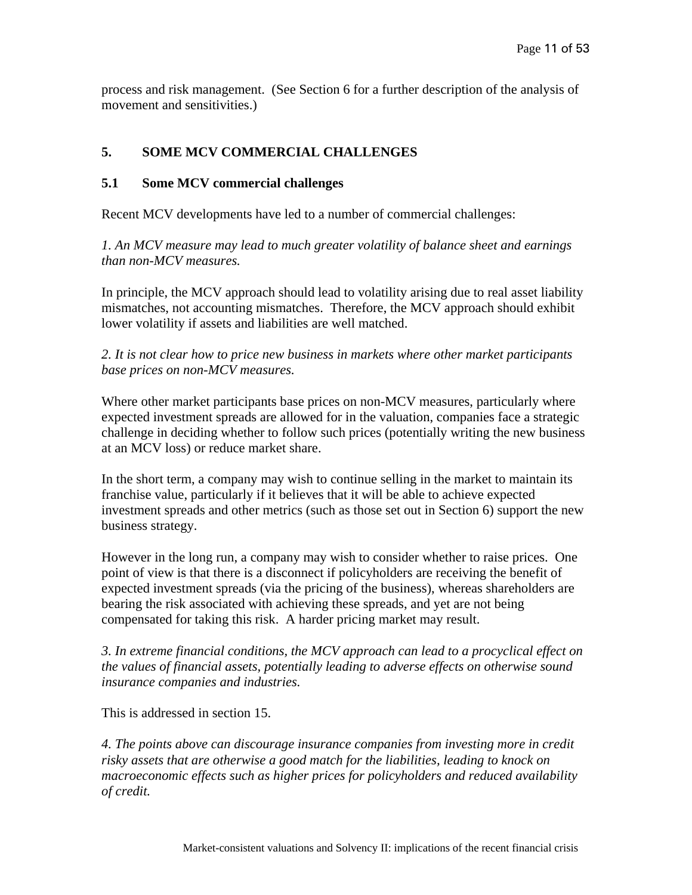<span id="page-10-0"></span>process and risk management. (See Section 6 for a further description of the analysis of movement and sensitivities.)

## **5. SOME MCV COMMERCIAL CHALLENGES**

### **5.1 Some MCV commercial challenges**

Recent MCV developments have led to a number of commercial challenges:

*1. An MCV measure may lead to much greater volatility of balance sheet and earnings than non-MCV measures.* 

In principle, the MCV approach should lead to volatility arising due to real asset liability mismatches, not accounting mismatches. Therefore, the MCV approach should exhibit lower volatility if assets and liabilities are well matched.

*2. It is not clear how to price new business in markets where other market participants base prices on non-MCV measures.* 

Where other market participants base prices on non-MCV measures, particularly where expected investment spreads are allowed for in the valuation, companies face a strategic challenge in deciding whether to follow such prices (potentially writing the new business at an MCV loss) or reduce market share.

In the short term, a company may wish to continue selling in the market to maintain its franchise value, particularly if it believes that it will be able to achieve expected investment spreads and other metrics (such as those set out in Section 6) support the new business strategy.

However in the long run, a company may wish to consider whether to raise prices. One point of view is that there is a disconnect if policyholders are receiving the benefit of expected investment spreads (via the pricing of the business), whereas shareholders are bearing the risk associated with achieving these spreads, and yet are not being compensated for taking this risk. A harder pricing market may result.

*3. In extreme financial conditions, the MCV approach can lead to a procyclical effect on the values of financial assets, potentially leading to adverse effects on otherwise sound insurance companies and industries.*

This is addressed in section 15.

4. The points above can discourage insurance companies from investing more in credit *risky assets that are otherwise a good match for the liabilities, leading to knock on macroeconomic effects such as higher prices for policyholders and reduced availability of credit.*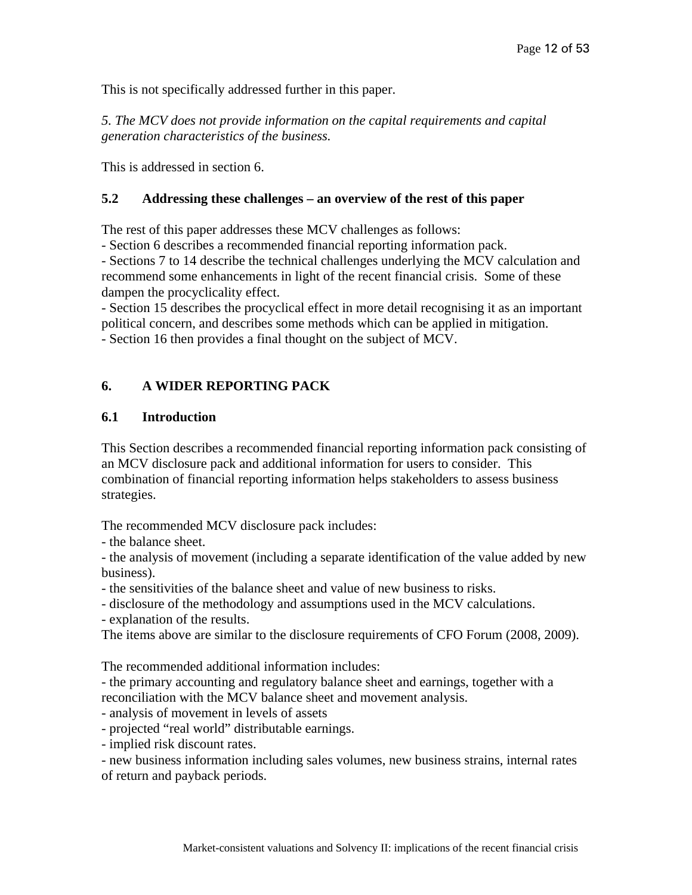<span id="page-11-0"></span>This is not specifically addressed further in this paper.

*5. The MCV does not provide information on the capital requirements and capital generation characteristics of the business.*

This is addressed in section 6.

### **5.2 Addressing these challenges – an overview of the rest of this paper**

The rest of this paper addresses these MCV challenges as follows:

- Section 6 describes a recommended financial reporting information pack.

- Sections 7 to 14 describe the technical challenges underlying the MCV calculation and recommend some enhancements in light of the recent financial crisis. Some of these dampen the procyclicality effect.

- Section 15 describes the procyclical effect in more detail recognising it as an important political concern, and describes some methods which can be applied in mitigation. - Section 16 then provides a final thought on the subject of MCV.

## **6. A WIDER REPORTING PACK**

### **6.1 Introduction**

This Section describes a recommended financial reporting information pack consisting of an MCV disclosure pack and additional information for users to consider. This combination of financial reporting information helps stakeholders to assess business strategies.

The recommended MCV disclosure pack includes:

- the balance sheet.

- the analysis of movement (including a separate identification of the value added by new business).

- the sensitivities of the balance sheet and value of new business to risks.

- disclosure of the methodology and assumptions used in the MCV calculations.

- explanation of the results.

The items above are similar to the disclosure requirements of CFO Forum (2008, 2009).

The recommended additional information includes:

- the primary accounting and regulatory balance sheet and earnings, together with a reconciliation with the MCV balance sheet and movement analysis.

- analysis of movement in levels of assets

- projected "real world" distributable earnings.

- implied risk discount rates.

- new business information including sales volumes, new business strains, internal rates of return and payback periods.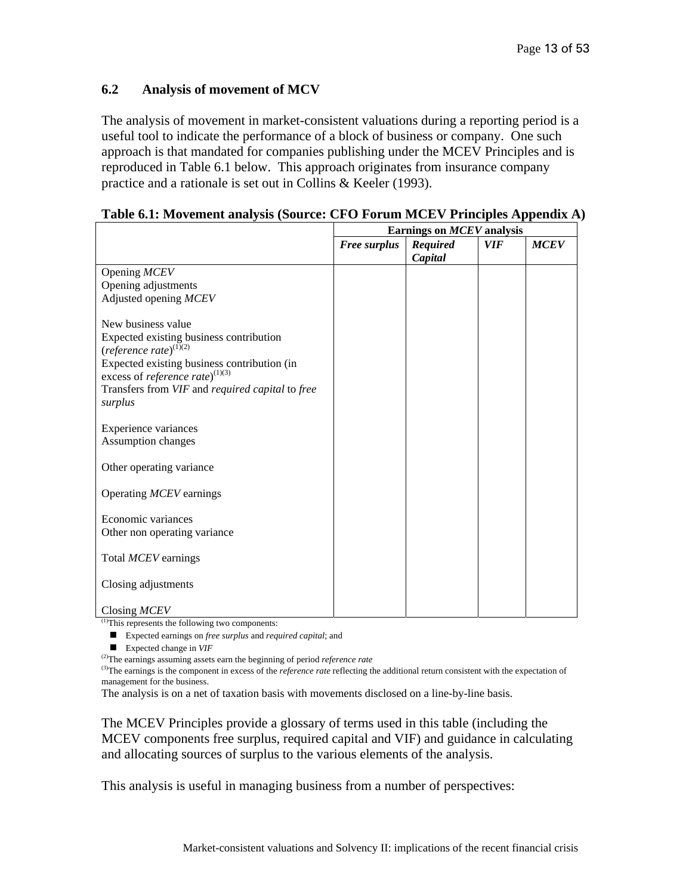### **6.2 Analysis of movement of MCV**

The analysis of movement in market-consistent valuations during a reporting period is a useful tool to indicate the performance of a block of business or company. One such approach is that mandated for companies publishing under the MCEV Principles and is reproduced in Table 6.1 below. This approach originates from insurance company practice and a rationale is set out in Collins & Keeler (1993).

|                                                                                      | Earnings on MCEV analysis |                            |            |             |
|--------------------------------------------------------------------------------------|---------------------------|----------------------------|------------|-------------|
|                                                                                      | Free surplus              | <b>Required</b><br>Capital | <b>VIF</b> | <b>MCEV</b> |
| Opening MCEV                                                                         |                           |                            |            |             |
| Opening adjustments                                                                  |                           |                            |            |             |
| Adjusted opening MCEV                                                                |                           |                            |            |             |
| New business value<br>Expected existing business contribution                        |                           |                            |            |             |
| (reference rate) $^{(1)(2)}$                                                         |                           |                            |            |             |
| Expected existing business contribution (in<br>excess of reference rate) $^{(1)(3)}$ |                           |                            |            |             |
| Transfers from VIF and required capital to free<br>surplus                           |                           |                            |            |             |
| Experience variances                                                                 |                           |                            |            |             |
| Assumption changes                                                                   |                           |                            |            |             |
|                                                                                      |                           |                            |            |             |
| Other operating variance                                                             |                           |                            |            |             |
| Operating <i>MCEV</i> earnings                                                       |                           |                            |            |             |
| Economic variances                                                                   |                           |                            |            |             |
| Other non operating variance                                                         |                           |                            |            |             |
| Total <i>MCEV</i> earnings                                                           |                           |                            |            |             |
| Closing adjustments                                                                  |                           |                            |            |             |
|                                                                                      |                           |                            |            |             |
| Closing MCEV                                                                         |                           |                            |            |             |

**Table 6.1: Movement analysis (Source: CFO Forum MCEV Principles Appendix A)** 

(1)This represents the following two components:

Expected earnings on *free surplus* and *required capital*; and

Expected change in *VIF*

(2)The earnings assuming assets earn the beginning of period *reference rate*

<sup>(3)</sup>The earnings is the component in excess of the *reference rate* reflecting the additional return consistent with the expectation of management for the business.

The analysis is on a net of taxation basis with movements disclosed on a line-by-line basis.

The MCEV Principles provide a glossary of terms used in this table (including the MCEV components free surplus, required capital and VIF) and guidance in calculating and allocating sources of surplus to the various elements of the analysis.

This analysis is useful in managing business from a number of perspectives: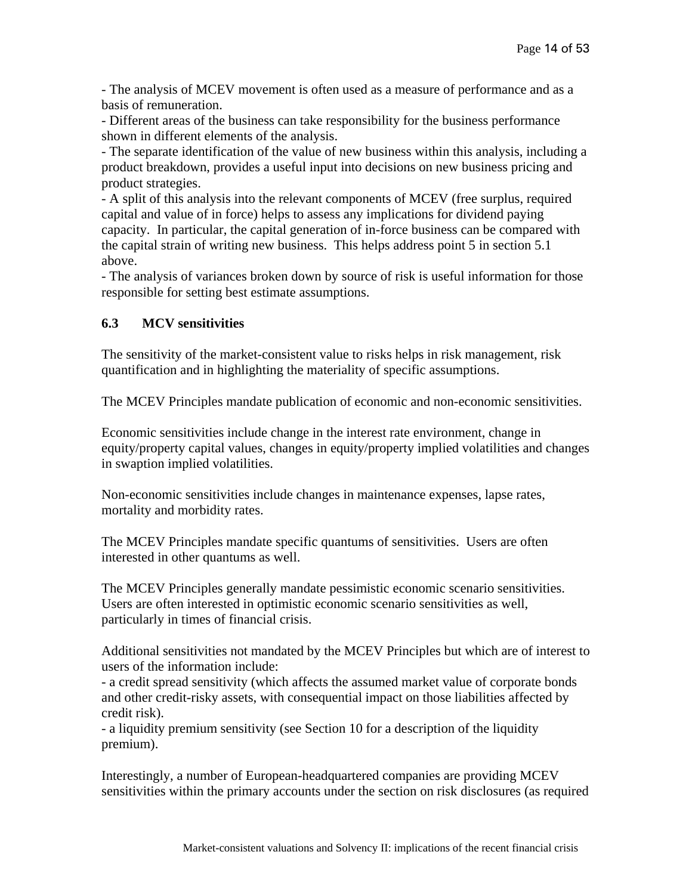- The analysis of MCEV movement is often used as a measure of performance and as a basis of remuneration.

- Different areas of the business can take responsibility for the business performance shown in different elements of the analysis.

- The separate identification of the value of new business within this analysis, including a product breakdown, provides a useful input into decisions on new business pricing and product strategies.

- A split of this analysis into the relevant components of MCEV (free surplus, required capital and value of in force) helps to assess any implications for dividend paying capacity. In particular, the capital generation of in-force business can be compared with the capital strain of writing new business. This helps address point 5 in section 5.1 above.

- The analysis of variances broken down by source of risk is useful information for those responsible for setting best estimate assumptions.

## **6.3 MCV sensitivities**

The sensitivity of the market-consistent value to risks helps in risk management, risk quantification and in highlighting the materiality of specific assumptions.

The MCEV Principles mandate publication of economic and non-economic sensitivities.

Economic sensitivities include change in the interest rate environment, change in equity/property capital values, changes in equity/property implied volatilities and changes in swaption implied volatilities.

Non-economic sensitivities include changes in maintenance expenses, lapse rates, mortality and morbidity rates.

The MCEV Principles mandate specific quantums of sensitivities. Users are often interested in other quantums as well.

The MCEV Principles generally mandate pessimistic economic scenario sensitivities. Users are often interested in optimistic economic scenario sensitivities as well, particularly in times of financial crisis.

Additional sensitivities not mandated by the MCEV Principles but which are of interest to users of the information include:

- a credit spread sensitivity (which affects the assumed market value of corporate bonds and other credit-risky assets, with consequential impact on those liabilities affected by credit risk).

- a liquidity premium sensitivity (see Section 10 for a description of the liquidity premium).

Interestingly, a number of European-headquartered companies are providing MCEV sensitivities within the primary accounts under the section on risk disclosures (as required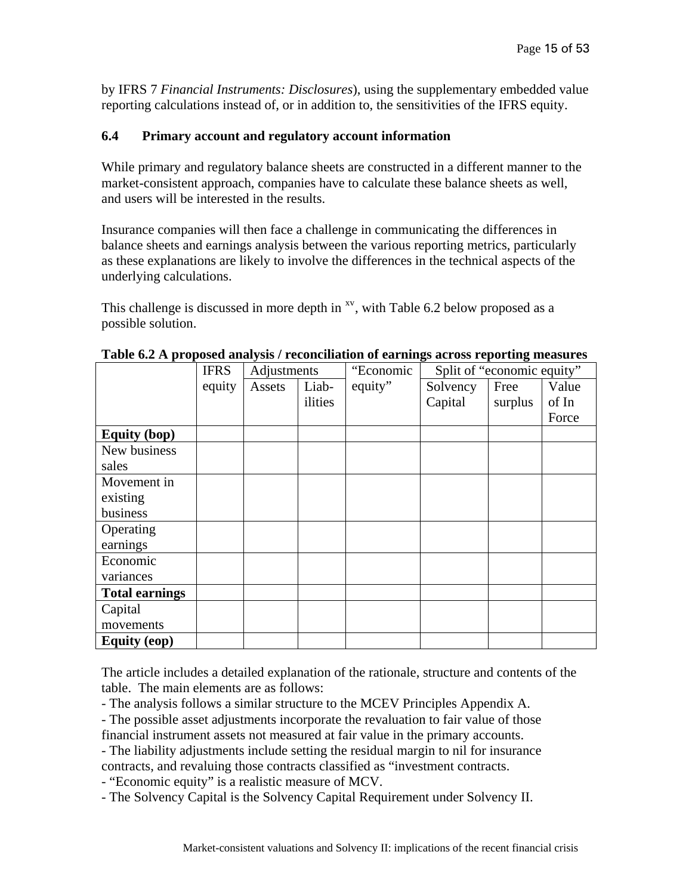by IFRS 7 *Financial Instruments: Disclosures*), using the supplementary embedded value reporting calculations instead of, or in addition to, the sensitivities of the IFRS equity.

### **6.4 Primary account and regulatory account information**

While primary and regulatory balance sheets are constructed in a different manner to the market-consistent approach, companies have to calculate these balance sheets as well, and users will be interested in the results.

Insurance companies will then face a challenge in communicating the differences in balance sheets and earnings analysis between the various reporting metrics, particularly as these explanations are likely to involve the differences in the technical aspects of the underlying calculations.

This challenge is discussed in more depth in  $X<sup>x</sup>$ , with Table 6.2 below proposed as a possible solution.

|                       | <b>IFRS</b><br>Adjustments |        | "Economic | o<br>o<br>Split of "economic equity" |          |         |       |
|-----------------------|----------------------------|--------|-----------|--------------------------------------|----------|---------|-------|
|                       | equity                     | Assets | Liab-     | equity"                              | Solvency | Free    | Value |
|                       |                            |        | ilities   |                                      | Capital  | surplus | of In |
|                       |                            |        |           |                                      |          |         | Force |
| <b>Equity (bop)</b>   |                            |        |           |                                      |          |         |       |
| New business          |                            |        |           |                                      |          |         |       |
| sales                 |                            |        |           |                                      |          |         |       |
| Movement in           |                            |        |           |                                      |          |         |       |
| existing              |                            |        |           |                                      |          |         |       |
| business              |                            |        |           |                                      |          |         |       |
| Operating             |                            |        |           |                                      |          |         |       |
| earnings              |                            |        |           |                                      |          |         |       |
| Economic              |                            |        |           |                                      |          |         |       |
| variances             |                            |        |           |                                      |          |         |       |
| <b>Total earnings</b> |                            |        |           |                                      |          |         |       |
| Capital               |                            |        |           |                                      |          |         |       |
| movements             |                            |        |           |                                      |          |         |       |
| <b>Equity (eop)</b>   |                            |        |           |                                      |          |         |       |

**Table 6.2 A proposed analysis / reconciliation of earnings across reporting measures** 

The article includes a detailed explanation of the rationale, structure and contents of the table. The main elements are as follows:

- The analysis follows a similar structure to the MCEV Principles Appendix A.

- The possible asset adjustments incorporate the revaluation to fair value of those financial instrument assets not measured at fair value in the primary accounts.

- The liability adjustments include setting the residual margin to nil for insurance contracts, and revaluing those contracts classified as "investment contracts.

- "Economic equity" is a realistic measure of MCV.

- The Solvency Capital is the Solvency Capital Requirement under Solvency II.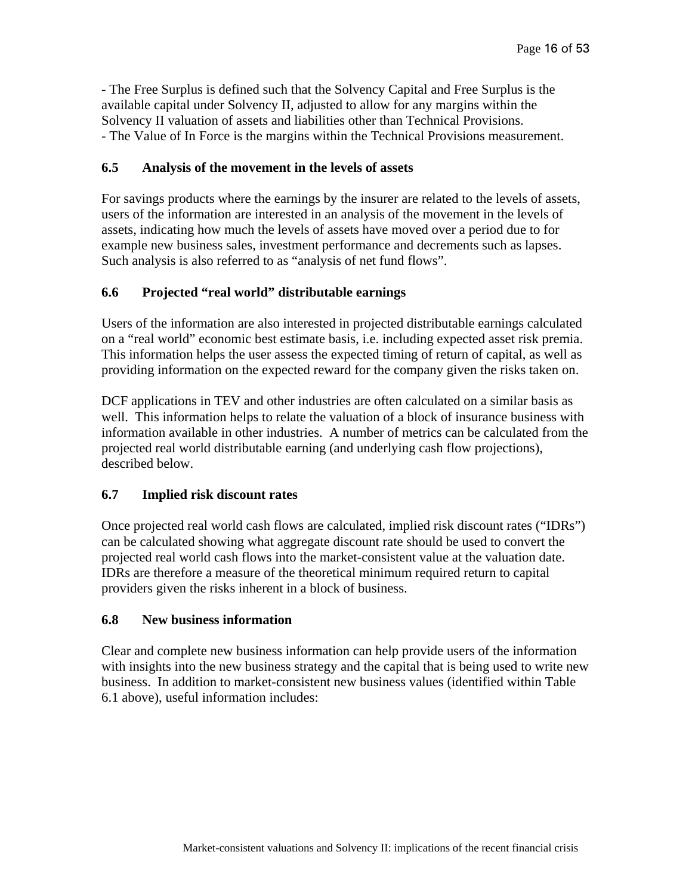- The Free Surplus is defined such that the Solvency Capital and Free Surplus is the available capital under Solvency II, adjusted to allow for any margins within the Solvency II valuation of assets and liabilities other than Technical Provisions. - The Value of In Force is the margins within the Technical Provisions measurement.

### **6.5 Analysis of the movement in the levels of assets**

For savings products where the earnings by the insurer are related to the levels of assets, users of the information are interested in an analysis of the movement in the levels of assets, indicating how much the levels of assets have moved over a period due to for example new business sales, investment performance and decrements such as lapses. Such analysis is also referred to as "analysis of net fund flows".

## **6.6 Projected "real world" distributable earnings**

Users of the information are also interested in projected distributable earnings calculated on a "real world" economic best estimate basis, i.e. including expected asset risk premia. This information helps the user assess the expected timing of return of capital, as well as providing information on the expected reward for the company given the risks taken on.

DCF applications in TEV and other industries are often calculated on a similar basis as well. This information helps to relate the valuation of a block of insurance business with information available in other industries. A number of metrics can be calculated from the projected real world distributable earning (and underlying cash flow projections), described below.

### **6.7 Implied risk discount rates**

Once projected real world cash flows are calculated, implied risk discount rates ("IDRs") can be calculated showing what aggregate discount rate should be used to convert the projected real world cash flows into the market-consistent value at the valuation date. IDRs are therefore a measure of the theoretical minimum required return to capital providers given the risks inherent in a block of business.

### **6.8 New business information**

Clear and complete new business information can help provide users of the information with insights into the new business strategy and the capital that is being used to write new business. In addition to market-consistent new business values (identified within Table 6.1 above), useful information includes: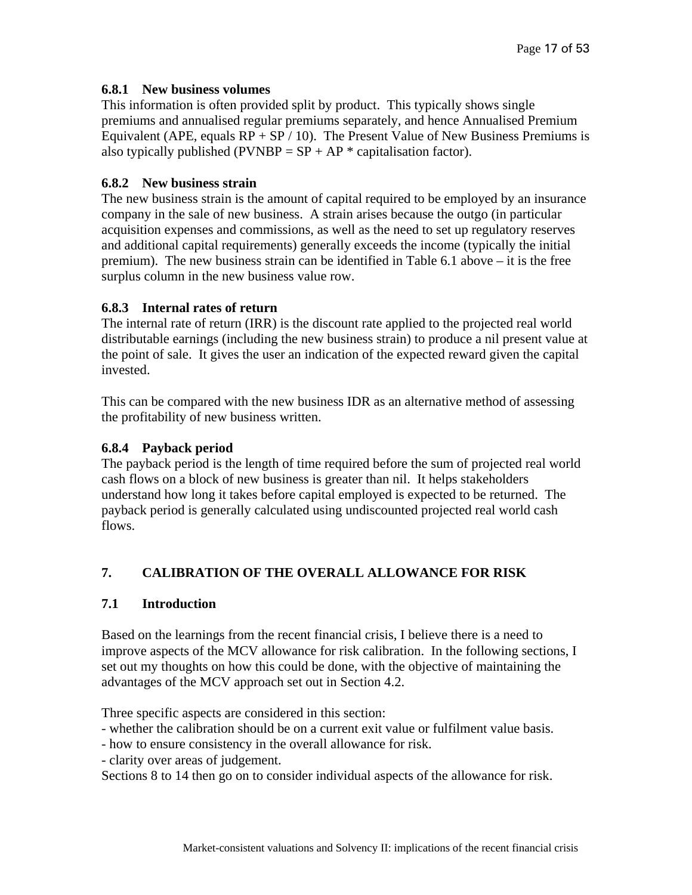### <span id="page-16-0"></span>**6.8.1 New business volumes**

This information is often provided split by product. This typically shows single premiums and annualised regular premiums separately, and hence Annualised Premium Equivalent (APE, equals  $RP + SP / 10$ ). The Present Value of New Business Premiums is also typically published (PVNBP =  $SP + AP *$  capitalisation factor).

## **6.8.2 New business strain**

The new business strain is the amount of capital required to be employed by an insurance company in the sale of new business. A strain arises because the outgo (in particular acquisition expenses and commissions, as well as the need to set up regulatory reserves and additional capital requirements) generally exceeds the income (typically the initial premium). The new business strain can be identified in Table 6.1 above – it is the free surplus column in the new business value row.

## **6.8.3 Internal rates of return**

The internal rate of return (IRR) is the discount rate applied to the projected real world distributable earnings (including the new business strain) to produce a nil present value at the point of sale. It gives the user an indication of the expected reward given the capital invested.

This can be compared with the new business IDR as an alternative method of assessing the profitability of new business written.

## **6.8.4 Payback period**

The payback period is the length of time required before the sum of projected real world cash flows on a block of new business is greater than nil. It helps stakeholders understand how long it takes before capital employed is expected to be returned. The payback period is generally calculated using undiscounted projected real world cash flows.

# **7. CALIBRATION OF THE OVERALL ALLOWANCE FOR RISK**

## **7.1 Introduction**

Based on the learnings from the recent financial crisis, I believe there is a need to improve aspects of the MCV allowance for risk calibration. In the following sections, I set out my thoughts on how this could be done, with the objective of maintaining the advantages of the MCV approach set out in Section 4.2.

Three specific aspects are considered in this section:

- whether the calibration should be on a current exit value or fulfilment value basis.

- how to ensure consistency in the overall allowance for risk.

- clarity over areas of judgement.

Sections 8 to 14 then go on to consider individual aspects of the allowance for risk.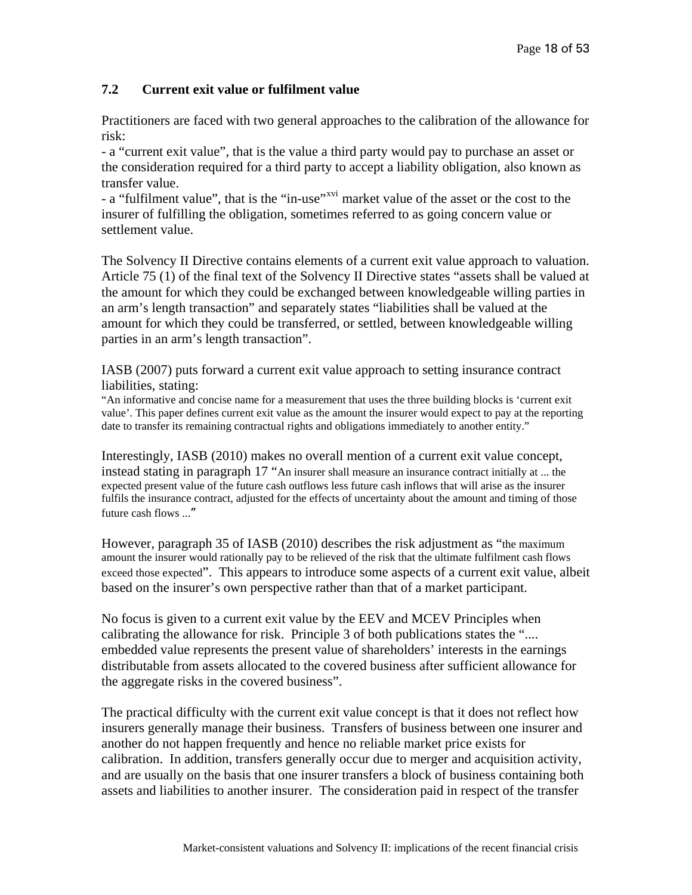## **7.2 Current exit value or fulfilment value**

Practitioners are faced with two general approaches to the calibration of the allowance for risk:

- a "current exit value", that is the value a third party would pay to purchase an asset or the consideration required for a third party to accept a liability obligation, also known as transfer value.

- a "fulfilment value", that is the "in-use"<sup>[xvi](#page-2-2)</sup> market value of the asset or the cost to the insurer of fulfilling the obligation, sometimes referred to as going concern value or settlement value.

The Solvency II Directive contains elements of a current exit value approach to valuation. Article 75 (1) of the final text of the Solvency II Directive states "assets shall be valued at the amount for which they could be exchanged between knowledgeable willing parties in an arm's length transaction" and separately states "liabilities shall be valued at the amount for which they could be transferred, or settled, between knowledgeable willing parties in an arm's length transaction".

IASB (2007) puts forward a current exit value approach to setting insurance contract liabilities, stating:

"An informative and concise name for a measurement that uses the three building blocks is 'current exit value'. This paper defines current exit value as the amount the insurer would expect to pay at the reporting date to transfer its remaining contractual rights and obligations immediately to another entity."

Interestingly, IASB (2010) makes no overall mention of a current exit value concept, instead stating in paragraph 17 "An insurer shall measure an insurance contract initially at ... the expected present value of the future cash outflows less future cash inflows that will arise as the insurer fulfils the insurance contract, adjusted for the effects of uncertainty about the amount and timing of those future cash flows ..."

However, paragraph 35 of IASB (2010) describes the risk adjustment as "the maximum amount the insurer would rationally pay to be relieved of the risk that the ultimate fulfilment cash flows exceed those expected". This appears to introduce some aspects of a current exit value, albeit based on the insurer's own perspective rather than that of a market participant.

No focus is given to a current exit value by the EEV and MCEV Principles when calibrating the allowance for risk. Principle 3 of both publications states the ".... embedded value represents the present value of shareholders' interests in the earnings distributable from assets allocated to the covered business after sufficient allowance for the aggregate risks in the covered business".

The practical difficulty with the current exit value concept is that it does not reflect how insurers generally manage their business. Transfers of business between one insurer and another do not happen frequently and hence no reliable market price exists for calibration. In addition, transfers generally occur due to merger and acquisition activity, and are usually on the basis that one insurer transfers a block of business containing both assets and liabilities to another insurer. The consideration paid in respect of the transfer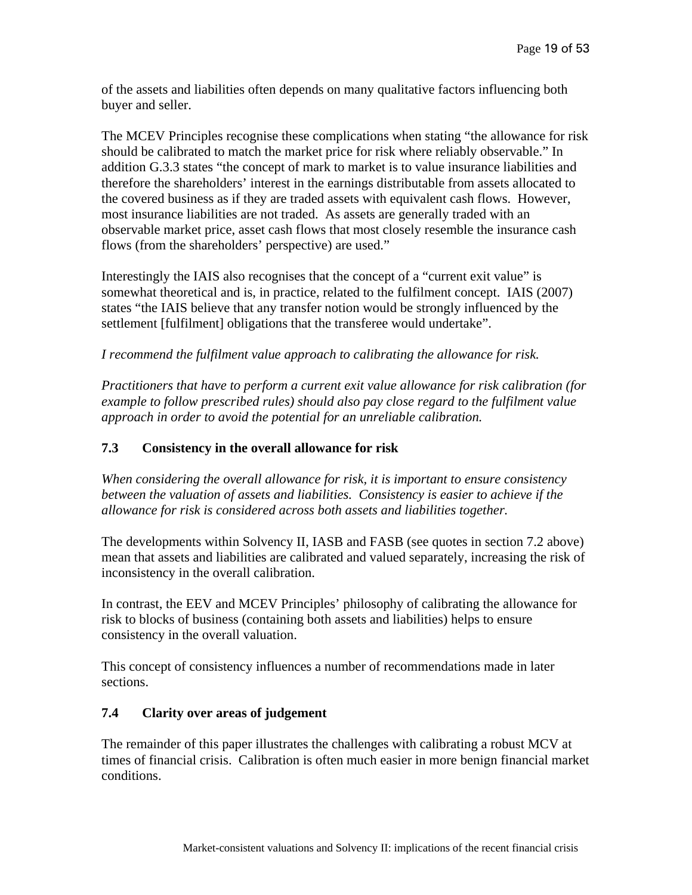of the assets and liabilities often depends on many qualitative factors influencing both buyer and seller.

The MCEV Principles recognise these complications when stating "the allowance for risk should be calibrated to match the market price for risk where reliably observable." In addition G.3.3 states "the concept of mark to market is to value insurance liabilities and therefore the shareholders' interest in the earnings distributable from assets allocated to the covered business as if they are traded assets with equivalent cash flows. However, most insurance liabilities are not traded. As assets are generally traded with an observable market price, asset cash flows that most closely resemble the insurance cash flows (from the shareholders' perspective) are used."

Interestingly the IAIS also recognises that the concept of a "current exit value" is somewhat theoretical and is, in practice, related to the fulfilment concept. IAIS (2007) states "the IAIS believe that any transfer notion would be strongly influenced by the settlement [fulfilment] obligations that the transferee would undertake".

*I recommend the fulfilment value approach to calibrating the allowance for risk.* 

*Practitioners that have to perform a current exit value allowance for risk calibration (for example to follow prescribed rules) should also pay close regard to the fulfilment value approach in order to avoid the potential for an unreliable calibration.* 

## **7.3 Consistency in the overall allowance for risk**

*When considering the overall allowance for risk, it is important to ensure consistency between the valuation of assets and liabilities. Consistency is easier to achieve if the allowance for risk is considered across both assets and liabilities together.* 

The developments within Solvency II, IASB and FASB (see quotes in section 7.2 above) mean that assets and liabilities are calibrated and valued separately, increasing the risk of inconsistency in the overall calibration.

In contrast, the EEV and MCEV Principles' philosophy of calibrating the allowance for risk to blocks of business (containing both assets and liabilities) helps to ensure consistency in the overall valuation.

This concept of consistency influences a number of recommendations made in later sections.

### **7.4 Clarity over areas of judgement**

The remainder of this paper illustrates the challenges with calibrating a robust MCV at times of financial crisis. Calibration is often much easier in more benign financial market conditions.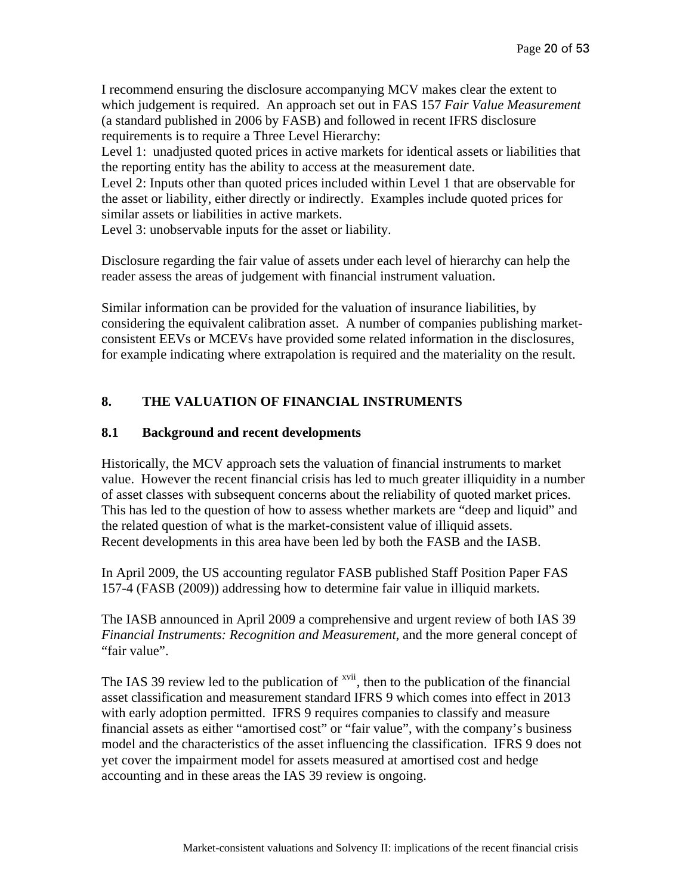<span id="page-19-0"></span>I recommend ensuring the disclosure accompanying MCV makes clear the extent to which judgement is required. An approach set out in FAS 157 *Fair Value Measurement* (a standard published in 2006 by FASB) and followed in recent IFRS disclosure requirements is to require a Three Level Hierarchy:

Level 1: unadjusted quoted prices in active markets for identical assets or liabilities that the reporting entity has the ability to access at the measurement date.

Level 2: Inputs other than quoted prices included within Level 1 that are observable for the asset or liability, either directly or indirectly. Examples include quoted prices for similar assets or liabilities in active markets.

Level 3: unobservable inputs for the asset or liability.

Disclosure regarding the fair value of assets under each level of hierarchy can help the reader assess the areas of judgement with financial instrument valuation.

Similar information can be provided for the valuation of insurance liabilities, by considering the equivalent calibration asset. A number of companies publishing marketconsistent EEVs or MCEVs have provided some related information in the disclosures, for example indicating where extrapolation is required and the materiality on the result.

## **8. THE VALUATION OF FINANCIAL INSTRUMENTS**

## **8.1 Background and recent developments**

Historically, the MCV approach sets the valuation of financial instruments to market value. However the recent financial crisis has led to much greater illiquidity in a number of asset classes with subsequent concerns about the reliability of quoted market prices. This has led to the question of how to assess whether markets are "deep and liquid" and the related question of what is the market-consistent value of illiquid assets. Recent developments in this area have been led by both the FASB and the IASB.

In April 2009, the US accounting regulator FASB published Staff Position Paper FAS 157-4 (FASB (2009)) addressing how to determine fair value in illiquid markets.

The IASB announced in April 2009 a comprehensive and urgent review of both IAS 39 *Financial Instruments: Recognition and Measurement*, and the more general concept of "fair value".

The IAS 39 review led to the publication of <sup>[xvii](#page-2-2)</sup>, then to the publication of the financial asset classification and measurement standard IFRS 9 which comes into effect in 2013 with early adoption permitted. IFRS 9 requires companies to classify and measure financial assets as either "amortised cost" or "fair value", with the company's business model and the characteristics of the asset influencing the classification. IFRS 9 does not yet cover the impairment model for assets measured at amortised cost and hedge accounting and in these areas the IAS 39 review is ongoing.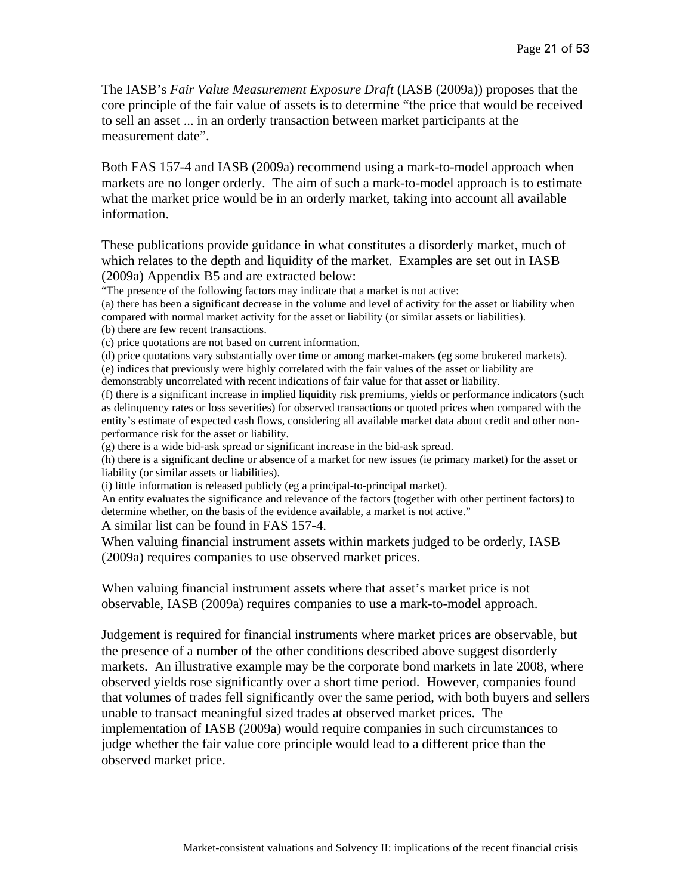The IASB's *Fair Value Measurement Exposure Draft* (IASB (2009a)) proposes that the core principle of the fair value of assets is to determine "the price that would be received to sell an asset ... in an orderly transaction between market participants at the measurement date".

Both FAS 157-4 and IASB (2009a) recommend using a mark-to-model approach when markets are no longer orderly. The aim of such a mark-to-model approach is to estimate what the market price would be in an orderly market, taking into account all available information.

These publications provide guidance in what constitutes a disorderly market, much of which relates to the depth and liquidity of the market. Examples are set out in IASB (2009a) Appendix B5 and are extracted below:

"The presence of the following factors may indicate that a market is not active:

(a) there has been a significant decrease in the volume and level of activity for the asset or liability when compared with normal market activity for the asset or liability (or similar assets or liabilities).

(b) there are few recent transactions.

(c) price quotations are not based on current information.

(d) price quotations vary substantially over time or among market-makers (eg some brokered markets). (e) indices that previously were highly correlated with the fair values of the asset or liability are

demonstrably uncorrelated with recent indications of fair value for that asset or liability.

(f) there is a significant increase in implied liquidity risk premiums, yields or performance indicators (such as delinquency rates or loss severities) for observed transactions or quoted prices when compared with the entity's estimate of expected cash flows, considering all available market data about credit and other nonperformance risk for the asset or liability.

(g) there is a wide bid-ask spread or significant increase in the bid-ask spread.

(h) there is a significant decline or absence of a market for new issues (ie primary market) for the asset or liability (or similar assets or liabilities).

(i) little information is released publicly (eg a principal-to-principal market).

An entity evaluates the significance and relevance of the factors (together with other pertinent factors) to determine whether, on the basis of the evidence available, a market is not active."

A similar list can be found in FAS 157-4.

When valuing financial instrument assets within markets judged to be orderly, IASB (2009a) requires companies to use observed market prices.

When valuing financial instrument assets where that asset's market price is not observable, IASB (2009a) requires companies to use a mark-to-model approach.

Judgement is required for financial instruments where market prices are observable, but the presence of a number of the other conditions described above suggest disorderly markets. An illustrative example may be the corporate bond markets in late 2008, where observed yields rose significantly over a short time period. However, companies found that volumes of trades fell significantly over the same period, with both buyers and sellers unable to transact meaningful sized trades at observed market prices. The implementation of IASB (2009a) would require companies in such circumstances to judge whether the fair value core principle would lead to a different price than the observed market price.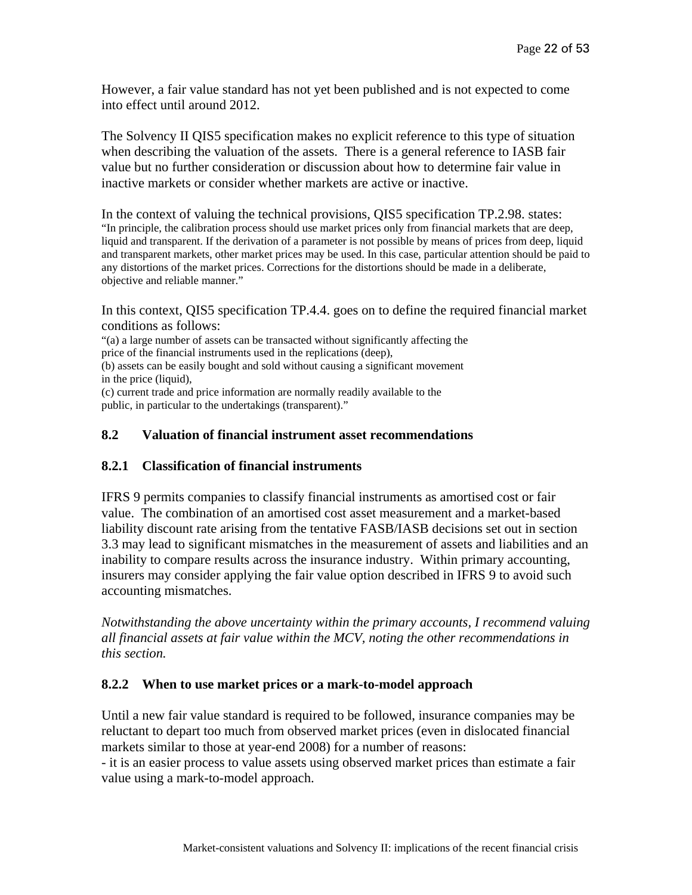However, a fair value standard has not yet been published and is not expected to come into effect until around 2012.

The Solvency II QIS5 specification makes no explicit reference to this type of situation when describing the valuation of the assets. There is a general reference to IASB fair value but no further consideration or discussion about how to determine fair value in inactive markets or consider whether markets are active or inactive.

In the context of valuing the technical provisions, QIS5 specification TP.2.98. states: "In principle, the calibration process should use market prices only from financial markets that are deep, liquid and transparent. If the derivation of a parameter is not possible by means of prices from deep, liquid and transparent markets, other market prices may be used. In this case, particular attention should be paid to any distortions of the market prices. Corrections for the distortions should be made in a deliberate, objective and reliable manner."

In this context, QIS5 specification TP.4.4. goes on to define the required financial market conditions as follows:

"(a) a large number of assets can be transacted without significantly affecting the price of the financial instruments used in the replications (deep), (b) assets can be easily bought and sold without causing a significant movement in the price (liquid), (c) current trade and price information are normally readily available to the public, in particular to the undertakings (transparent)."

## **8.2 Valuation of financial instrument asset recommendations**

### **8.2.1 Classification of financial instruments**

IFRS 9 permits companies to classify financial instruments as amortised cost or fair value. The combination of an amortised cost asset measurement and a market-based liability discount rate arising from the tentative FASB/IASB decisions set out in section 3.3 may lead to significant mismatches in the measurement of assets and liabilities and an inability to compare results across the insurance industry. Within primary accounting, insurers may consider applying the fair value option described in IFRS 9 to avoid such accounting mismatches.

*Notwithstanding the above uncertainty within the primary accounts, I recommend valuing all financial assets at fair value within the MCV, noting the other recommendations in this section.* 

### **8.2.2 When to use market prices or a mark-to-model approach**

Until a new fair value standard is required to be followed, insurance companies may be reluctant to depart too much from observed market prices (even in dislocated financial markets similar to those at year-end 2008) for a number of reasons:

- it is an easier process to value assets using observed market prices than estimate a fair value using a mark-to-model approach.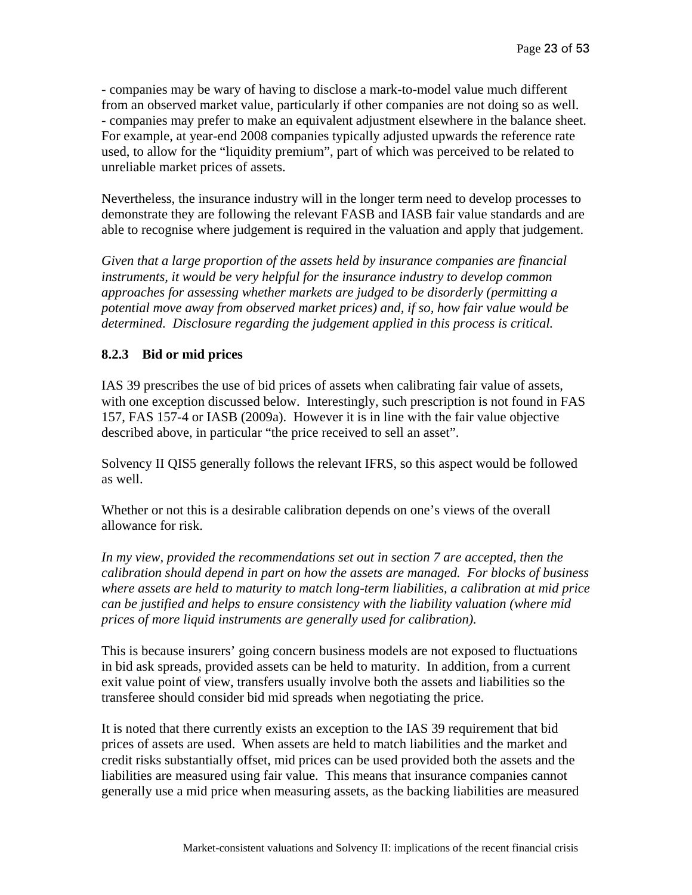- companies may be wary of having to disclose a mark-to-model value much different from an observed market value, particularly if other companies are not doing so as well. - companies may prefer to make an equivalent adjustment elsewhere in the balance sheet. For example, at year-end 2008 companies typically adjusted upwards the reference rate used, to allow for the "liquidity premium", part of which was perceived to be related to unreliable market prices of assets.

Nevertheless, the insurance industry will in the longer term need to develop processes to demonstrate they are following the relevant FASB and IASB fair value standards and are able to recognise where judgement is required in the valuation and apply that judgement.

*Given that a large proportion of the assets held by insurance companies are financial instruments, it would be very helpful for the insurance industry to develop common approaches for assessing whether markets are judged to be disorderly (permitting a potential move away from observed market prices) and, if so, how fair value would be determined. Disclosure regarding the judgement applied in this process is critical.*

## **8.2.3 Bid or mid prices**

IAS 39 prescribes the use of bid prices of assets when calibrating fair value of assets, with one exception discussed below. Interestingly, such prescription is not found in FAS 157, FAS 157-4 or IASB (2009a). However it is in line with the fair value objective described above, in particular "the price received to sell an asset".

Solvency II QIS5 generally follows the relevant IFRS, so this aspect would be followed as well.

Whether or not this is a desirable calibration depends on one's views of the overall allowance for risk.

In my view, provided the recommendations set out in section 7 are accepted, then the *calibration should depend in part on how the assets are managed. For blocks of business where assets are held to maturity to match long-term liabilities, a calibration at mid price can be justified and helps to ensure consistency with the liability valuation (where mid prices of more liquid instruments are generally used for calibration).* 

This is because insurers' going concern business models are not exposed to fluctuations in bid ask spreads, provided assets can be held to maturity. In addition, from a current exit value point of view, transfers usually involve both the assets and liabilities so the transferee should consider bid mid spreads when negotiating the price.

It is noted that there currently exists an exception to the IAS 39 requirement that bid prices of assets are used. When assets are held to match liabilities and the market and credit risks substantially offset, mid prices can be used provided both the assets and the liabilities are measured using fair value. This means that insurance companies cannot generally use a mid price when measuring assets, as the backing liabilities are measured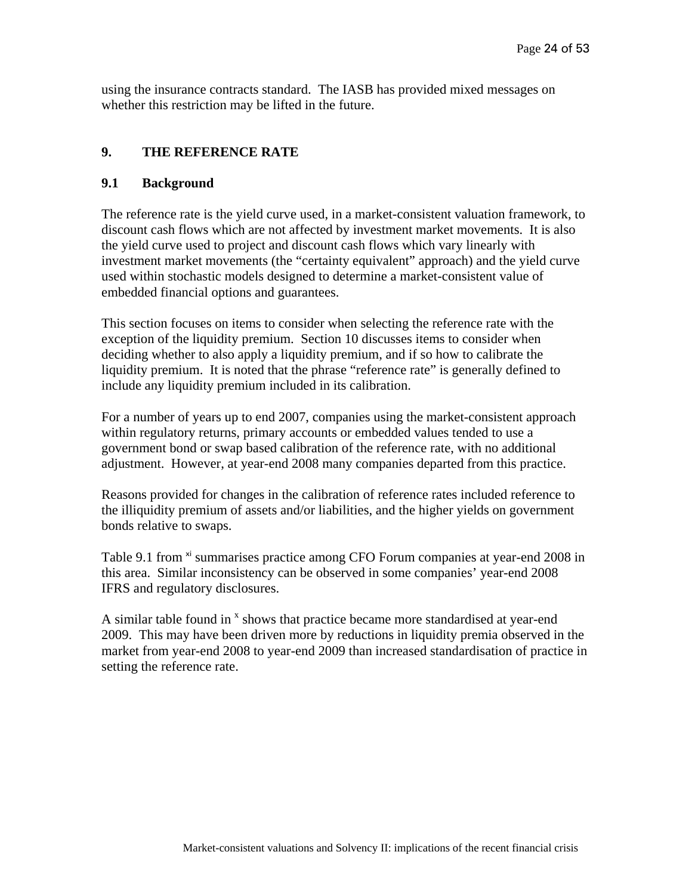<span id="page-23-0"></span>using the insurance contracts standard. The IASB has provided mixed messages on whether this restriction may be lifted in the future.

### **9. THE REFERENCE RATE**

#### **9.1 Background**

The reference rate is the yield curve used, in a market-consistent valuation framework, to discount cash flows which are not affected by investment market movements. It is also the yield curve used to project and discount cash flows which vary linearly with investment market movements (the "certainty equivalent" approach) and the yield curve used within stochastic models designed to determine a market-consistent value of embedded financial options and guarantees.

This section focuses on items to consider when selecting the reference rate with the exception of the liquidity premium. Section 10 discusses items to consider when deciding whether to also apply a liquidity premium, and if so how to calibrate the liquidity premium. It is noted that the phrase "reference rate" is generally defined to include any liquidity premium included in its calibration.

For a number of years up to end 2007, companies using the market-consistent approach within regulatory returns, primary accounts or embedded values tended to use a government bond or swap based calibration of the reference rate, with no additional adjustment. However, at year-end 2008 many companies departed from this practice.

Reasons provided for changes in the calibration of reference rates included reference to the illiquidity premium of assets and/or liabilities, and the higher yields on government bonds relative to swaps.

Table 9.1 from <sup>xi</sup> summarises practice among CFO Forum companies at year-end 2008 in this area. Similar inconsistency can be observed in some companies' year-end 2008 IFRS and regulatory disclosures.

A similar table found in<sup>x</sup> shows that practice became more standardised at year-end 2009. This may have been driven more by reductions in liquidity premia observed in the market from year-end 2008 to year-end 2009 than increased standardisation of practice in setting the reference rate.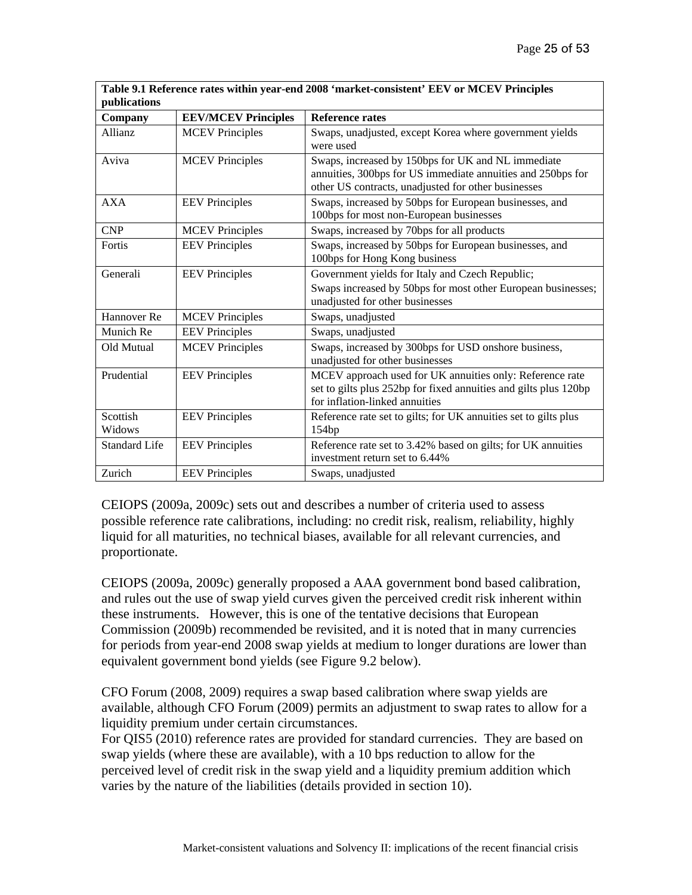| Table 9.1 Reference rates within year-end 2008 'market-consistent' EEV or MCEV Principles<br>publications |                            |                                                                                                                                                                          |  |  |  |
|-----------------------------------------------------------------------------------------------------------|----------------------------|--------------------------------------------------------------------------------------------------------------------------------------------------------------------------|--|--|--|
| Company                                                                                                   | <b>EEV/MCEV Principles</b> | <b>Reference rates</b>                                                                                                                                                   |  |  |  |
| <b>Allianz</b>                                                                                            | <b>MCEV</b> Principles     | Swaps, unadjusted, except Korea where government yields<br>were used                                                                                                     |  |  |  |
| Aviva                                                                                                     | <b>MCEV</b> Principles     | Swaps, increased by 150bps for UK and NL immediate<br>annuities, 300bps for US immediate annuities and 250bps for<br>other US contracts, unadjusted for other businesses |  |  |  |
| <b>AXA</b>                                                                                                | <b>EEV</b> Principles      | Swaps, increased by 50bps for European businesses, and<br>100bps for most non-European businesses                                                                        |  |  |  |
| <b>CNP</b>                                                                                                | <b>MCEV</b> Principles     | Swaps, increased by 70bps for all products                                                                                                                               |  |  |  |
| Fortis                                                                                                    | <b>EEV</b> Principles      | Swaps, increased by 50bps for European businesses, and<br>100bps for Hong Kong business                                                                                  |  |  |  |
| Generali                                                                                                  | <b>EEV</b> Principles      | Government yields for Italy and Czech Republic;<br>Swaps increased by 50bps for most other European businesses;<br>unadjusted for other businesses                       |  |  |  |
| Hannover Re                                                                                               | <b>MCEV</b> Principles     | Swaps, unadjusted                                                                                                                                                        |  |  |  |
| Munich Re                                                                                                 | <b>EEV</b> Principles      | Swaps, unadjusted                                                                                                                                                        |  |  |  |
| Old Mutual                                                                                                | <b>MCEV</b> Principles     | Swaps, increased by 300bps for USD onshore business,<br>unadjusted for other businesses                                                                                  |  |  |  |
| Prudential                                                                                                | <b>EEV</b> Principles      | MCEV approach used for UK annuities only: Reference rate<br>set to gilts plus 252bp for fixed annuities and gilts plus 120bp<br>for inflation-linked annuities           |  |  |  |
| Scottish<br>Widows                                                                                        | <b>EEV</b> Principles      | Reference rate set to gilts; for UK annuities set to gilts plus<br>154bp                                                                                                 |  |  |  |
| <b>Standard Life</b>                                                                                      | <b>EEV</b> Principles      | Reference rate set to 3.42% based on gilts; for UK annuities<br>investment return set to 6.44%                                                                           |  |  |  |
| Zurich                                                                                                    | <b>EEV</b> Principles      | Swaps, unadjusted                                                                                                                                                        |  |  |  |

**Table 9.1 Reference rates within year-end 2008 'market-consistent' EEV or MCEV Principles** 

CEIOPS (2009a, 2009c) sets out and describes a number of criteria used to assess possible reference rate calibrations, including: no credit risk, realism, reliability, highly liquid for all maturities, no technical biases, available for all relevant currencies, and proportionate.

CEIOPS (2009a, 2009c) generally proposed a AAA government bond based calibration, and rules out the use of swap yield curves given the perceived credit risk inherent within these instruments. However, this is one of the tentative decisions that European Commission (2009b) recommended be revisited, and it is noted that in many currencies for periods from year-end 2008 swap yields at medium to longer durations are lower than equivalent government bond yields (see Figure 9.2 below).

CFO Forum (2008, 2009) requires a swap based calibration where swap yields are available, although CFO Forum (2009) permits an adjustment to swap rates to allow for a liquidity premium under certain circumstances.

For QIS5 (2010) reference rates are provided for standard currencies. They are based on swap yields (where these are available), with a 10 bps reduction to allow for the perceived level of credit risk in the swap yield and a liquidity premium addition which varies by the nature of the liabilities (details provided in section 10).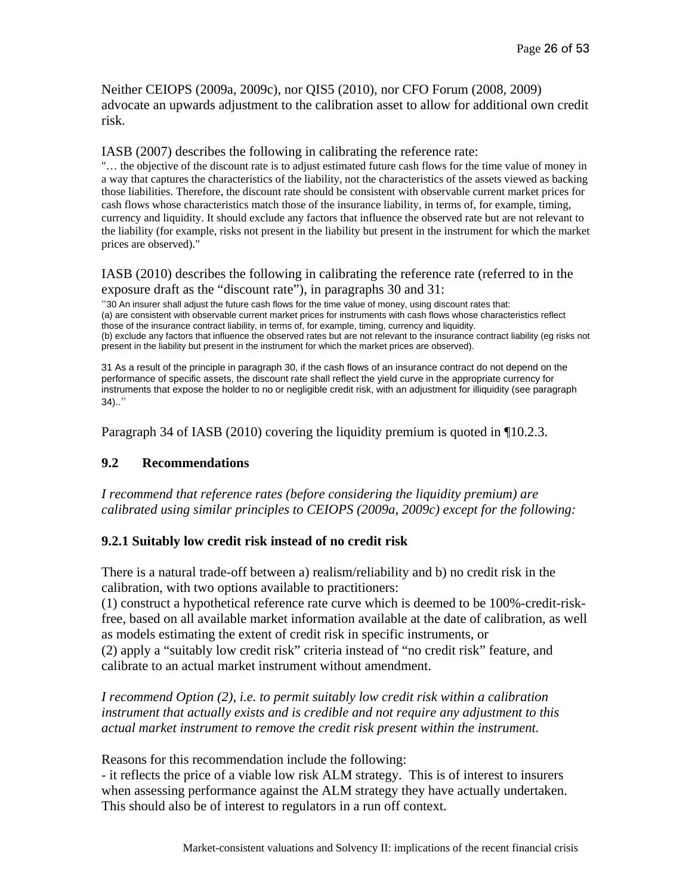Neither CEIOPS (2009a, 2009c), nor QIS5 (2010), nor CFO Forum (2008, 2009) advocate an upwards adjustment to the calibration asset to allow for additional own credit risk.

IASB (2007) describes the following in calibrating the reference rate:

"… the objective of the discount rate is to adjust estimated future cash flows for the time value of money in a way that captures the characteristics of the liability, not the characteristics of the assets viewed as backing those liabilities. Therefore, the discount rate should be consistent with observable current market prices for cash flows whose characteristics match those of the insurance liability, in terms of, for example, timing, currency and liquidity. It should exclude any factors that influence the observed rate but are not relevant to the liability (for example, risks not present in the liability but present in the instrument for which the market prices are observed)."

### IASB (2010) describes the following in calibrating the reference rate (referred to in the exposure draft as the "discount rate"), in paragraphs 30 and 31:

"30 An insurer shall adjust the future cash flows for the time value of money, using discount rates that: (a) are consistent with observable current market prices for instruments with cash flows whose characteristics reflect those of the insurance contract liability, in terms of, for example, timing, currency and liquidity. (b) exclude any factors that influence the observed rates but are not relevant to the insurance contract liability (eg risks not present in the liability but present in the instrument for which the market prices are observed).

31 As a result of the principle in paragraph 30, if the cash flows of an insurance contract do not depend on the performance of specific assets, the discount rate shall reflect the yield curve in the appropriate currency for instruments that expose the holder to no or negligible credit risk, with an adjustment for illiquidity (see paragraph 34).."

Paragraph 34 of IASB (2010) covering the liquidity premium is quoted in ¶10.2.3.

### **9.2 Recommendations**

*I recommend that reference rates (before considering the liquidity premium) are calibrated using similar principles to CEIOPS (2009a, 2009c) except for the following:*

### **9.2.1 Suitably low credit risk instead of no credit risk**

There is a natural trade-off between a) realism/reliability and b) no credit risk in the calibration, with two options available to practitioners:

(1) construct a hypothetical reference rate curve which is deemed to be 100%-credit-riskfree, based on all available market information available at the date of calibration, as well as models estimating the extent of credit risk in specific instruments, or (2) apply a "suitably low credit risk" criteria instead of "no credit risk" feature, and calibrate to an actual market instrument without amendment.

*I recommend Option (2), i.e. to permit suitably low credit risk within a calibration instrument that actually exists and is credible and not require any adjustment to this actual market instrument to remove the credit risk present within the instrument.* 

Reasons for this recommendation include the following:

- it reflects the price of a viable low risk ALM strategy. This is of interest to insurers when assessing performance against the ALM strategy they have actually undertaken. This should also be of interest to regulators in a run off context.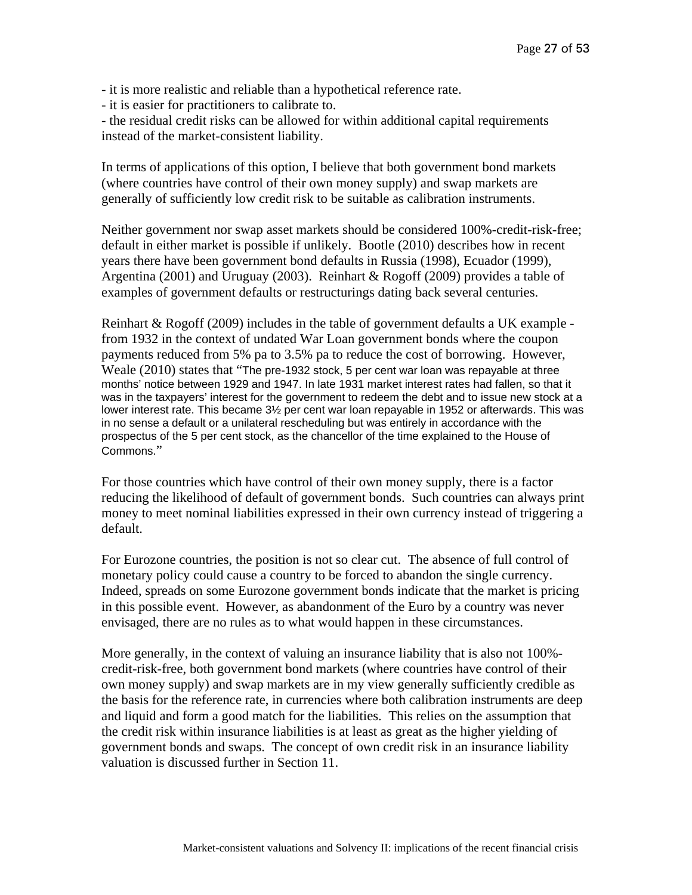- it is more realistic and reliable than a hypothetical reference rate.
- it is easier for practitioners to calibrate to.

- the residual credit risks can be allowed for within additional capital requirements instead of the market-consistent liability.

In terms of applications of this option, I believe that both government bond markets (where countries have control of their own money supply) and swap markets are generally of sufficiently low credit risk to be suitable as calibration instruments.

Neither government nor swap asset markets should be considered 100%-credit-risk-free; default in either market is possible if unlikely. Bootle (2010) describes how in recent years there have been government bond defaults in Russia (1998), Ecuador (1999), Argentina (2001) and Uruguay (2003). Reinhart & Rogoff (2009) provides a table of examples of government defaults or restructurings dating back several centuries.

Reinhart & Rogoff (2009) includes in the table of government defaults a UK example from 1932 in the context of undated War Loan government bonds where the coupon payments reduced from 5% pa to 3.5% pa to reduce the cost of borrowing. However, Weale (2010) states that "The pre-1932 stock, 5 per cent war loan was repayable at three months' notice between 1929 and 1947. In late 1931 market interest rates had fallen, so that it was in the taxpayers' interest for the government to redeem the debt and to issue new stock at a lower interest rate. This became 3½ per cent war loan repayable in 1952 or afterwards. This was in no sense a default or a unilateral rescheduling but was entirely in accordance with the prospectus of the 5 per cent stock, as the chancellor of the time explained to the House of Commons."

For those countries which have control of their own money supply, there is a factor reducing the likelihood of default of government bonds. Such countries can always print money to meet nominal liabilities expressed in their own currency instead of triggering a default.

For Eurozone countries, the position is not so clear cut. The absence of full control of monetary policy could cause a country to be forced to abandon the single currency. Indeed, spreads on some Eurozone government bonds indicate that the market is pricing in this possible event. However, as abandonment of the Euro by a country was never envisaged, there are no rules as to what would happen in these circumstances.

More generally, in the context of valuing an insurance liability that is also not 100% credit-risk-free, both government bond markets (where countries have control of their own money supply) and swap markets are in my view generally sufficiently credible as the basis for the reference rate, in currencies where both calibration instruments are deep and liquid and form a good match for the liabilities. This relies on the assumption that the credit risk within insurance liabilities is at least as great as the higher yielding of government bonds and swaps. The concept of own credit risk in an insurance liability valuation is discussed further in Section 11.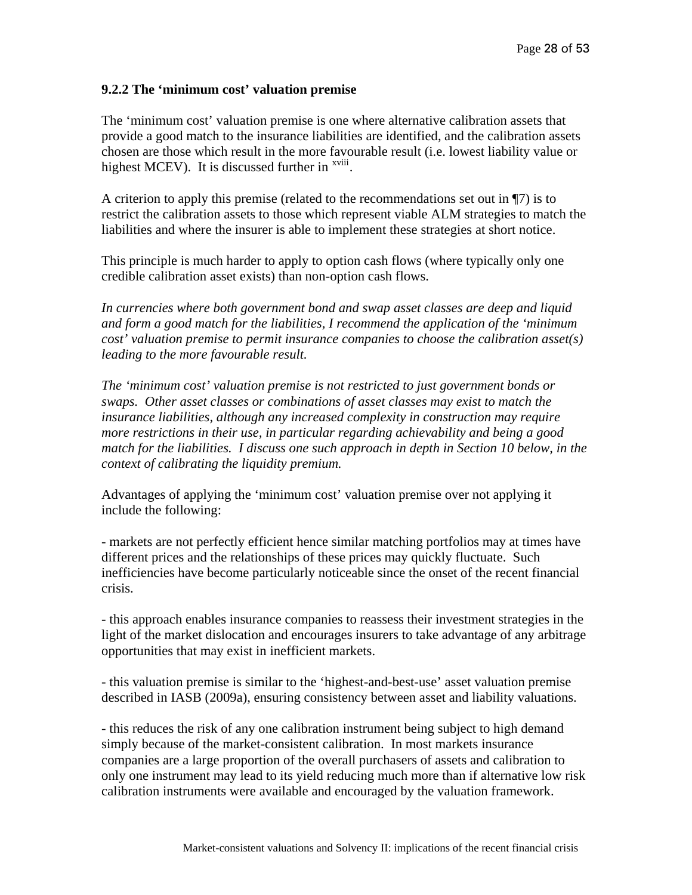### **9.2.2 The 'minimum cost' valuation premise**

The 'minimum cost' valuation premise is one where alternative calibration assets that provide a good match to the insurance liabilities are identified, and the calibration assets chosen are those which result in the more favourable result (i.e. lowest liability value or highest MCEV). It is discussed further in <sup>[xviii](#page-2-2)</sup>.

A criterion to apply this premise (related to the recommendations set out in ¶7) is to restrict the calibration assets to those which represent viable ALM strategies to match the liabilities and where the insurer is able to implement these strategies at short notice.

This principle is much harder to apply to option cash flows (where typically only one credible calibration asset exists) than non-option cash flows.

*In currencies where both government bond and swap asset classes are deep and liquid and form a good match for the liabilities, I recommend the application of the 'minimum cost' valuation premise to permit insurance companies to choose the calibration asset(s) leading to the more favourable result.* 

*The 'minimum cost' valuation premise is not restricted to just government bonds or swaps. Other asset classes or combinations of asset classes may exist to match the insurance liabilities, although any increased complexity in construction may require more restrictions in their use, in particular regarding achievability and being a good match for the liabilities. I discuss one such approach in depth in Section 10 below, in the context of calibrating the liquidity premium.* 

Advantages of applying the 'minimum cost' valuation premise over not applying it include the following:

- markets are not perfectly efficient hence similar matching portfolios may at times have different prices and the relationships of these prices may quickly fluctuate. Such inefficiencies have become particularly noticeable since the onset of the recent financial crisis.

- this approach enables insurance companies to reassess their investment strategies in the light of the market dislocation and encourages insurers to take advantage of any arbitrage opportunities that may exist in inefficient markets.

- this valuation premise is similar to the 'highest-and-best-use' asset valuation premise described in IASB (2009a), ensuring consistency between asset and liability valuations.

- this reduces the risk of any one calibration instrument being subject to high demand simply because of the market-consistent calibration. In most markets insurance companies are a large proportion of the overall purchasers of assets and calibration to only one instrument may lead to its yield reducing much more than if alternative low risk calibration instruments were available and encouraged by the valuation framework.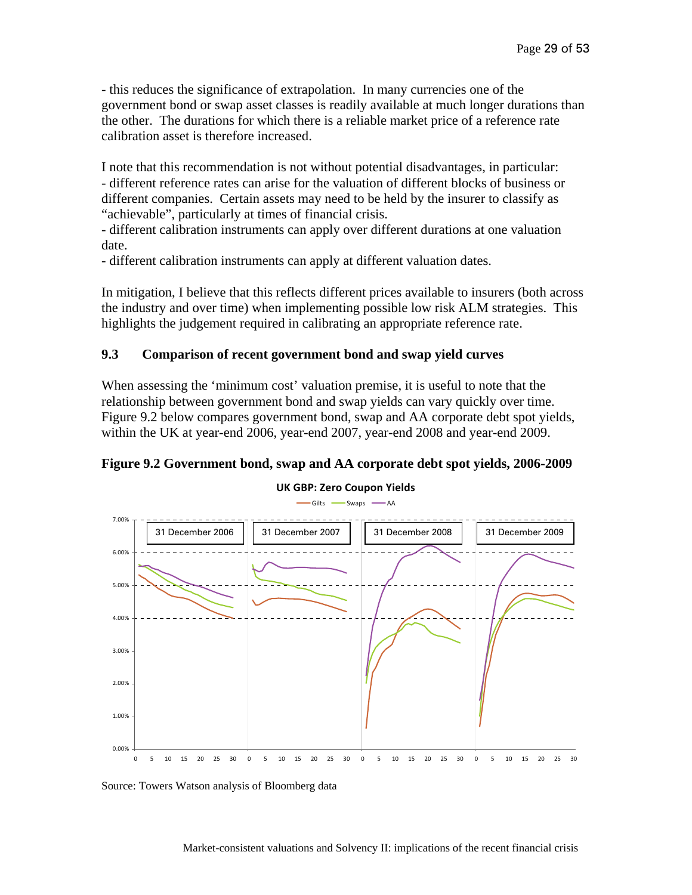- this reduces the significance of extrapolation. In many currencies one of the government bond or swap asset classes is readily available at much longer durations than the other. The durations for which there is a reliable market price of a reference rate calibration asset is therefore increased.

I note that this recommendation is not without potential disadvantages, in particular: - different reference rates can arise for the valuation of different blocks of business or different companies. Certain assets may need to be held by the insurer to classify as "achievable", particularly at times of financial crisis.

- different calibration instruments can apply over different durations at one valuation date.

- different calibration instruments can apply at different valuation dates.

In mitigation, I believe that this reflects different prices available to insurers (both across the industry and over time) when implementing possible low risk ALM strategies. This highlights the judgement required in calibrating an appropriate reference rate.

## **9.3 Comparison of recent government bond and swap yield curves**

When assessing the 'minimum cost' valuation premise, it is useful to note that the relationship between government bond and swap yields can vary quickly over time. Figure 9.2 below compares government bond, swap and AA corporate debt spot yields, within the UK at year-end 2006, year-end 2007, year-end 2008 and year-end 2009.





#### **UK GBP: Zero Coupon Yields**

Source: Towers Watson analysis of Bloomberg data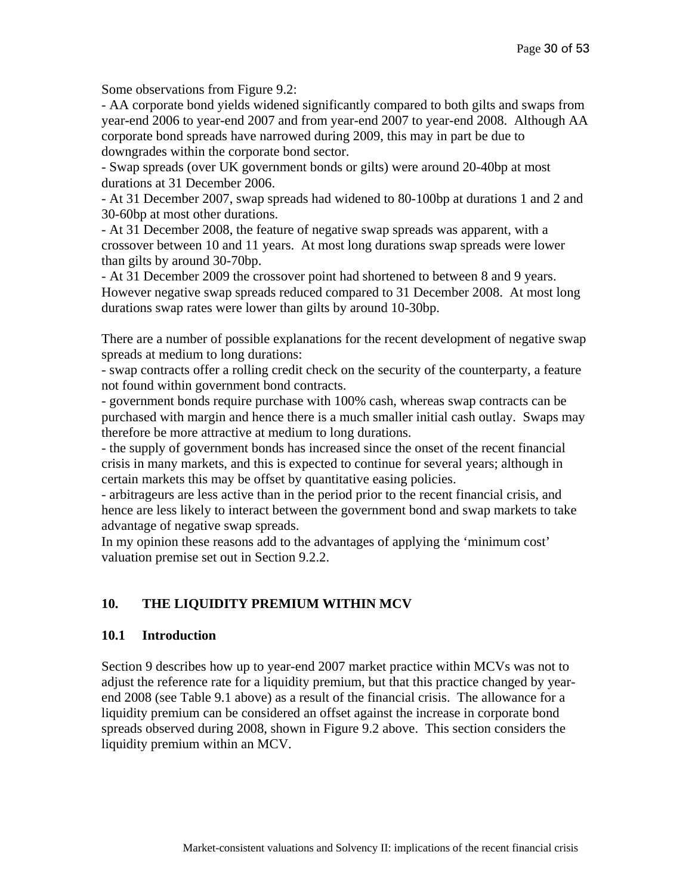<span id="page-29-0"></span>Some observations from Figure 9.2:

- AA corporate bond yields widened significantly compared to both gilts and swaps from year-end 2006 to year-end 2007 and from year-end 2007 to year-end 2008. Although AA corporate bond spreads have narrowed during 2009, this may in part be due to downgrades within the corporate bond sector.

- Swap spreads (over UK government bonds or gilts) were around 20-40bp at most durations at 31 December 2006.

- At 31 December 2007, swap spreads had widened to 80-100bp at durations 1 and 2 and 30-60bp at most other durations.

- At 31 December 2008, the feature of negative swap spreads was apparent, with a crossover between 10 and 11 years. At most long durations swap spreads were lower than gilts by around 30-70bp.

- At 31 December 2009 the crossover point had shortened to between 8 and 9 years. However negative swap spreads reduced compared to 31 December 2008. At most long durations swap rates were lower than gilts by around 10-30bp.

There are a number of possible explanations for the recent development of negative swap spreads at medium to long durations:

- swap contracts offer a rolling credit check on the security of the counterparty, a feature not found within government bond contracts.

- government bonds require purchase with 100% cash, whereas swap contracts can be purchased with margin and hence there is a much smaller initial cash outlay. Swaps may therefore be more attractive at medium to long durations.

- the supply of government bonds has increased since the onset of the recent financial crisis in many markets, and this is expected to continue for several years; although in certain markets this may be offset by quantitative easing policies.

- arbitrageurs are less active than in the period prior to the recent financial crisis, and hence are less likely to interact between the government bond and swap markets to take advantage of negative swap spreads.

In my opinion these reasons add to the advantages of applying the 'minimum cost' valuation premise set out in Section 9.2.2.

## **10. THE LIQUIDITY PREMIUM WITHIN MCV**

#### **10.1 Introduction**

Section 9 describes how up to year-end 2007 market practice within MCVs was not to adjust the reference rate for a liquidity premium, but that this practice changed by yearend 2008 (see Table 9.1 above) as a result of the financial crisis. The allowance for a liquidity premium can be considered an offset against the increase in corporate bond spreads observed during 2008, shown in Figure 9.2 above. This section considers the liquidity premium within an MCV.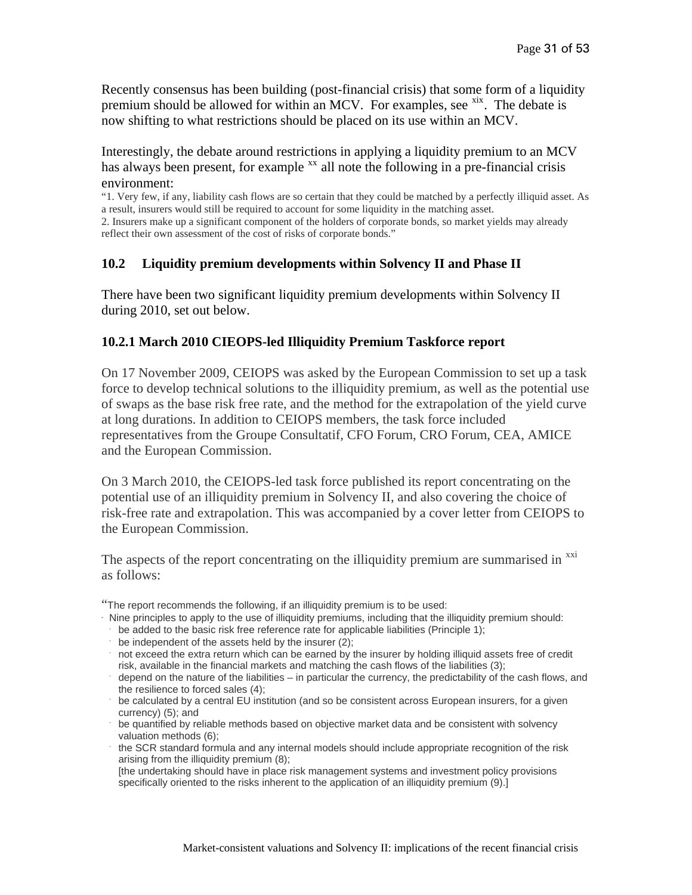Recently consensus has been building (post-financial crisis) that some form of a liquidity premium should be allowed for within an MCV. For examples, see  $\frac{X}{X}$ . The debate is now shifting to what restrictions should be placed on its use within an MCV.

### Interestingly, the debate around restrictions in applying a liquidity premium to an MCV has always been present, for example  $X^X$  all note the following in a pre-financial crisis environment:

"1. Very few, if any, liability cash flows are so certain that they could be matched by a perfectly illiquid asset. As a result, insurers would still be required to account for some liquidity in the matching asset. 2. Insurers make up a significant component of the holders of corporate bonds, so market yields may already reflect their own assessment of the cost of risks of corporate bonds."

## **10.2 Liquidity premium developments within Solvency II and Phase II**

There have been two significant liquidity premium developments within Solvency II during 2010, set out below.

## **10.2.1 March 2010 CIEOPS-led Illiquidity Premium Taskforce report**

On 17 November 2009, CEIOPS was asked by the European Commission to set up a task force to develop technical solutions to the illiquidity premium, as well as the potential use of swaps as the base risk free rate, and the method for the extrapolation of the yield curve at long durations. In addition to CEIOPS members, the task force included representatives from the Groupe Consultatif, CFO Forum, CRO Forum, CEA, AMICE and the European Commission.

On 3 March 2010, the CEIOPS-led task force published its report concentrating on the potential use of an illiquidity premium in Solvency II, and also covering the choice of risk-free rate and extrapolation. This was accompanied by a cover letter from CEIOPS to the European Commission.

The aspects of the report concentrating on the illiquidity premium are summarised in <sup>[xxi](#page-2-2)</sup> as follows:

"The report recommends the following, if an illiquidity premium is to be used:

- Nine principles to apply to the use of illiquidity premiums, including that the illiquidity premium should:
	- be added to the basic risk free reference rate for applicable liabilities (Principle 1);
	- be independent of the assets held by the insurer (2);
	- not exceed the extra return which can be earned by the insurer by holding illiquid assets free of credit risk, available in the financial markets and matching the cash flows of the liabilities (3);
	- depend on the nature of the liabilities in particular the currency, the predictability of the cash flows, and the resilience to forced sales (4);
	- be calculated by a central EU institution (and so be consistent across European insurers, for a given currency) (5); and
	- be quantified by reliable methods based on objective market data and be consistent with solvency valuation methods (6);
	- the SCR standard formula and any internal models should include appropriate recognition of the risk arising from the illiquidity premium (8);
	- [the undertaking should have in place risk management systems and investment policy provisions specifically oriented to the risks inherent to the application of an illiquidity premium (9).]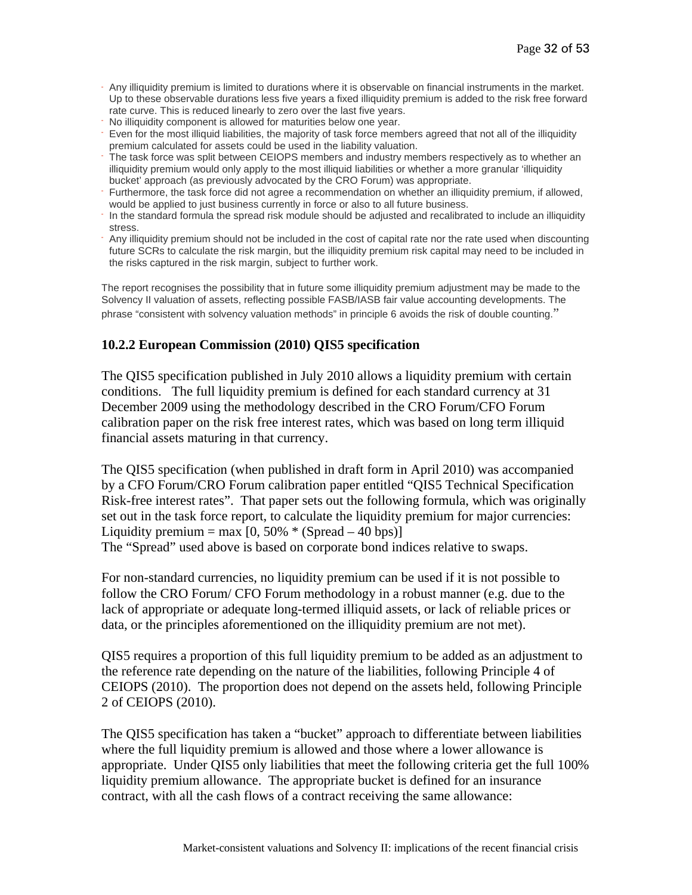- Any illiquidity premium is limited to durations where it is observable on financial instruments in the market. Up to these observable durations less five years a fixed illiquidity premium is added to the risk free forward rate curve. This is reduced linearly to zero over the last five years.
- No illiquidity component is allowed for maturities below one year.
- Even for the most illiquid liabilities, the majority of task force members agreed that not all of the illiquidity premium calculated for assets could be used in the liability valuation.
- The task force was split between CEIOPS members and industry members respectively as to whether an illiquidity premium would only apply to the most illiquid liabilities or whether a more granular 'illiquidity bucket' approach (as previously advocated by the CRO Forum) was appropriate.
- Furthermore, the task force did not agree a recommendation on whether an illiquidity premium, if allowed, would be applied to just business currently in force or also to all future business.
- In the standard formula the spread risk module should be adjusted and recalibrated to include an illiquidity stress.
- Any illiquidity premium should not be included in the cost of capital rate nor the rate used when discounting future SCRs to calculate the risk margin, but the illiquidity premium risk capital may need to be included in the risks captured in the risk margin, subject to further work.

The report recognises the possibility that in future some illiquidity premium adjustment may be made to the Solvency II valuation of assets, reflecting possible FASB/IASB fair value accounting developments. The phrase "consistent with solvency valuation methods" in principle 6 avoids the risk of double counting."

### **10.2.2 European Commission (2010) QIS5 specification**

The QIS5 specification published in July 2010 allows a liquidity premium with certain conditions. The full liquidity premium is defined for each standard currency at 31 December 2009 using the methodology described in the CRO Forum/CFO Forum calibration paper on the risk free interest rates, which was based on long term illiquid financial assets maturing in that currency.

The QIS5 specification (when published in draft form in April 2010) was accompanied by a CFO Forum/CRO Forum calibration paper entitled "QIS5 Technical Specification Risk-free interest rates". That paper sets out the following formula, which was originally set out in the task force report, to calculate the liquidity premium for major currencies: Liquidity premium = max  $[0, 50\% * (Spread - 40 bps)]$ The "Spread" used above is based on corporate bond indices relative to swaps.

For non-standard currencies, no liquidity premium can be used if it is not possible to follow the CRO Forum/ CFO Forum methodology in a robust manner (e.g. due to the lack of appropriate or adequate long-termed illiquid assets, or lack of reliable prices or data, or the principles aforementioned on the illiquidity premium are not met).

QIS5 requires a proportion of this full liquidity premium to be added as an adjustment to the reference rate depending on the nature of the liabilities, following Principle 4 of CEIOPS (2010). The proportion does not depend on the assets held, following Principle 2 of CEIOPS (2010).

The QIS5 specification has taken a "bucket" approach to differentiate between liabilities where the full liquidity premium is allowed and those where a lower allowance is appropriate. Under QIS5 only liabilities that meet the following criteria get the full 100% liquidity premium allowance. The appropriate bucket is defined for an insurance contract, with all the cash flows of a contract receiving the same allowance: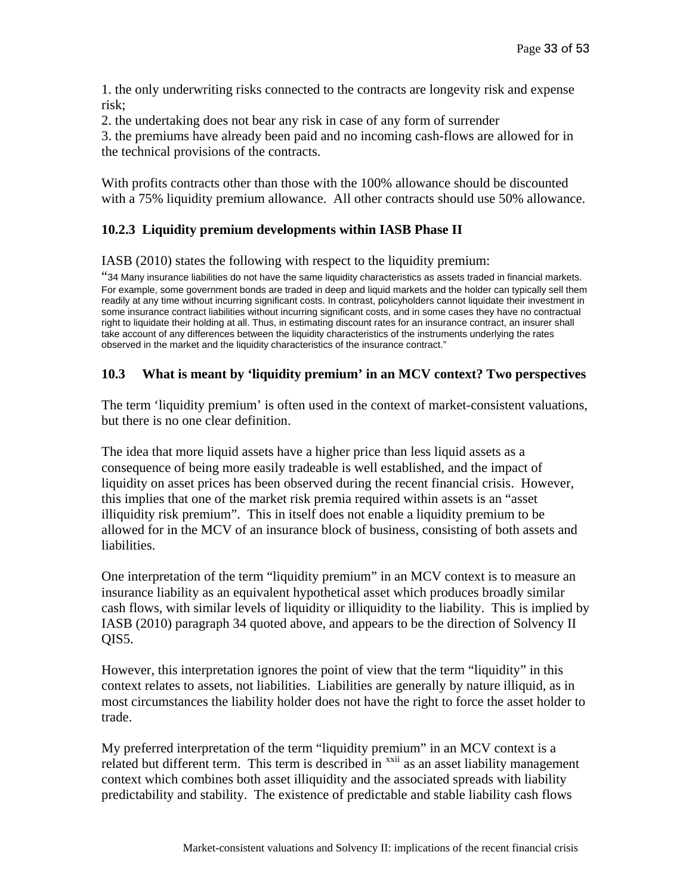1. the only underwriting risks connected to the contracts are longevity risk and expense risk;

2. the undertaking does not bear any risk in case of any form of surrender

3. the premiums have already been paid and no incoming cash-flows are allowed for in the technical provisions of the contracts.

With profits contracts other than those with the 100% allowance should be discounted with a 75% liquidity premium allowance. All other contracts should use 50% allowance.

## **10.2.3 Liquidity premium developments within IASB Phase II**

IASB (2010) states the following with respect to the liquidity premium:

"34 Many insurance liabilities do not have the same liquidity characteristics as assets traded in financial markets. For example, some government bonds are traded in deep and liquid markets and the holder can typically sell them readily at any time without incurring significant costs. In contrast, policyholders cannot liquidate their investment in some insurance contract liabilities without incurring significant costs, and in some cases they have no contractual right to liquidate their holding at all. Thus, in estimating discount rates for an insurance contract, an insurer shall take account of any differences between the liquidity characteristics of the instruments underlying the rates observed in the market and the liquidity characteristics of the insurance contract."

### **10.3 What is meant by 'liquidity premium' in an MCV context? Two perspectives**

The term 'liquidity premium' is often used in the context of market-consistent valuations, but there is no one clear definition.

The idea that more liquid assets have a higher price than less liquid assets as a consequence of being more easily tradeable is well established, and the impact of liquidity on asset prices has been observed during the recent financial crisis. However, this implies that one of the market risk premia required within assets is an "asset illiquidity risk premium". This in itself does not enable a liquidity premium to be allowed for in the MCV of an insurance block of business, consisting of both assets and liabilities.

One interpretation of the term "liquidity premium" in an MCV context is to measure an insurance liability as an equivalent hypothetical asset which produces broadly similar cash flows, with similar levels of liquidity or illiquidity to the liability. This is implied by IASB (2010) paragraph 34 quoted above, and appears to be the direction of Solvency II QIS5.

However, this interpretation ignores the point of view that the term "liquidity" in this context relates to assets, not liabilities. Liabilities are generally by nature illiquid, as in most circumstances the liability holder does not have the right to force the asset holder to trade.

My preferred interpretation of the term "liquidity premium" in an MCV context is a related but different term. This term is described in <sup>[xxii](#page-2-2)</sup> as an asset liability management context which combines both asset illiquidity and the associated spreads with liability predictability and stability. The existence of predictable and stable liability cash flows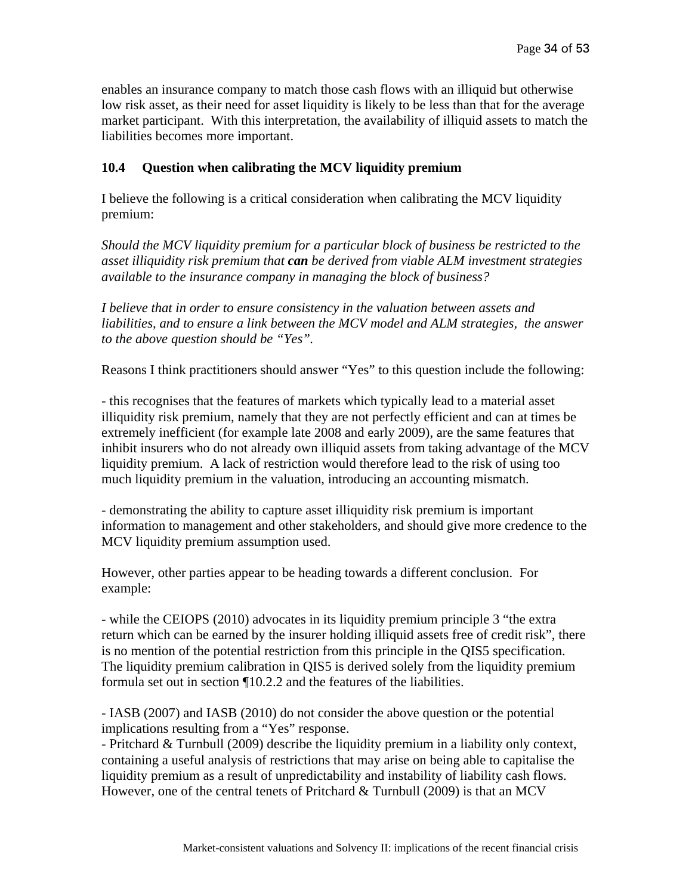enables an insurance company to match those cash flows with an illiquid but otherwise low risk asset, as their need for asset liquidity is likely to be less than that for the average market participant. With this interpretation, the availability of illiquid assets to match the liabilities becomes more important.

### **10.4 Question when calibrating the MCV liquidity premium**

I believe the following is a critical consideration when calibrating the MCV liquidity premium:

*Should the MCV liquidity premium for a particular block of business be restricted to the asset illiquidity risk premium that can be derived from viable ALM investment strategies available to the insurance company in managing the block of business?* 

*I believe that in order to ensure consistency in the valuation between assets and liabilities, and to ensure a link between the MCV model and ALM strategies, the answer to the above question should be "Yes".*

Reasons I think practitioners should answer "Yes" to this question include the following:

- this recognises that the features of markets which typically lead to a material asset illiquidity risk premium, namely that they are not perfectly efficient and can at times be extremely inefficient (for example late 2008 and early 2009), are the same features that inhibit insurers who do not already own illiquid assets from taking advantage of the MCV liquidity premium. A lack of restriction would therefore lead to the risk of using too much liquidity premium in the valuation, introducing an accounting mismatch.

- demonstrating the ability to capture asset illiquidity risk premium is important information to management and other stakeholders, and should give more credence to the MCV liquidity premium assumption used.

However, other parties appear to be heading towards a different conclusion. For example:

- while the CEIOPS (2010) advocates in its liquidity premium principle 3 "the extra return which can be earned by the insurer holding illiquid assets free of credit risk", there is no mention of the potential restriction from this principle in the QIS5 specification. The liquidity premium calibration in QIS5 is derived solely from the liquidity premium formula set out in section ¶10.2.2 and the features of the liabilities.

- IASB (2007) and IASB (2010) do not consider the above question or the potential implications resulting from a "Yes" response.

- Pritchard & Turnbull (2009) describe the liquidity premium in a liability only context, containing a useful analysis of restrictions that may arise on being able to capitalise the liquidity premium as a result of unpredictability and instability of liability cash flows. However, one of the central tenets of Pritchard & Turnbull (2009) is that an MCV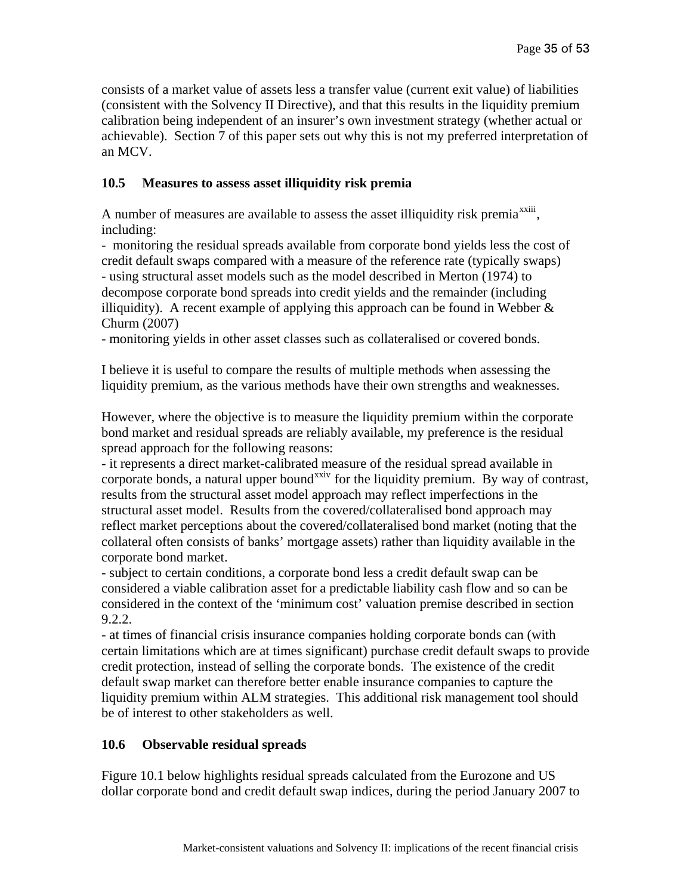consists of a market value of assets less a transfer value (current exit value) of liabilities (consistent with the Solvency II Directive), and that this results in the liquidity premium calibration being independent of an insurer's own investment strategy (whether actual or achievable). Section 7 of this paper sets out why this is not my preferred interpretation of an MCV.

### **10.5 Measures to assess asset illiquidity risk premia**

A number of measures are available to assess the asset illiquidity risk premia<sup>[xxiii](#page-2-2)</sup>, including:

- monitoring the residual spreads available from corporate bond yields less the cost of credit default swaps compared with a measure of the reference rate (typically swaps) - using structural asset models such as the model described in Merton (1974) to decompose corporate bond spreads into credit yields and the remainder (including illiquidity). A recent example of applying this approach can be found in Webber  $\&$ Churm (2007)

- monitoring yields in other asset classes such as collateralised or covered bonds.

I believe it is useful to compare the results of multiple methods when assessing the liquidity premium, as the various methods have their own strengths and weaknesses.

However, where the objective is to measure the liquidity premium within the corporate bond market and residual spreads are reliably available, my preference is the residual spread approach for the following reasons:

- it represents a direct market-calibrated measure of the residual spread available in corporate bonds, a natural upper bound<sup>[xxiv](#page-2-2)</sup> for the liquidity premium. By way of contrast, results from the structural asset model approach may reflect imperfections in the structural asset model. Results from the covered/collateralised bond approach may reflect market perceptions about the covered/collateralised bond market (noting that the collateral often consists of banks' mortgage assets) rather than liquidity available in the corporate bond market.

- subject to certain conditions, a corporate bond less a credit default swap can be considered a viable calibration asset for a predictable liability cash flow and so can be considered in the context of the 'minimum cost' valuation premise described in section 9.2.2.

- at times of financial crisis insurance companies holding corporate bonds can (with certain limitations which are at times significant) purchase credit default swaps to provide credit protection, instead of selling the corporate bonds. The existence of the credit default swap market can therefore better enable insurance companies to capture the liquidity premium within ALM strategies. This additional risk management tool should be of interest to other stakeholders as well.

### **10.6 Observable residual spreads**

Figure 10.1 below highlights residual spreads calculated from the Eurozone and US dollar corporate bond and credit default swap indices, during the period January 2007 to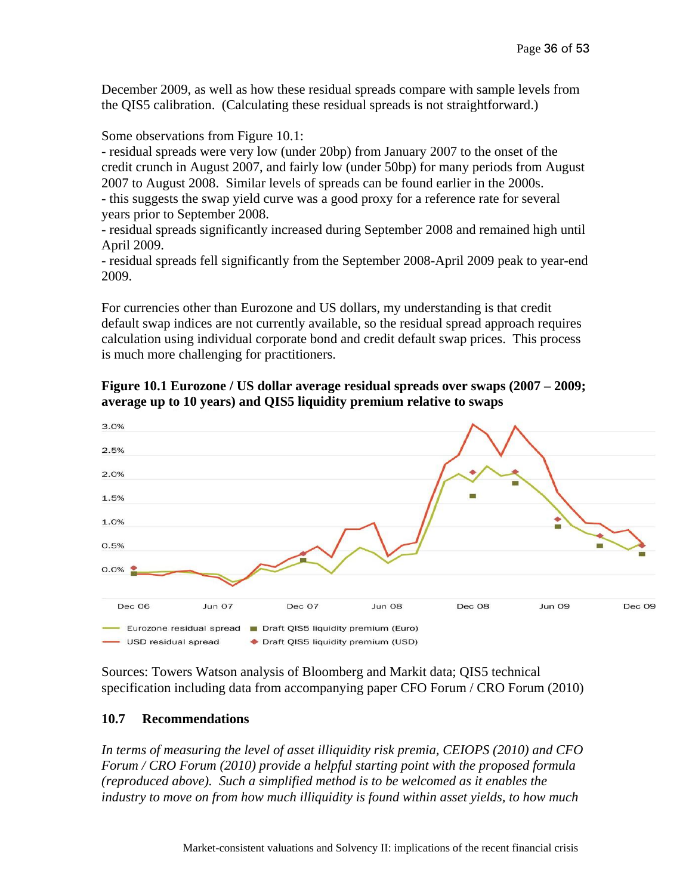December 2009, as well as how these residual spreads compare with sample levels from the QIS5 calibration. (Calculating these residual spreads is not straightforward.)

Some observations from Figure 10.1:

- residual spreads were very low (under 20bp) from January 2007 to the onset of the credit crunch in August 2007, and fairly low (under 50bp) for many periods from August 2007 to August 2008. Similar levels of spreads can be found earlier in the 2000s.

- this suggests the swap yield curve was a good proxy for a reference rate for several years prior to September 2008.

- residual spreads significantly increased during September 2008 and remained high until April 2009.

- residual spreads fell significantly from the September 2008-April 2009 peak to year-end 2009.

For currencies other than Eurozone and US dollars, my understanding is that credit default swap indices are not currently available, so the residual spread approach requires calculation using individual corporate bond and credit default swap prices. This process is much more challenging for practitioners.



**Figure 10.1 Eurozone / US dollar average residual spreads over swaps (2007 – 2009; average up to 10 years) and QIS5 liquidity premium relative to swaps** 

Sources: Towers Watson analysis of Bloomberg and Markit data; QIS5 technical specification including data from accompanying paper CFO Forum / CRO Forum (2010)

#### **10.7 Recommendations**

*In terms of measuring the level of asset illiquidity risk premia, CEIOPS (2010) and CFO Forum / CRO Forum (2010) provide a helpful starting point with the proposed formula (reproduced above). Such a simplified method is to be welcomed as it enables the industry to move on from how much illiquidity is found within asset yields, to how much*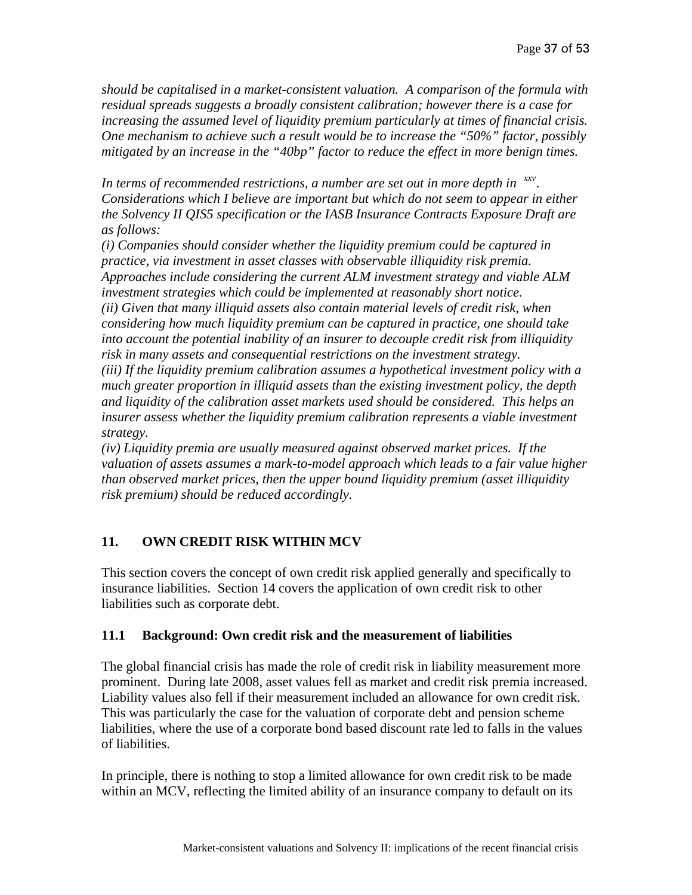<span id="page-36-0"></span>*should be capitalised in a market-consistent valuation. A comparison of the formula with residual spreads suggests a broadly consistent calibration; however there is a case for increasing the assumed level of liquidity premium particularly at times of financial crisis. One mechanism to achieve such a result would be to increase the "50%" factor, possibly mitigated by an increase in the "40bp" factor to reduce the effect in more benign times.* 

In terms of recommended restrictions, a number are set out in more depth in  $\frac{xy}{xy}$ . *Considerations which I believe are important but which do not seem to appear in either the Solvency II QIS5 specification or the IASB Insurance Contracts Exposure Draft are as follows:* 

*(i) Companies should consider whether the liquidity premium could be captured in practice, via investment in asset classes with observable illiquidity risk premia. Approaches include considering the current ALM investment strategy and viable ALM investment strategies which could be implemented at reasonably short notice. (ii) Given that many illiquid assets also contain material levels of credit risk, when considering how much liquidity premium can be captured in practice, one should take into account the potential inability of an insurer to decouple credit risk from illiquidity risk in many assets and consequential restrictions on the investment strategy. (iii) If the liquidity premium calibration assumes a hypothetical investment policy with a much greater proportion in illiquid assets than the existing investment policy, the depth and liquidity of the calibration asset markets used should be considered. This helps an insurer assess whether the liquidity premium calibration represents a viable investment strategy.*

*(iv) Liquidity premia are usually measured against observed market prices. If the valuation of assets assumes a mark-to-model approach which leads to a fair value higher than observed market prices, then the upper bound liquidity premium (asset illiquidity risk premium) should be reduced accordingly.* 

## **11. OWN CREDIT RISK WITHIN MCV**

This section covers the concept of own credit risk applied generally and specifically to insurance liabilities. Section 14 covers the application of own credit risk to other liabilities such as corporate debt.

### **11.1 Background: Own credit risk and the measurement of liabilities**

The global financial crisis has made the role of credit risk in liability measurement more prominent. During late 2008, asset values fell as market and credit risk premia increased. Liability values also fell if their measurement included an allowance for own credit risk. This was particularly the case for the valuation of corporate debt and pension scheme liabilities, where the use of a corporate bond based discount rate led to falls in the values of liabilities.

In principle, there is nothing to stop a limited allowance for own credit risk to be made within an MCV, reflecting the limited ability of an insurance company to default on its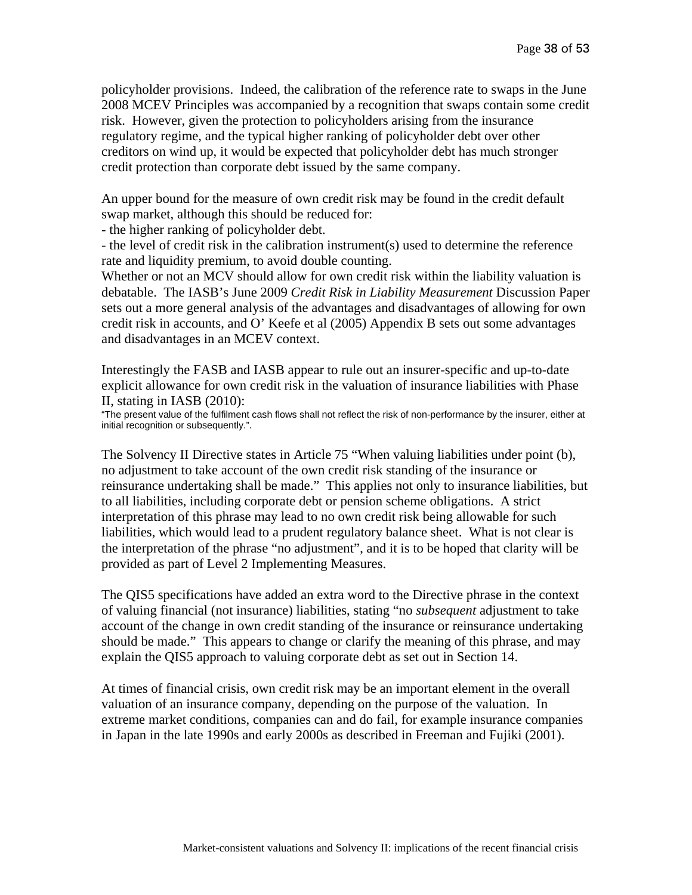policyholder provisions. Indeed, the calibration of the reference rate to swaps in the June 2008 MCEV Principles was accompanied by a recognition that swaps contain some credit risk. However, given the protection to policyholders arising from the insurance regulatory regime, and the typical higher ranking of policyholder debt over other creditors on wind up, it would be expected that policyholder debt has much stronger credit protection than corporate debt issued by the same company.

An upper bound for the measure of own credit risk may be found in the credit default swap market, although this should be reduced for:

- the higher ranking of policyholder debt.

- the level of credit risk in the calibration instrument(s) used to determine the reference rate and liquidity premium, to avoid double counting.

Whether or not an MCV should allow for own credit risk within the liability valuation is debatable. The IASB's June 2009 *Credit Risk in Liability Measurement* Discussion Paper sets out a more general analysis of the advantages and disadvantages of allowing for own credit risk in accounts, and O' Keefe et al (2005) Appendix B sets out some advantages and disadvantages in an MCEV context.

Interestingly the FASB and IASB appear to rule out an insurer-specific and up-to-date explicit allowance for own credit risk in the valuation of insurance liabilities with Phase II, stating in IASB (2010):

"The present value of the fulfilment cash flows shall not reflect the risk of non-performance by the insurer, either at initial recognition or subsequently.".

The Solvency II Directive states in Article 75 "When valuing liabilities under point (b), no adjustment to take account of the own credit risk standing of the insurance or reinsurance undertaking shall be made." This applies not only to insurance liabilities, but to all liabilities, including corporate debt or pension scheme obligations. A strict interpretation of this phrase may lead to no own credit risk being allowable for such liabilities, which would lead to a prudent regulatory balance sheet. What is not clear is the interpretation of the phrase "no adjustment", and it is to be hoped that clarity will be provided as part of Level 2 Implementing Measures.

The QIS5 specifications have added an extra word to the Directive phrase in the context of valuing financial (not insurance) liabilities, stating "no *subsequent* adjustment to take account of the change in own credit standing of the insurance or reinsurance undertaking should be made." This appears to change or clarify the meaning of this phrase, and may explain the QIS5 approach to valuing corporate debt as set out in Section 14.

At times of financial crisis, own credit risk may be an important element in the overall valuation of an insurance company, depending on the purpose of the valuation. In extreme market conditions, companies can and do fail, for example insurance companies in Japan in the late 1990s and early 2000s as described in Freeman and Fujiki (2001).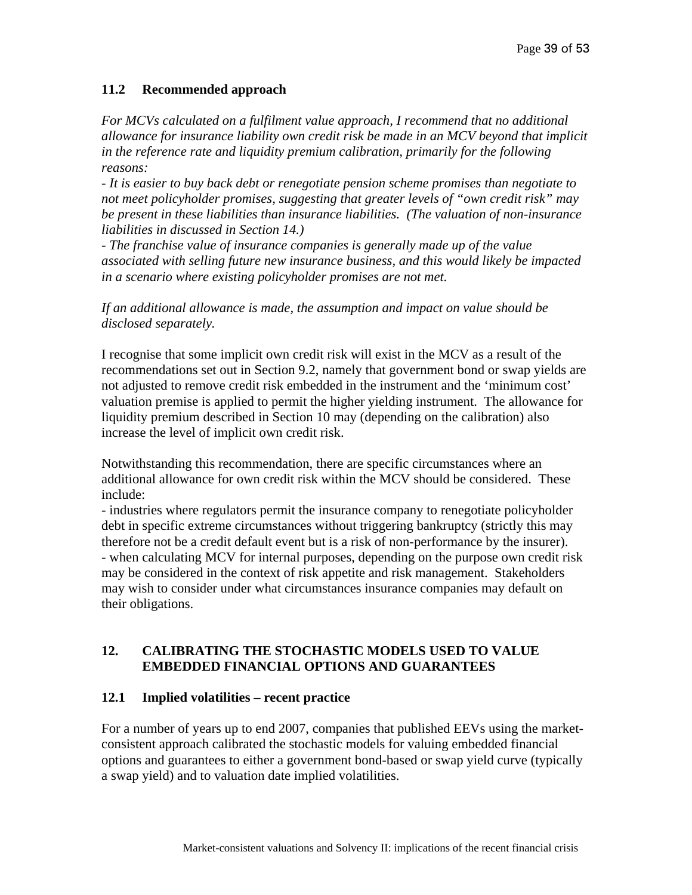### <span id="page-38-0"></span>**11.2 Recommended approach**

*For MCVs calculated on a fulfilment value approach, I recommend that no additional allowance for insurance liability own credit risk be made in an MCV beyond that implicit in the reference rate and liquidity premium calibration, primarily for the following reasons:* 

*- It is easier to buy back debt or renegotiate pension scheme promises than negotiate to not meet policyholder promises, suggesting that greater levels of "own credit risk" may be present in these liabilities than insurance liabilities. (The valuation of non-insurance liabilities in discussed in Section 14.)* 

*- The franchise value of insurance companies is generally made up of the value associated with selling future new insurance business, and this would likely be impacted in a scenario where existing policyholder promises are not met.* 

*If an additional allowance is made, the assumption and impact on value should be disclosed separately.* 

I recognise that some implicit own credit risk will exist in the MCV as a result of the recommendations set out in Section 9.2, namely that government bond or swap yields are not adjusted to remove credit risk embedded in the instrument and the 'minimum cost' valuation premise is applied to permit the higher yielding instrument. The allowance for liquidity premium described in Section 10 may (depending on the calibration) also increase the level of implicit own credit risk.

Notwithstanding this recommendation, there are specific circumstances where an additional allowance for own credit risk within the MCV should be considered. These include:

- industries where regulators permit the insurance company to renegotiate policyholder debt in specific extreme circumstances without triggering bankruptcy (strictly this may therefore not be a credit default event but is a risk of non-performance by the insurer). - when calculating MCV for internal purposes, depending on the purpose own credit risk may be considered in the context of risk appetite and risk management. Stakeholders may wish to consider under what circumstances insurance companies may default on their obligations.

## **12. CALIBRATING THE STOCHASTIC MODELS USED TO VALUE EMBEDDED FINANCIAL OPTIONS AND GUARANTEES**

### **12.1 Implied volatilities – recent practice**

For a number of years up to end 2007, companies that published EEVs using the marketconsistent approach calibrated the stochastic models for valuing embedded financial options and guarantees to either a government bond-based or swap yield curve (typically a swap yield) and to valuation date implied volatilities.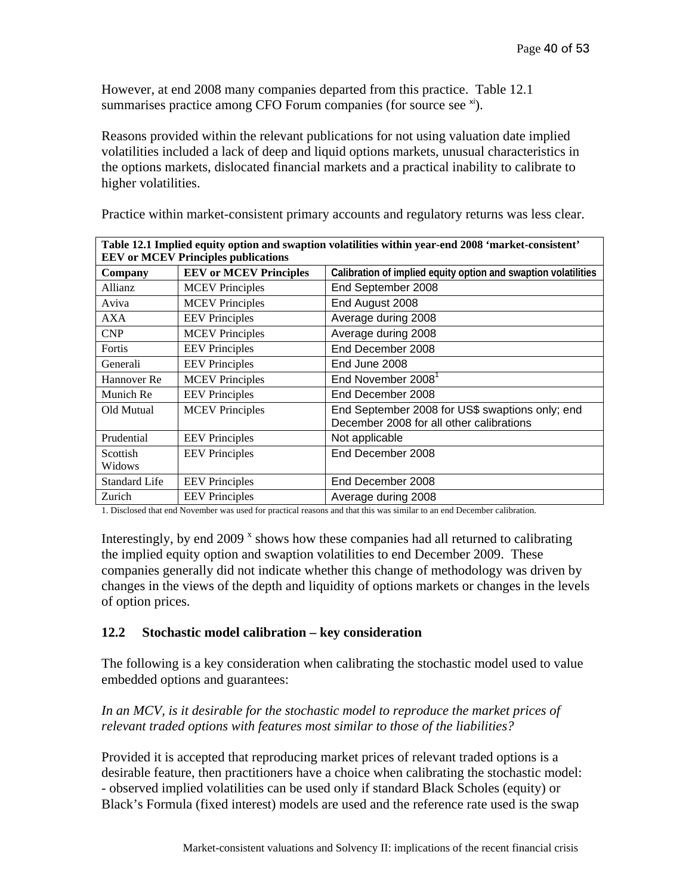However, at end 2008 many companies departed from this practice. Table 12.1 summarises practice among CFO Forum companies (for source see  $x$ ).

Reasons provided within the relevant publications for not using valuation date implied volatilities included a lack of deep and liquid options markets, unusual characteristics in the options markets, dislocated financial markets and a practical inability to calibrate to higher volatilities.

| Table 12.1 Implied equity option and swaption volatilities within year-end 2008 'market-consistent'<br><b>EEV</b> or MCEV Principles publications |                               |                                                                                             |  |  |  |
|---------------------------------------------------------------------------------------------------------------------------------------------------|-------------------------------|---------------------------------------------------------------------------------------------|--|--|--|
| Company                                                                                                                                           | <b>EEV</b> or MCEV Principles | Calibration of implied equity option and swaption volatilities                              |  |  |  |
| Allianz                                                                                                                                           | <b>MCEV</b> Principles        | End September 2008                                                                          |  |  |  |
| Aviva                                                                                                                                             | <b>MCEV</b> Principles        | End August 2008                                                                             |  |  |  |
| AXA                                                                                                                                               | <b>EEV</b> Principles         | Average during 2008                                                                         |  |  |  |
| <b>CNP</b>                                                                                                                                        | <b>MCEV</b> Principles        | Average during 2008                                                                         |  |  |  |
| Fortis                                                                                                                                            | <b>EEV</b> Principles         | End December 2008                                                                           |  |  |  |
| Generali                                                                                                                                          | <b>EEV</b> Principles         | End June 2008                                                                               |  |  |  |
| Hannover Re                                                                                                                                       | <b>MCEV</b> Principles        | End November 2008                                                                           |  |  |  |
| Munich Re                                                                                                                                         | <b>EEV</b> Principles         | End December 2008                                                                           |  |  |  |
| Old Mutual                                                                                                                                        | <b>MCEV</b> Principles        | End September 2008 for US\$ swaptions only; end<br>December 2008 for all other calibrations |  |  |  |
| Prudential                                                                                                                                        | <b>EEV</b> Principles         | Not applicable                                                                              |  |  |  |
| <b>Scottish</b><br>Widows                                                                                                                         | <b>EEV</b> Principles         | End December 2008                                                                           |  |  |  |
| <b>Standard Life</b>                                                                                                                              | <b>EEV</b> Principles         | End December 2008                                                                           |  |  |  |
| Zurich                                                                                                                                            | <b>EEV</b> Principles         | Average during 2008                                                                         |  |  |  |

Practice within market-consistent primary accounts and regulatory returns was less clear.

1. Disclosed that end November was used for practical reasons and that this was similar to an end December calibration.

Interestingly, by end  $2009$ <sup>x</sup> shows how these companies had all returned to calibrating the implied equity option and swaption volatilities to end December 2009. These companies generally did not indicate whether this change of methodology was driven by changes in the views of the depth and liquidity of options markets or changes in the levels of option prices.

### **12.2 Stochastic model calibration – key consideration**

The following is a key consideration when calibrating the stochastic model used to value embedded options and guarantees:

### *In an MCV, is it desirable for the stochastic model to reproduce the market prices of relevant traded options with features most similar to those of the liabilities?*

Provided it is accepted that reproducing market prices of relevant traded options is a desirable feature, then practitioners have a choice when calibrating the stochastic model: - observed implied volatilities can be used only if standard Black Scholes (equity) or Black's Formula (fixed interest) models are used and the reference rate used is the swap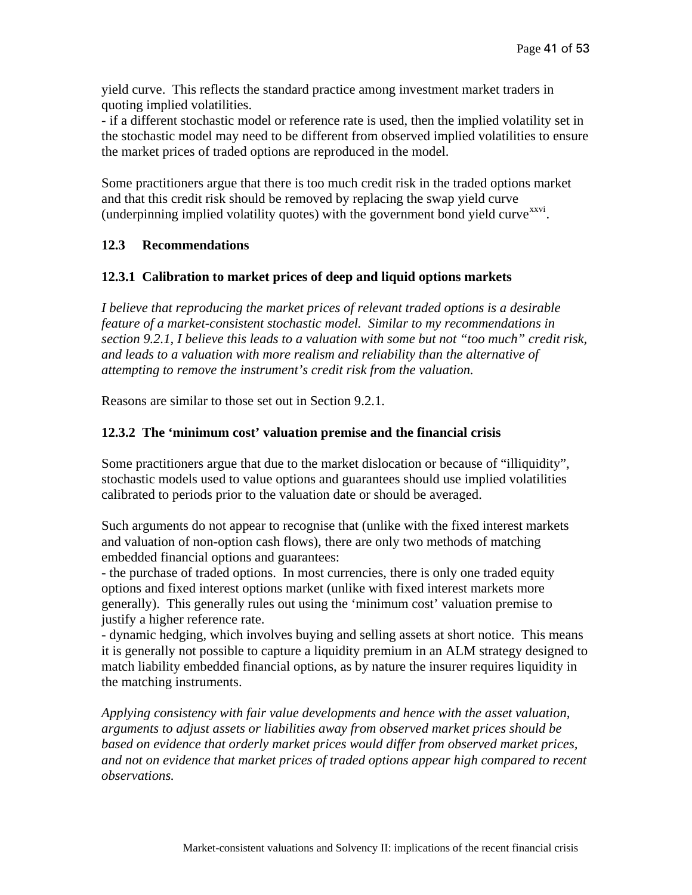yield curve. This reflects the standard practice among investment market traders in quoting implied volatilities.

- if a different stochastic model or reference rate is used, then the implied volatility set in the stochastic model may need to be different from observed implied volatilities to ensure the market prices of traded options are reproduced in the model.

Some practitioners argue that there is too much credit risk in the traded options market and that this credit risk should be removed by replacing the swap yield curve (underpinning implied volatility quotes) with the government bond yield curve $^{xxvi}$  $^{xxvi}$  $^{xxvi}$ .

## **12.3 Recommendations**

## **12.3.1 Calibration to market prices of deep and liquid options markets**

*I believe that reproducing the market prices of relevant traded options is a desirable feature of a market-consistent stochastic model. Similar to my recommendations in section 9.2.1, I believe this leads to a valuation with some but not "too much" credit risk, and leads to a valuation with more realism and reliability than the alternative of attempting to remove the instrument's credit risk from the valuation.* 

Reasons are similar to those set out in Section 9.2.1.

### **12.3.2 The 'minimum cost' valuation premise and the financial crisis**

Some practitioners argue that due to the market dislocation or because of "illiquidity", stochastic models used to value options and guarantees should use implied volatilities calibrated to periods prior to the valuation date or should be averaged.

Such arguments do not appear to recognise that (unlike with the fixed interest markets and valuation of non-option cash flows), there are only two methods of matching embedded financial options and guarantees:

- the purchase of traded options. In most currencies, there is only one traded equity options and fixed interest options market (unlike with fixed interest markets more generally). This generally rules out using the 'minimum cost' valuation premise to justify a higher reference rate.

- dynamic hedging, which involves buying and selling assets at short notice. This means it is generally not possible to capture a liquidity premium in an ALM strategy designed to match liability embedded financial options, as by nature the insurer requires liquidity in the matching instruments.

*Applying consistency with fair value developments and hence with the asset valuation, arguments to adjust assets or liabilities away from observed market prices should be based on evidence that orderly market prices would differ from observed market prices, and not on evidence that market prices of traded options appear high compared to recent observations.*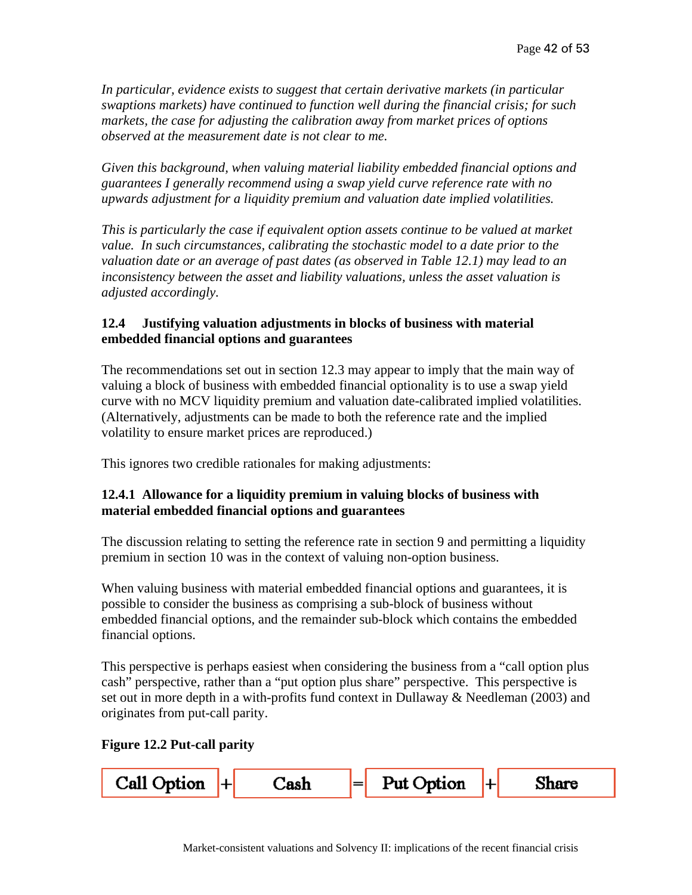*In particular, evidence exists to suggest that certain derivative markets (in particular swaptions markets) have continued to function well during the financial crisis; for such markets, the case for adjusting the calibration away from market prices of options observed at the measurement date is not clear to me.* 

*Given this background, when valuing material liability embedded financial options and guarantees I generally recommend using a swap yield curve reference rate with no upwards adjustment for a liquidity premium and valuation date implied volatilities.* 

*This is particularly the case if equivalent option assets continue to be valued at market value. In such circumstances, calibrating the stochastic model to a date prior to the valuation date or an average of past dates (as observed in Table 12.1) may lead to an inconsistency between the asset and liability valuations, unless the asset valuation is adjusted accordingly.* 

### **12.4 Justifying valuation adjustments in blocks of business with material embedded financial options and guarantees**

The recommendations set out in section 12.3 may appear to imply that the main way of valuing a block of business with embedded financial optionality is to use a swap yield curve with no MCV liquidity premium and valuation date-calibrated implied volatilities. (Alternatively, adjustments can be made to both the reference rate and the implied volatility to ensure market prices are reproduced.)

This ignores two credible rationales for making adjustments:

## **12.4.1 Allowance for a liquidity premium in valuing blocks of business with material embedded financial options and guarantees**

The discussion relating to setting the reference rate in section 9 and permitting a liquidity premium in section 10 was in the context of valuing non-option business.

When valuing business with material embedded financial options and guarantees, it is possible to consider the business as comprising a sub-block of business without embedded financial options, and the remainder sub-block which contains the embedded financial options.

This perspective is perhaps easiest when considering the business from a "call option plus cash" perspective, rather than a "put option plus share" perspective. This perspective is set out in more depth in a with-profits fund context in Dullaway & Needleman (2003) and originates from put-call parity.

## **Figure 12.2 Put-call parity**

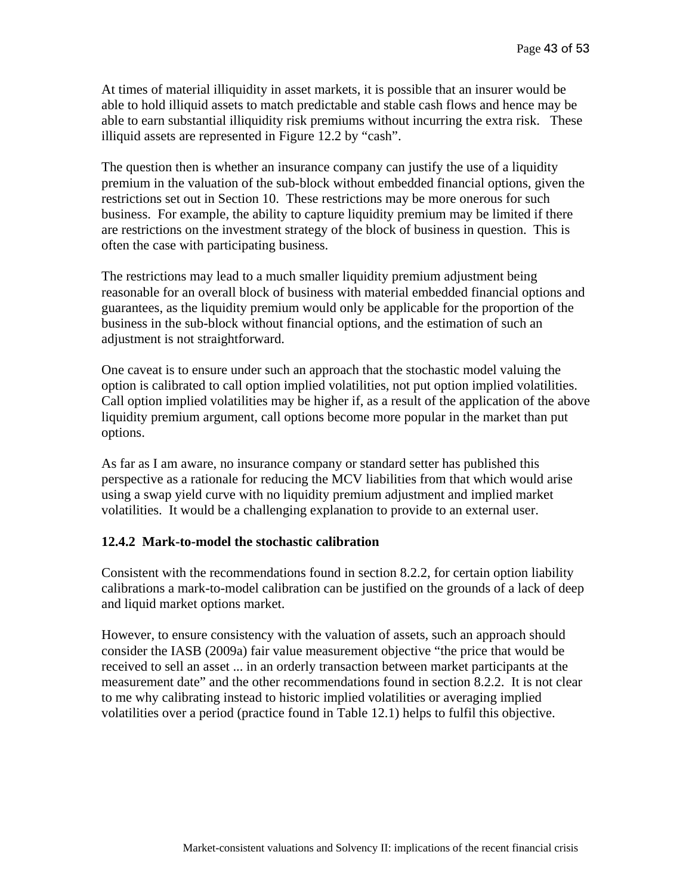At times of material illiquidity in asset markets, it is possible that an insurer would be able to hold illiquid assets to match predictable and stable cash flows and hence may be able to earn substantial illiquidity risk premiums without incurring the extra risk. These illiquid assets are represented in Figure 12.2 by "cash".

The question then is whether an insurance company can justify the use of a liquidity premium in the valuation of the sub-block without embedded financial options, given the restrictions set out in Section 10. These restrictions may be more onerous for such business. For example, the ability to capture liquidity premium may be limited if there are restrictions on the investment strategy of the block of business in question. This is often the case with participating business.

The restrictions may lead to a much smaller liquidity premium adjustment being reasonable for an overall block of business with material embedded financial options and guarantees, as the liquidity premium would only be applicable for the proportion of the business in the sub-block without financial options, and the estimation of such an adjustment is not straightforward.

One caveat is to ensure under such an approach that the stochastic model valuing the option is calibrated to call option implied volatilities, not put option implied volatilities. Call option implied volatilities may be higher if, as a result of the application of the above liquidity premium argument, call options become more popular in the market than put options.

As far as I am aware, no insurance company or standard setter has published this perspective as a rationale for reducing the MCV liabilities from that which would arise using a swap yield curve with no liquidity premium adjustment and implied market volatilities. It would be a challenging explanation to provide to an external user.

#### **12.4.2 Mark-to-model the stochastic calibration**

Consistent with the recommendations found in section 8.2.2, for certain option liability calibrations a mark-to-model calibration can be justified on the grounds of a lack of deep and liquid market options market.

However, to ensure consistency with the valuation of assets, such an approach should consider the IASB (2009a) fair value measurement objective "the price that would be received to sell an asset ... in an orderly transaction between market participants at the measurement date" and the other recommendations found in section 8.2.2. It is not clear to me why calibrating instead to historic implied volatilities or averaging implied volatilities over a period (practice found in Table 12.1) helps to fulfil this objective.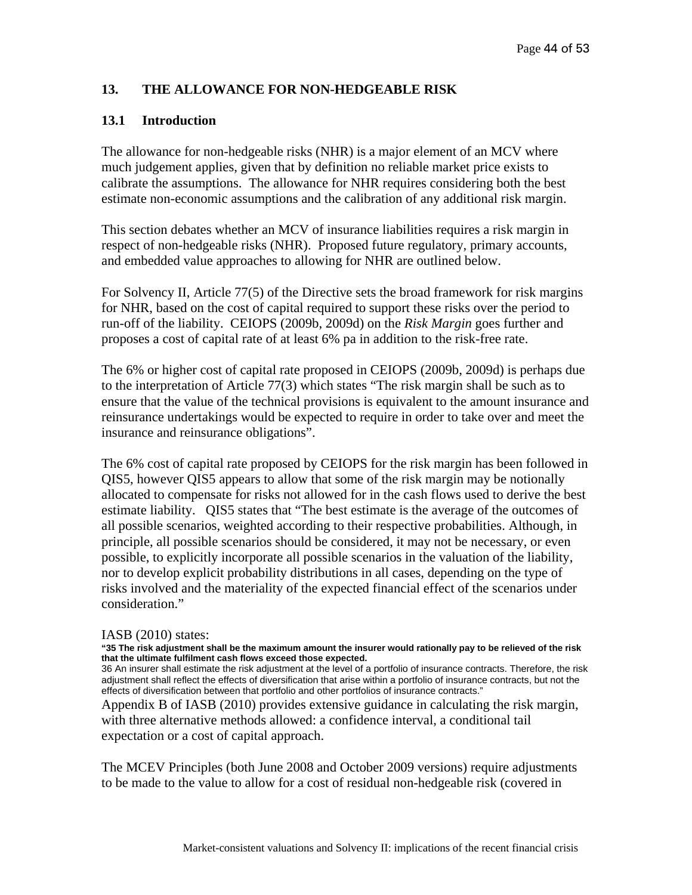### <span id="page-43-0"></span>**13. THE ALLOWANCE FOR NON-HEDGEABLE RISK**

#### **13.1 Introduction**

The allowance for non-hedgeable risks (NHR) is a major element of an MCV where much judgement applies, given that by definition no reliable market price exists to calibrate the assumptions. The allowance for NHR requires considering both the best estimate non-economic assumptions and the calibration of any additional risk margin.

This section debates whether an MCV of insurance liabilities requires a risk margin in respect of non-hedgeable risks (NHR). Proposed future regulatory, primary accounts, and embedded value approaches to allowing for NHR are outlined below.

For Solvency II, Article 77(5) of the Directive sets the broad framework for risk margins for NHR, based on the cost of capital required to support these risks over the period to run-off of the liability. CEIOPS (2009b, 2009d) on the *Risk Margin* goes further and proposes a cost of capital rate of at least 6% pa in addition to the risk-free rate.

The 6% or higher cost of capital rate proposed in CEIOPS (2009b, 2009d) is perhaps due to the interpretation of Article 77(3) which states "The risk margin shall be such as to ensure that the value of the technical provisions is equivalent to the amount insurance and reinsurance undertakings would be expected to require in order to take over and meet the insurance and reinsurance obligations".

The 6% cost of capital rate proposed by CEIOPS for the risk margin has been followed in QIS5, however QIS5 appears to allow that some of the risk margin may be notionally allocated to compensate for risks not allowed for in the cash flows used to derive the best estimate liability. QIS5 states that "The best estimate is the average of the outcomes of all possible scenarios, weighted according to their respective probabilities. Although, in principle, all possible scenarios should be considered, it may not be necessary, or even possible, to explicitly incorporate all possible scenarios in the valuation of the liability, nor to develop explicit probability distributions in all cases, depending on the type of risks involved and the materiality of the expected financial effect of the scenarios under consideration."

#### IASB (2010) states:

**"35 The risk adjustment shall be the maximum amount the insurer would rationally pay to be relieved of the risk that the ultimate fulfilment cash flows exceed those expected.** 

36 An insurer shall estimate the risk adjustment at the level of a portfolio of insurance contracts. Therefore, the risk adjustment shall reflect the effects of diversification that arise within a portfolio of insurance contracts, but not the effects of diversification between that portfolio and other portfolios of insurance contracts."

Appendix B of IASB (2010) provides extensive guidance in calculating the risk margin, with three alternative methods allowed: a confidence interval, a conditional tail expectation or a cost of capital approach.

The MCEV Principles (both June 2008 and October 2009 versions) require adjustments to be made to the value to allow for a cost of residual non-hedgeable risk (covered in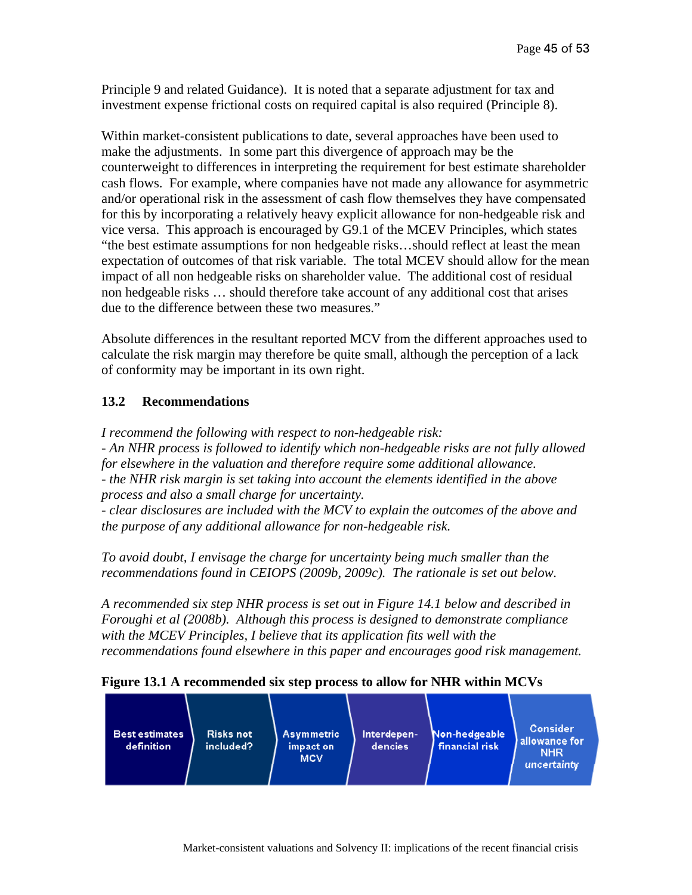Principle 9 and related Guidance). It is noted that a separate adjustment for tax and investment expense frictional costs on required capital is also required (Principle 8).

Within market-consistent publications to date, several approaches have been used to make the adjustments. In some part this divergence of approach may be the counterweight to differences in interpreting the requirement for best estimate shareholder cash flows. For example, where companies have not made any allowance for asymmetric and/or operational risk in the assessment of cash flow themselves they have compensated for this by incorporating a relatively heavy explicit allowance for non-hedgeable risk and vice versa. This approach is encouraged by G9.1 of the MCEV Principles, which states "the best estimate assumptions for non hedgeable risks…should reflect at least the mean expectation of outcomes of that risk variable. The total MCEV should allow for the mean impact of all non hedgeable risks on shareholder value. The additional cost of residual non hedgeable risks … should therefore take account of any additional cost that arises due to the difference between these two measures."

Absolute differences in the resultant reported MCV from the different approaches used to calculate the risk margin may therefore be quite small, although the perception of a lack of conformity may be important in its own right.

## **13.2 Recommendations**

*I recommend the following with respect to non-hedgeable risk:* 

*- An NHR process is followed to identify which non-hedgeable risks are not fully allowed for elsewhere in the valuation and therefore require some additional allowance. - the NHR risk margin is set taking into account the elements identified in the above process and also a small charge for uncertainty.* 

*- clear disclosures are included with the MCV to explain the outcomes of the above and the purpose of any additional allowance for non-hedgeable risk.* 

*To avoid doubt, I envisage the charge for uncertainty being much smaller than the recommendations found in CEIOPS (2009b, 2009c). The rationale is set out below.* 

*A recommended six step NHR process is set out in Figure 14.1 below and described in Foroughi et al (2008b). Although this process is designed to demonstrate compliance with the MCEV Principles, I believe that its application fits well with the recommendations found elsewhere in this paper and encourages good risk management.*

| Figure 13.1 A recommended six step process to allow for NHR within MCVs |  |  |
|-------------------------------------------------------------------------|--|--|
|                                                                         |  |  |

| <b>Best estimates</b><br><b>Risks not</b><br>included?<br>definition | <b>Asymmetric</b><br>impact on<br><b>MCV</b> | Interdepen-<br>dencies | Non-hedgeable<br>financial risk | <b>Consider</b><br>allowance for<br><b>NHR</b><br>uncertainty |
|----------------------------------------------------------------------|----------------------------------------------|------------------------|---------------------------------|---------------------------------------------------------------|
|----------------------------------------------------------------------|----------------------------------------------|------------------------|---------------------------------|---------------------------------------------------------------|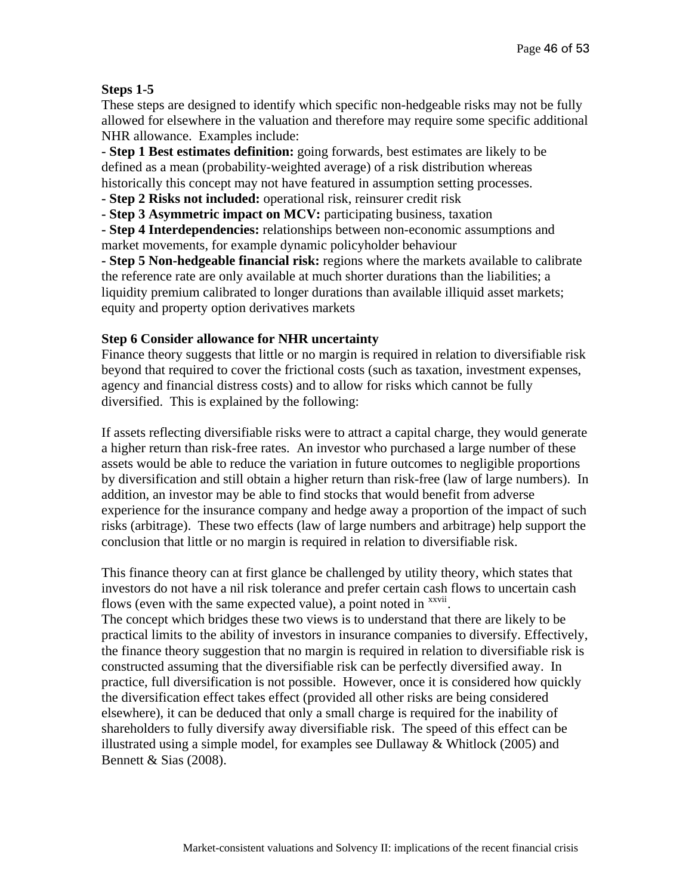## **Steps 1-5**

These steps are designed to identify which specific non-hedgeable risks may not be fully allowed for elsewhere in the valuation and therefore may require some specific additional NHR allowance. Examples include:

**- Step 1 Best estimates definition:** going forwards, best estimates are likely to be defined as a mean (probability-weighted average) of a risk distribution whereas historically this concept may not have featured in assumption setting processes.

**- Step 2 Risks not included:** operational risk, reinsurer credit risk

**- Step 3 Asymmetric impact on MCV:** participating business, taxation

**- Step 4 Interdependencies:** relationships between non-economic assumptions and market movements, for example dynamic policyholder behaviour

**- Step 5 Non-hedgeable financial risk:** regions where the markets available to calibrate the reference rate are only available at much shorter durations than the liabilities; a liquidity premium calibrated to longer durations than available illiquid asset markets; equity and property option derivatives markets

## **Step 6 Consider allowance for NHR uncertainty**

Finance theory suggests that little or no margin is required in relation to diversifiable risk beyond that required to cover the frictional costs (such as taxation, investment expenses, agency and financial distress costs) and to allow for risks which cannot be fully diversified. This is explained by the following:

If assets reflecting diversifiable risks were to attract a capital charge, they would generate a higher return than risk-free rates. An investor who purchased a large number of these assets would be able to reduce the variation in future outcomes to negligible proportions by diversification and still obtain a higher return than risk-free (law of large numbers). In addition, an investor may be able to find stocks that would benefit from adverse experience for the insurance company and hedge away a proportion of the impact of such risks (arbitrage). These two effects (law of large numbers and arbitrage) help support the conclusion that little or no margin is required in relation to diversifiable risk.

This finance theory can at first glance be challenged by utility theory, which states that investors do not have a nil risk tolerance and prefer certain cash flows to uncertain cash flows (even with the same expected value), a point noted in  $\frac{xxvii}{}$  $\frac{xxvii}{}$  $\frac{xxvii}{}$ .

The concept which bridges these two views is to understand that there are likely to be practical limits to the ability of investors in insurance companies to diversify. Effectively, the finance theory suggestion that no margin is required in relation to diversifiable risk is constructed assuming that the diversifiable risk can be perfectly diversified away. In practice, full diversification is not possible. However, once it is considered how quickly the diversification effect takes effect (provided all other risks are being considered elsewhere), it can be deduced that only a small charge is required for the inability of shareholders to fully diversify away diversifiable risk. The speed of this effect can be illustrated using a simple model, for examples see Dullaway & Whitlock (2005) and Bennett & Sias (2008).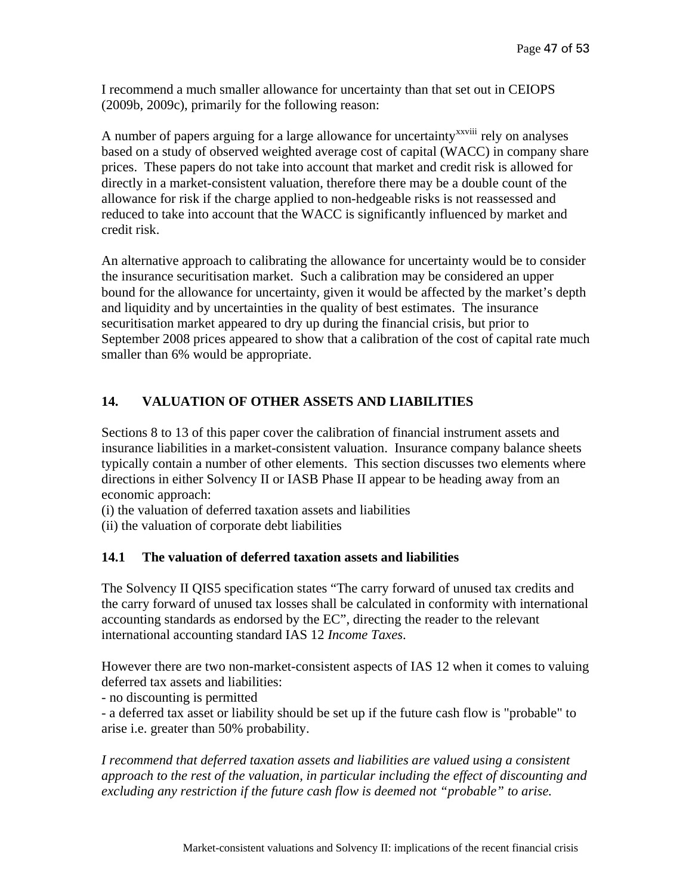<span id="page-46-0"></span>I recommend a much smaller allowance for uncertainty than that set out in CEIOPS (2009b, 2009c), primarily for the following reason:

A number of papers arguing for a large allowance for uncertainty<sup>[xxviii](#page-2-2)</sup> rely on analyses based on a study of observed weighted average cost of capital (WACC) in company share prices. These papers do not take into account that market and credit risk is allowed for directly in a market-consistent valuation, therefore there may be a double count of the allowance for risk if the charge applied to non-hedgeable risks is not reassessed and reduced to take into account that the WACC is significantly influenced by market and credit risk.

An alternative approach to calibrating the allowance for uncertainty would be to consider the insurance securitisation market. Such a calibration may be considered an upper bound for the allowance for uncertainty, given it would be affected by the market's depth and liquidity and by uncertainties in the quality of best estimates. The insurance securitisation market appeared to dry up during the financial crisis, but prior to September 2008 prices appeared to show that a calibration of the cost of capital rate much smaller than 6% would be appropriate.

# **14. VALUATION OF OTHER ASSETS AND LIABILITIES**

Sections 8 to 13 of this paper cover the calibration of financial instrument assets and insurance liabilities in a market-consistent valuation. Insurance company balance sheets typically contain a number of other elements. This section discusses two elements where directions in either Solvency II or IASB Phase II appear to be heading away from an economic approach:

(i) the valuation of deferred taxation assets and liabilities

(ii) the valuation of corporate debt liabilities

## **14.1 The valuation of deferred taxation assets and liabilities**

The Solvency II QIS5 specification states "The carry forward of unused tax credits and the carry forward of unused tax losses shall be calculated in conformity with international accounting standards as endorsed by the EC", directing the reader to the relevant international accounting standard IAS 12 *Income Taxes*.

However there are two non-market-consistent aspects of IAS 12 when it comes to valuing deferred tax assets and liabilities:

- no discounting is permitted

- a deferred tax asset or liability should be set up if the future cash flow is "probable" to arise i.e. greater than 50% probability.

*I recommend that deferred taxation assets and liabilities are valued using a consistent approach to the rest of the valuation, in particular including the effect of discounting and excluding any restriction if the future cash flow is deemed not "probable" to arise.*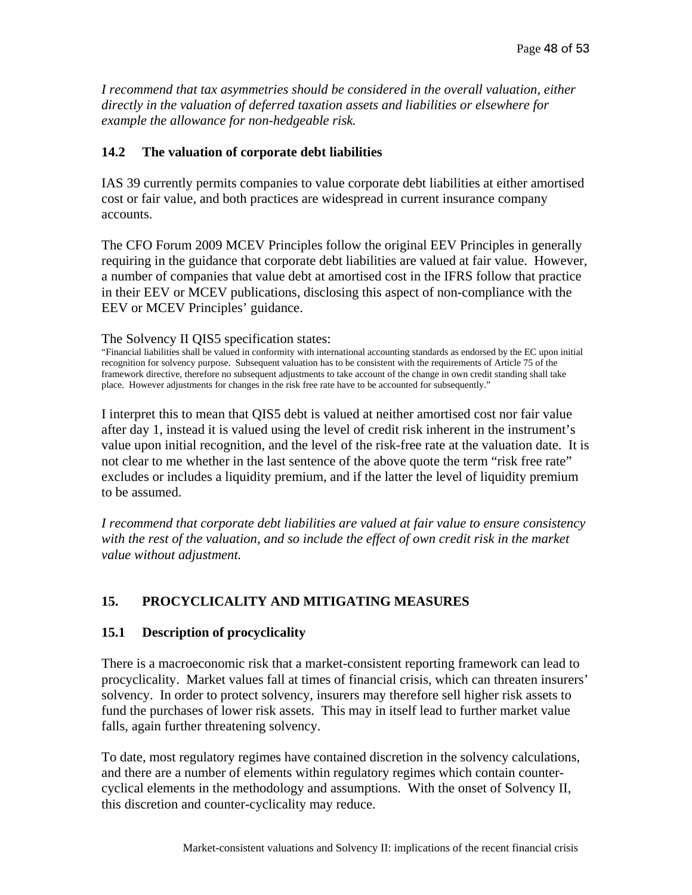<span id="page-47-0"></span>*I recommend that tax asymmetries should be considered in the overall valuation, either directly in the valuation of deferred taxation assets and liabilities or elsewhere for example the allowance for non-hedgeable risk.* 

### **14.2 The valuation of corporate debt liabilities**

IAS 39 currently permits companies to value corporate debt liabilities at either amortised cost or fair value, and both practices are widespread in current insurance company accounts.

The CFO Forum 2009 MCEV Principles follow the original EEV Principles in generally requiring in the guidance that corporate debt liabilities are valued at fair value. However, a number of companies that value debt at amortised cost in the IFRS follow that practice in their EEV or MCEV publications, disclosing this aspect of non-compliance with the EEV or MCEV Principles' guidance.

The Solvency II QIS5 specification states:

"Financial liabilities shall be valued in conformity with international accounting standards as endorsed by the EC upon initial recognition for solvency purpose. Subsequent valuation has to be consistent with the requirements of Article 75 of the framework directive, therefore no subsequent adjustments to take account of the change in own credit standing shall take place. However adjustments for changes in the risk free rate have to be accounted for subsequently."

I interpret this to mean that QIS5 debt is valued at neither amortised cost nor fair value after day 1, instead it is valued using the level of credit risk inherent in the instrument's value upon initial recognition, and the level of the risk-free rate at the valuation date. It is not clear to me whether in the last sentence of the above quote the term "risk free rate" excludes or includes a liquidity premium, and if the latter the level of liquidity premium to be assumed.

*I recommend that corporate debt liabilities are valued at fair value to ensure consistency*  with the rest of the valuation, and so include the effect of own credit risk in the market *value without adjustment.* 

### **15. PROCYCLICALITY AND MITIGATING MEASURES**

#### **15.1 Description of procyclicality**

There is a macroeconomic risk that a market-consistent reporting framework can lead to procyclicality. Market values fall at times of financial crisis, which can threaten insurers' solvency. In order to protect solvency, insurers may therefore sell higher risk assets to fund the purchases of lower risk assets. This may in itself lead to further market value falls, again further threatening solvency.

To date, most regulatory regimes have contained discretion in the solvency calculations, and there are a number of elements within regulatory regimes which contain countercyclical elements in the methodology and assumptions. With the onset of Solvency II, this discretion and counter-cyclicality may reduce.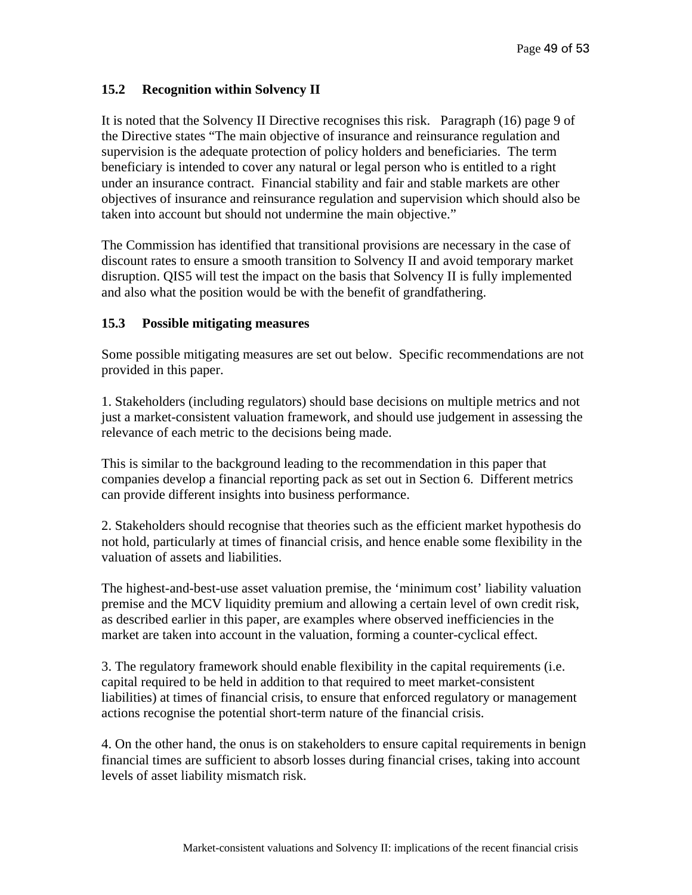### **15.2 Recognition within Solvency II**

It is noted that the Solvency II Directive recognises this risk. Paragraph (16) page 9 of the Directive states "The main objective of insurance and reinsurance regulation and supervision is the adequate protection of policy holders and beneficiaries. The term beneficiary is intended to cover any natural or legal person who is entitled to a right under an insurance contract. Financial stability and fair and stable markets are other objectives of insurance and reinsurance regulation and supervision which should also be taken into account but should not undermine the main objective."

The Commission has identified that transitional provisions are necessary in the case of discount rates to ensure a smooth transition to Solvency II and avoid temporary market disruption. QIS5 will test the impact on the basis that Solvency II is fully implemented and also what the position would be with the benefit of grandfathering.

### **15.3 Possible mitigating measures**

Some possible mitigating measures are set out below. Specific recommendations are not provided in this paper.

1. Stakeholders (including regulators) should base decisions on multiple metrics and not just a market-consistent valuation framework, and should use judgement in assessing the relevance of each metric to the decisions being made.

This is similar to the background leading to the recommendation in this paper that companies develop a financial reporting pack as set out in Section 6. Different metrics can provide different insights into business performance.

2. Stakeholders should recognise that theories such as the efficient market hypothesis do not hold, particularly at times of financial crisis, and hence enable some flexibility in the valuation of assets and liabilities.

The highest-and-best-use asset valuation premise, the 'minimum cost' liability valuation premise and the MCV liquidity premium and allowing a certain level of own credit risk, as described earlier in this paper, are examples where observed inefficiencies in the market are taken into account in the valuation, forming a counter-cyclical effect.

3. The regulatory framework should enable flexibility in the capital requirements (i.e. capital required to be held in addition to that required to meet market-consistent liabilities) at times of financial crisis, to ensure that enforced regulatory or management actions recognise the potential short-term nature of the financial crisis.

4. On the other hand, the onus is on stakeholders to ensure capital requirements in benign financial times are sufficient to absorb losses during financial crises, taking into account levels of asset liability mismatch risk.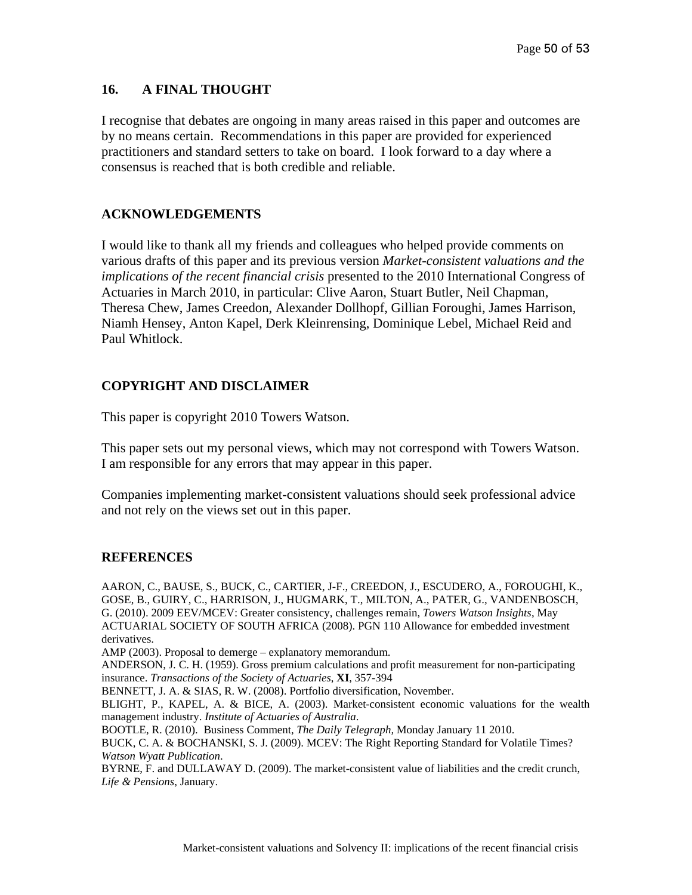### <span id="page-49-0"></span>**16. A FINAL THOUGHT**

I recognise that debates are ongoing in many areas raised in this paper and outcomes are by no means certain. Recommendations in this paper are provided for experienced practitioners and standard setters to take on board. I look forward to a day where a consensus is reached that is both credible and reliable.

#### **ACKNOWLEDGEMENTS**

I would like to thank all my friends and colleagues who helped provide comments on various drafts of this paper and its previous version *Market-consistent valuations and the implications of the recent financial crisis* presented to the 2010 International Congress of Actuaries in March 2010, in particular: Clive Aaron, Stuart Butler, Neil Chapman, Theresa Chew, James Creedon, Alexander Dollhopf, Gillian Foroughi, James Harrison, Niamh Hensey, Anton Kapel, Derk Kleinrensing, Dominique Lebel, Michael Reid and Paul Whitlock.

### **COPYRIGHT AND DISCLAIMER**

This paper is copyright 2010 Towers Watson.

This paper sets out my personal views, which may not correspond with Towers Watson. I am responsible for any errors that may appear in this paper.

Companies implementing market-consistent valuations should seek professional advice and not rely on the views set out in this paper.

#### **REFERENCES**

AARON, C., BAUSE, S., BUCK, C., CARTIER, J-F., CREEDON, J., ESCUDERO, A., FOROUGHI, K., GOSE, B., GUIRY, C., HARRISON, J., HUGMARK, T., MILTON, A., PATER, G., VANDENBOSCH, G. (2010). 2009 EEV/MCEV: Greater consistency, challenges remain, *Towers Watson Insights*, May ACTUARIAL SOCIETY OF SOUTH AFRICA (2008). PGN 110 Allowance for embedded investment derivatives.

AMP (2003). Proposal to demerge – explanatory memorandum.

ANDERSON, J. C. H. (1959). Gross premium calculations and profit measurement for non-participating insurance. *Transactions of the Society of Actuaries*, **XI**, 357-394

BENNETT, J. A. & SIAS, R. W. (2008). Portfolio diversification, November.

BLIGHT, P., KAPEL, A. & BICE, A. (2003). Market-consistent economic valuations for the wealth management industry. *Institute of Actuaries of Australia*.

BOOTLE, R. (2010). Business Comment, *The Daily Telegraph,* Monday January 11 2010. BUCK, C. A. & BOCHANSKI, S. J. (2009). MCEV: The Right Reporting Standard for Volatile Times? *Watson Wyatt Publication*.

BYRNE, F. and DULLAWAY D. (2009). The market-consistent value of liabilities and the credit crunch, *Life & Pensions*, January.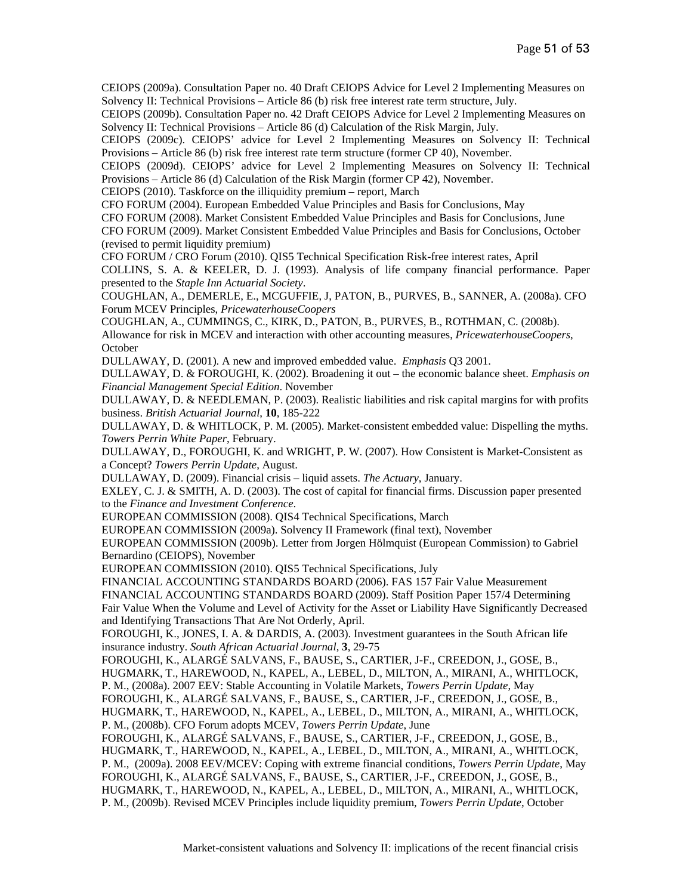CEIOPS (2009a). Consultation Paper no. 40 Draft CEIOPS Advice for Level 2 Implementing Measures on Solvency II: Technical Provisions – Article 86 (b) risk free interest rate term structure, July.

CEIOPS (2009b). Consultation Paper no. 42 Draft CEIOPS Advice for Level 2 Implementing Measures on Solvency II: Technical Provisions – Article 86 (d) Calculation of the Risk Margin, July.

CEIOPS (2009c). CEIOPS' advice for Level 2 Implementing Measures on Solvency II: Technical Provisions – Article 86 (b) risk free interest rate term structure (former CP 40), November.

CEIOPS (2009d). CEIOPS' advice for Level 2 Implementing Measures on Solvency II: Technical Provisions – Article 86 (d) Calculation of the Risk Margin (former CP 42), November.

CEIOPS (2010). Taskforce on the illiquidity premium – report, March

CFO FORUM (2004). European Embedded Value Principles and Basis for Conclusions, May

CFO FORUM (2008). Market Consistent Embedded Value Principles and Basis for Conclusions, June

CFO FORUM (2009). Market Consistent Embedded Value Principles and Basis for Conclusions, October (revised to permit liquidity premium)

CFO FORUM / CRO Forum (2010). QIS5 Technical Specification Risk-free interest rates, April

COLLINS, S. A. & KEELER, D. J. (1993). Analysis of life company financial performance. Paper presented to the *Staple Inn Actuarial Society*.

COUGHLAN, A., DEMERLE, E., MCGUFFIE, J, PATON, B., PURVES, B., SANNER, A. (2008a). CFO Forum MCEV Principles, *PricewaterhouseCoopers*

COUGHLAN, A., CUMMINGS, C., KIRK, D., PATON, B., PURVES, B., ROTHMAN, C. (2008b).

Allowance for risk in MCEV and interaction with other accounting measures, *PricewaterhouseCoopers*, October

DULLAWAY, D. (2001). A new and improved embedded value. *Emphasis* Q3 2001.

DULLAWAY, D. & FOROUGHI, K. (2002). Broadening it out – the economic balance sheet. *Emphasis on Financial Management Special Edition*. November

DULLAWAY, D. & NEEDLEMAN, P. (2003). Realistic liabilities and risk capital margins for with profits business. *British Actuarial Journal*, **10**, 185-222

DULLAWAY, D. & WHITLOCK, P. M. (2005). Market-consistent embedded value: Dispelling the myths. *Towers Perrin White Paper*, February.

DULLAWAY, D., FOROUGHI, K. and WRIGHT, P. W. (2007). How Consistent is Market-Consistent as a Concept? *Towers Perrin Update*, August.

DULLAWAY, D. (2009). Financial crisis – liquid assets. *The Actuary*, January.

EXLEY, C. J. & SMITH, A. D. (2003). The cost of capital for financial firms. Discussion paper presented to the *Finance and Investment Conference*.

EUROPEAN COMMISSION (2008). QIS4 Technical Specifications, March

EUROPEAN COMMISSION (2009a). Solvency II Framework (final text), November

EUROPEAN COMMISSION (2009b). Letter from Jorgen Hölmquist (European Commission) to Gabriel Bernardino (CEIOPS), November

EUROPEAN COMMISSION (2010). QIS5 Technical Specifications, July

FINANCIAL ACCOUNTING STANDARDS BOARD (2006). FAS 157 Fair Value Measurement

FINANCIAL ACCOUNTING STANDARDS BOARD (2009). Staff Position Paper 157/4 Determining

Fair Value When the Volume and Level of Activity for the Asset or Liability Have Significantly Decreased and Identifying Transactions That Are Not Orderly, April.

FOROUGHI, K., JONES, I. A. & DARDIS, A. (2003). Investment guarantees in the South African life insurance industry. *South African Actuarial Journal*, **3**, 29-75

FOROUGHI, K., ALARGÉ SALVANS, F., BAUSE, S., CARTIER, J-F., CREEDON, J., GOSE, B., HUGMARK, T., HAREWOOD, N., KAPEL, A., LEBEL, D., MILTON, A., MIRANI, A., WHITLOCK, P. M., (2008a). 2007 EEV: Stable Accounting in Volatile Markets, *Towers Perrin Update*, May

FOROUGHI, K., ALARGÉ SALVANS, F., BAUSE, S., CARTIER, J-F., CREEDON, J., GOSE, B., HUGMARK, T., HAREWOOD, N., KAPEL, A., LEBEL, D., MILTON, A., MIRANI, A., WHITLOCK, P. M., (2008b). CFO Forum adopts MCEV, *Towers Perrin Update*, June

FOROUGHI, K., ALARGÉ SALVANS, F., BAUSE, S., CARTIER, J-F., CREEDON, J., GOSE, B.,

HUGMARK, T., HAREWOOD, N., KAPEL, A., LEBEL, D., MILTON, A., MIRANI, A., WHITLOCK, P. M., (2009a). 2008 EEV/MCEV: Coping with extreme financial conditions, *Towers Perrin Update*, May FOROUGHI, K., ALARGÉ SALVANS, F., BAUSE, S., CARTIER, J-F., CREEDON, J., GOSE, B., HUGMARK, T., HAREWOOD, N., KAPEL, A., LEBEL, D., MILTON, A., MIRANI, A., WHITLOCK, P. M., (2009b). Revised MCEV Principles include liquidity premium, *Towers Perrin Update*, October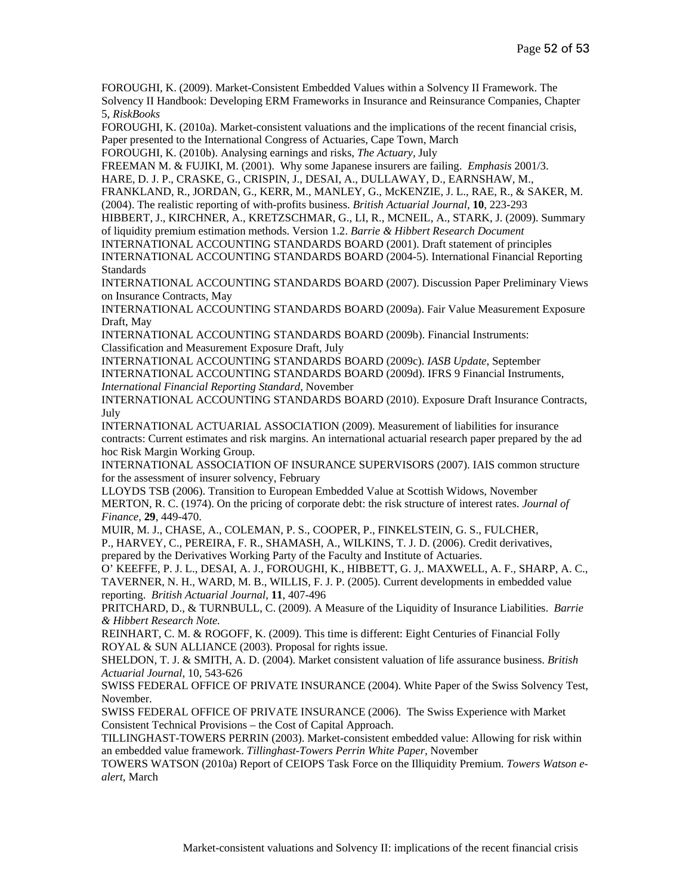FOROUGHI, K. (2009). Market-Consistent Embedded Values within a Solvency II Framework. The Solvency II Handbook: Developing ERM Frameworks in Insurance and Reinsurance Companies, Chapter 5, *RiskBooks*

FOROUGHI, K. (2010a). Market-consistent valuations and the implications of the recent financial crisis, Paper presented to the International Congress of Actuaries, Cape Town, March

FOROUGHI, K. (2010b). Analysing earnings and risks, *The Actuary,* July

FREEMAN M. & FUJIKI, M. (2001). Why some Japanese insurers are failing. *Emphasis* 2001/3.

HARE, D. J. P., CRASKE, G., CRISPIN, J., DESAI, A., DULLAWAY, D., EARNSHAW, M.,

FRANKLAND, R., JORDAN, G., KERR, M., MANLEY, G., McKENZIE, J. L., RAE, R., & SAKER, M. (2004). The realistic reporting of with-profits business. *British Actuarial Journal*, **10**, 223-293

HIBBERT, J., KIRCHNER, A., KRETZSCHMAR, G., LI, R., MCNEIL, A., STARK, J. (2009). Summary of liquidity premium estimation methods. Version 1.2. *Barrie & Hibbert Research Document*

INTERNATIONAL ACCOUNTING STANDARDS BOARD (2001). Draft statement of principles INTERNATIONAL ACCOUNTING STANDARDS BOARD (2004-5). International Financial Reporting **Standards** 

INTERNATIONAL ACCOUNTING STANDARDS BOARD (2007). Discussion Paper Preliminary Views on Insurance Contracts, May

INTERNATIONAL ACCOUNTING STANDARDS BOARD (2009a). Fair Value Measurement Exposure Draft, May

INTERNATIONAL ACCOUNTING STANDARDS BOARD (2009b). Financial Instruments: Classification and Measurement Exposure Draft, July

INTERNATIONAL ACCOUNTING STANDARDS BOARD (2009c). *IASB Update*, September INTERNATIONAL ACCOUNTING STANDARDS BOARD (2009d). IFRS 9 Financial Instruments, *International Financial Reporting Standard*, November

INTERNATIONAL ACCOUNTING STANDARDS BOARD (2010). Exposure Draft Insurance Contracts, July

INTERNATIONAL ACTUARIAL ASSOCIATION (2009). Measurement of liabilities for insurance contracts: Current estimates and risk margins. An international actuarial research paper prepared by the ad hoc Risk Margin Working Group.

INTERNATIONAL ASSOCIATION OF INSURANCE SUPERVISORS (2007). IAIS common structure for the assessment of insurer solvency, February

LLOYDS TSB (2006). Transition to European Embedded Value at Scottish Widows, November MERTON, R. C. (1974). On the pricing of corporate debt: the risk structure of interest rates. *Journal of Finance*, **29**, 449-470.

MUIR, M. J., CHASE, A., COLEMAN, P. S., COOPER, P., FINKELSTEIN, G. S., FULCHER, P., HARVEY, C., PEREIRA, F. R., SHAMASH, A., WILKINS, T. J. D. (2006). Credit derivatives, prepared by the Derivatives Working Party of the Faculty and Institute of Actuaries.

O' KEEFFE, P. J. L., DESAI, A. J., FOROUGHI, K., HIBBETT, G. J,. MAXWELL, A. F., SHARP, A. C., TAVERNER, N. H., WARD, M. B., WILLIS, F. J. P. (2005). Current developments in embedded value reporting. *British Actuarial Journal*, **11**, 407-496

PRITCHARD, D., & TURNBULL, C. (2009). A Measure of the Liquidity of Insurance Liabilities. *Barrie & Hibbert Research Note.*

REINHART, C. M. & ROGOFF, K. (2009). This time is different: Eight Centuries of Financial Folly ROYAL & SUN ALLIANCE (2003). Proposal for rights issue.

SHELDON, T. J. & SMITH, A. D. (2004). Market consistent valuation of life assurance business. *British Actuarial Journal,* 10, 543-626

SWISS FEDERAL OFFICE OF PRIVATE INSURANCE (2004). White Paper of the Swiss Solvency Test, November.

SWISS FEDERAL OFFICE OF PRIVATE INSURANCE (2006). The Swiss Experience with Market Consistent Technical Provisions – the Cost of Capital Approach.

TILLINGHAST-TOWERS PERRIN (2003). Market-consistent embedded value: Allowing for risk within an embedded value framework. *Tillinghast-Towers Perrin White Paper*, November

TOWERS WATSON (2010a) Report of CEIOPS Task Force on the Illiquidity Premium. *Towers Watson ealert*, March